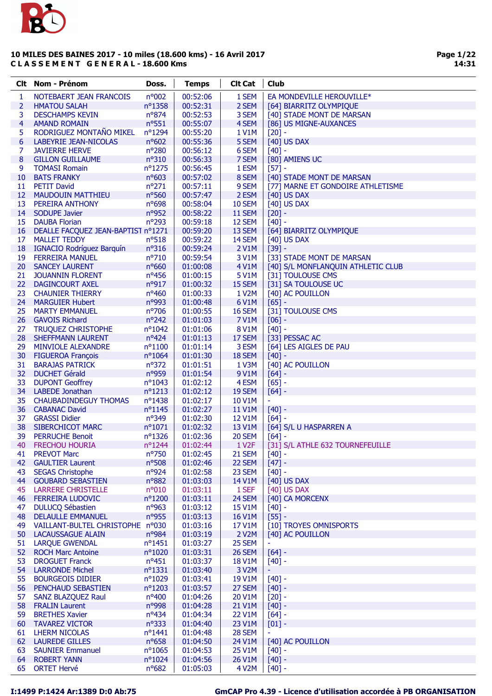

| Clt. | Nom - Prénom                       | Doss.            | <b>Temps</b> | <b>Clt Cat</b>     | Club                               |
|------|------------------------------------|------------------|--------------|--------------------|------------------------------------|
| 1    | NOTEBAERT JEAN FRANCOIS            | n°002            | 00:52:06     | 1 SEM              | EA MONDEVILLE HEROUVILLE*          |
| 2    | <b>HMATOU SALAH</b>                | nº1358           | 00:52:31     | 2 SEM              | [64] BIARRITZ OLYMPIQUE            |
| 3    | <b>DESCHAMPS KEVIN</b>             | nº874            | 00:52:53     | 3 SEM              | [40] STADE MONT DE MARSAN          |
| 4    | <b>AMAND ROMAIN</b>                | $n^o$ 551        | 00:55:07     | 4 SEM              | [86] US MIGNE-AUXANCES             |
| 5    | RODRIGUEZ MONTAÑO MIKEL            | nº1294           | 00:55:20     | 1 V1M              | $[20]$ -                           |
|      | LABEYRIE JEAN-NICOLAS              | $n^o$ 602        | 00:55:36     | 5 SEM              |                                    |
| 6    |                                    |                  |              |                    | [40] US DAX                        |
| 7    | <b>JAVIERRE HERVE</b>              | n°280            | 00:56:12     | 6 SEM              | $[40] -$                           |
| 8    | <b>GILLON GUILLAUME</b>            | $n^o310$         | 00:56:33     | 7 SEM              | [80] AMIENS UC                     |
| 9    | <b>TOMASI Romain</b>               | nº1275           | 00:56:45     | 1 ESM              | $[57] -$                           |
| 10   | <b>BATS FRANKY</b>                 | nº603            | 00:57:02     | 8 SEM              | [40] STADE MONT DE MARSAN          |
| 11   | <b>PETIT David</b>                 | $n^{\circ}271$   | 00:57:11     | 9 SEM              | [77] MARNE ET GONDOIRE ATHLETISME  |
| 12   | <b>MAUDOUIN MATTHIEU</b>           | nº560            | 00:57:47     | 2 ESM              | $[40]$ US DAX                      |
| 13   | PEREIRA ANTHONY                    | nº698            | 00:58:04     | <b>10 SEM</b>      | [40] US DAX                        |
| 14   | <b>SODUPE Javier</b>               | nº952            | 00:58:22     | <b>11 SEM</b>      | $[20] -$                           |
| 15   | <b>DAUBA Florian</b>               | n°293            | 00:59:18     | 12 SEM             | $[40] -$                           |
| 16   | DEALLE FACQUEZ JEAN-BAPTIST n°1271 |                  | 00:59:20     | 13 SEM             | [64] BIARRITZ OLYMPIQUE            |
| 17   | <b>MALLET TEDDY</b>                | $n^o518$         | 00:59:22     | 14 SEM             | [40] US DAX                        |
| 18   | <b>IGNACIO Rodríguez Barquín</b>   | $n^{\circ}316$   | 00:59:24     | 2 V1M              | $[39] -$                           |
| 19   | <b>FERREIRA MANUEL</b>             | $n^{\circ}710$   | 00:59:54     | 3 V1M              | [33] STADE MONT DE MARSAN          |
| 20   | <b>SANCEY LAURENT</b>              | nº660            | 01:00:08     | 4 V1M              | [40] S/L MONFLANQUIN ATHLETIC CLUB |
| 21   | <b>JOUANNIN FLORENT</b>            | nº456            | 01:00:15     | 5 V1M              | [31] TOULOUSE CMS                  |
| 22   | <b>DAGINCOURT AXEL</b>             | nº917            | 01:00:32     | 15 SEM             | [31] SA TOULOUSE UC                |
| 23   | <b>CHAUNIER THIERRY</b>            | $n^o$ 460        | 01:00:33     | 1 V <sub>2</sub> M | [40] AC POUILLON                   |
| 24   | <b>MARGUIER Hubert</b>             | n°993            | 01:00:48     | 6 V1M              | $[65]$ -                           |
| 25   | <b>MARTY EMMANUEL</b>              | nº706            | 01:00:55     | <b>16 SEM</b>      | [31] TOULOUSE CMS                  |
| 26   | <b>GAVOIS Richard</b>              | $n^{\circ}242$   | 01:01:03     | 7 V1M              | $[06]$ -                           |
| 27   | <b>TRUQUEZ CHRISTOPHE</b>          | $n^{\circ}1042$  | 01:01:06     | <b>8 V1M</b>       | $[40] -$                           |
|      |                                    | $n^o424$         |              | 17 SEM             | [33] PESSAC AC                     |
| 28   | <b>SHEFFMANN LAURENT</b>           |                  | 01:01:13     | 3 ESM              |                                    |
| 29   | <b>MINVIOLE ALEXANDRE</b>          | $n^{\circ}1100$  | 01:01:14     |                    | [64] LES AIGLES DE PAU             |
| 30   | <b>FIGUEROA François</b>           | $n^{\circ}1064$  | 01:01:30     | 18 SEM             | $[40]$ -                           |
| 31   | <b>BARAJAS PATRICK</b>             | $n^{\circ}372$   | 01:01:51     | 1 V3M              | [40] AC POUILLON                   |
| 32   | <b>DUCHET Gérald</b>               | n°959            | 01:01:54     | 9 V1M              | $[64]$ -                           |
| 33   | <b>DUPONT Geoffrey</b>             | $n^{\circ}1043$  | 01:02:12     | 4 ESM              | $[65] -$                           |
| 34   | <b>LABEDE Jonathan</b>             | $n^{\circ}1213$  | 01:02:12     | 19 SEM             | $[64]$ -                           |
| 35   | <b>CHAUBADINDEGUY THOMAS</b>       | $n^{\circ}$ 1438 | 01:02:17     | 10 V1M             | ÷                                  |
| 36   | <b>CABANAC David</b>               | $n^{\circ}1145$  | 01:02:27     | <b>11 V1M</b>      | $[40] -$                           |
| 37   | <b>GRASSI Didier</b>               | nº349            | 01:02:30     | 12 V1M             | $[64] -$                           |
| 38   | SIBERCHICOT MARC                   | $n^{\circ}1071$  | 01:02:32     | 13 V1M             | [64] S/L U HASPARREN A             |
| 39   | <b>PERRUCHE Benoit</b>             | $n^{\circ}$ 1326 | 01:02:36     | 20 SEM             | $[64] -$                           |
| 40   | <b>FRECHOU HOURIA</b>              | nº1244           | 01:02:44     | 1 V <sub>2</sub> F | [31] S/L ATHLE 632 TOURNEFEUILLE   |
| 41   | <b>PREVOT Marc</b>                 | $n^{\circ}750$   | 01:02:45     | 21 SEM             | $[40] -$                           |
| 42   | <b>GAULTIER Laurent</b>            | nº508            | 01:02:46     | 22 SEM             | $[47] -$                           |
| 43   | <b>SEGAS Christophe</b>            | nº924            | 01:02:58     | 23 SEM             | $[40] -$                           |
| 44   | <b>GOUBARD SEBASTIEN</b>           | nº882            | 01:03:03     | 14 V1M             | [40] US DAX                        |
| 45   | <b>LARRERE CHRISTELLE</b>          | n°010            | 01:03:11     | 1 SEF              | [40] US DAX                        |
| 46   | <b>FERREIRA LUDOVIC</b>            | nº1200           | 01:03:11     | 24 SEM             | [40] CA MORCENX                    |
| 47   | <b>DULUCQ Sébastien</b>            | nº963            | 01:03:12     | 15 V1M             | $[40] -$                           |
| 48   | <b>DELAULLE EMMANUEL</b>           | nº955            | 01:03:13     | 16 V1M             | $[55] -$                           |
| 49   | VAILLANT-BULTEL CHRISTOPHE n°030   |                  | 01:03:16     | 17 V1M             | [10] TROYES OMNISPORTS             |
| 50   | LACAUSSAGUE ALAIN                  | nº984            | 01:03:19     | 2 V2M              | [40] AC POUILLON                   |
| 51   | <b>LARQUE GWENDAL</b>              | $n^o$ 1451       | 01:03:27     | 25 SEM             |                                    |
| 52   | <b>ROCH Marc Antoine</b>           | nº1020           | 01:03:31     | 26 SEM             | $[64] -$                           |
| 53   | <b>DROGUET Franck</b>              | $n^o451$         | 01:03:37     | <b>18 V1M</b>      | $[40] -$                           |
| 54   | <b>LARRONDE Michel</b>             | $n^o$ 1331       | 01:03:40     | 3 V2M              | Ξ                                  |
| 55   | <b>BOURGEOIS DIDIER</b>            | $n^{\circ}1029$  | 01:03:41     | 19 V1M             | $[40] -$                           |
| 56   | PENCHAUD SEBASTIEN                 | $n^{\circ}1203$  | 01:03:57     | 27 SEM             | $[40]$ -                           |
| 57   | SANZ BLAZQUEZ Raul                 | nº400            | 01:04:26     | 20 V1M             |                                    |
|      |                                    |                  |              |                    | $[20] -$                           |
| 58   | <b>FRALIN Laurent</b>              | n°998            | 01:04:28     | 21 V1M             | $[40] -$                           |
| 59   | <b>BRETHES Xavier</b>              | $n^o434$         | 01:04:34     | 22 V1M             | $[64]$ -                           |
| 60   | <b>TAVAREZ VICTOR</b>              | nº333            | 01:04:40     | 23 V1M             | $[01]$ -                           |
| 61   | <b>LHERM NICOLAS</b>               | nº1441           | 01:04:48     | 28 SEM             |                                    |
| 62   | <b>LAUREDE GILLES</b>              | nº658            | 01:04:50     | 24 V1M             | [40] AC POUILLON                   |
| 63   | <b>SAUNIER Emmanuel</b>            | $n^o$ 1065       | 01:04:53     | 25 V1M             | $[40] -$                           |
| 64   | <b>ROBERT YANN</b>                 | $n^{\circ}1024$  | 01:04:56     | 26 V1M             | $[40] -$                           |
| 65   | <b>ORTET Hervé</b>                 | nº682            | 01:05:03     | 4 V2M              | $[40] -$                           |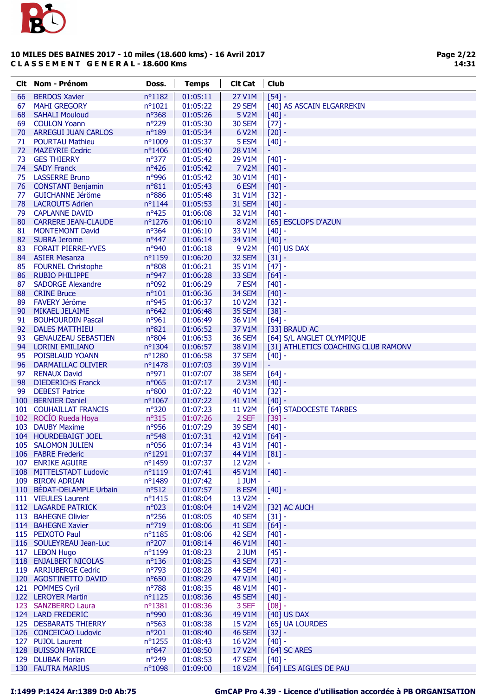

| Clt.     | Nom - Prénom                                   | Doss.                   | <b>Temps</b>         | <b>Clt Cat</b>         | <b>Club</b>                                |
|----------|------------------------------------------------|-------------------------|----------------------|------------------------|--------------------------------------------|
| 66       | <b>BERDOS Xavier</b>                           | nº1182                  | 01:05:11             | 27 V1M                 | $[54] -$                                   |
| 67       | <b>MAHI GREGORY</b>                            | $n^{\circ}1021$         | 01:05:22             | 29 SEM                 | [40] AS ASCAIN ELGARREKIN                  |
| 68       | <b>SAHALI Mouloud</b>                          | nº368                   | 01:05:26             | <b>5 V2M</b>           | $[40] -$                                   |
| 69       | <b>COULON Yoann</b>                            | n°229                   | 01:05:30             | <b>30 SEM</b>          | $[77] -$                                   |
| 70       | <b>ARREGUI JUAN CARLOS</b>                     | n°189                   | 01:05:34             | 6 V2M                  | $[20] -$                                   |
| 71       | <b>POURTAU Mathieu</b>                         | n°1009                  | 01:05:37             | 5 ESM                  | $[40] -$                                   |
| 72       | <b>MAZEYRIE Cedric</b>                         | nº1406                  | 01:05:40             | 28 V1M                 | Ξ                                          |
| 73       | <b>GES THIERRY</b>                             | $n^o$ 377               | 01:05:42             | 29 V1M                 | $[40] -$                                   |
| 74       | <b>SADY Franck</b><br><b>LASSERRE Bruno</b>    | nº426<br>n°996          | 01:05:42             | <b>7 V2M</b><br>30 V1M | $[40] -$<br>$[40] -$                       |
| 75<br>76 | <b>CONSTANT Benjamin</b>                       | $n^o811$                | 01:05:42<br>01:05:43 | 6 ESM                  | $[40] -$                                   |
| 77       | <b>GUICHANNE Jéröme</b>                        | n°886                   | 01:05:48             | 31 V1M                 | $[32] -$                                   |
| 78       | <b>LACROUTS Adrien</b>                         | $n^o$ 1144              | 01:05:53             | 31 SEM                 | $[40] -$                                   |
| 79       | <b>CAPLANNE DAVID</b>                          | $n^o425$                | 01:06:08             | 32 V1M                 | $[40] -$                                   |
| 80       | <b>CARRERE JEAN-CLAUDE</b>                     | $n^{\circ}$ 1276        | 01:06:10             | 8 V2M                  | [65] ESCLOPS D'AZUN                        |
| 81       | <b>MONTEMONT David</b>                         | $n^o$ 364               | 01:06:10             | 33 V1M                 | $[40] -$                                   |
| 82       | <b>SUBRA Jerome</b>                            | nº447                   | 01:06:14             | 34 V1M                 | $[40]$ -                                   |
| 83       | <b>FORAIT PIERRE-YVES</b>                      | nº940                   | 01:06:18             | 9 V2M                  | [40] US DAX                                |
| 84       | <b>ASIER Mesanza</b>                           | nº1159                  | 01:06:20             | 32 SEM                 | $[31] -$                                   |
| 85       | <b>FOURNEL Christophe</b>                      | n°808                   | 01:06:21             | 35 V1M                 | $[47] -$                                   |
| 86       | <b>RUBIO PHILIPPE</b>                          | nº947                   | 01:06:28             | 33 SEM                 | $[64] -$                                   |
| 87       | <b>SADORGE Alexandre</b>                       | n°092                   | 01:06:29             | 7 ESM                  | $[40] -$                                   |
| 88       | <b>CRINE Bruce</b>                             | $n^o101$                | 01:06:36             | 34 SEM                 | $[40] -$                                   |
| 89       | <b>FAVERY Jérôme</b>                           | nº945                   | 01:06:37             | 10 V2M                 | $[32] -$                                   |
| 90       | MIKAEL JELAIME                                 | $n^o642$                | 01:06:48             | 35 SEM                 | $[38] -$                                   |
| 91       | <b>BOUHOURDIN Pascal</b>                       | nº961                   | 01:06:49             | 36 V1M                 | $[64] -$                                   |
| 92       | <b>DALES MATTHIEU</b>                          | n°821<br>nº804          | 01:06:52             | 37 V1M                 | [33] BRAUD AC<br>[64] S/L ANGLET OLYMPIQUE |
| 93<br>94 | <b>GENAUZEAU SEBASTIEN</b><br>LORINI EMILIANO  | nº1304                  | 01:06:53<br>01:06:57 | 36 SEM<br>38 V1M       | [31] ATHLETICS COACHING CLUB RAMONV        |
| 95       | POISBLAUD YOANN                                | nº1280                  | 01:06:58             | 37 SEM                 | $[40] -$                                   |
| 96       | DARMAILLAC OLIVIER                             | nº1478                  | 01:07:03             | 39 V1M                 | Η                                          |
| 97       | <b>RENAUX David</b>                            | nº971                   | 01:07:07             | 38 SEM                 | $[64] -$                                   |
| 98       | <b>DIEDERICHS Franck</b>                       | n°065                   | 01:07:17             | 2 V3M                  | $[40] -$                                   |
| 99       | <b>DEBEST Patrice</b>                          | $n^{\circ}800$          | 01:07:22             | 40 V1M                 | $[32] -$                                   |
| 100      | <b>BERNIER Daniel</b>                          | $n^{\circ}1067$         | 01:07:22             | 41 V1M                 | $[40] -$                                   |
| 101      | <b>COUHAILLAT FRANCIS</b>                      | n°320                   | 01:07:23             | 11 V2M                 | [64] STADOCESTE TARBES                     |
|          | 102 ROCÍO Rueda Hoya                           | n°315                   | 01:07:26             | 2 SEF                  | $[39] -$                                   |
|          | 103 DAUBY Maxime                               | nº956                   | 01:07:29             | 39 SEM                 | $[40] -$                                   |
|          | 104 HOURDEBAIGT JOEL                           | nº548                   | 01:07:31             | 42 V1M                 | $[64] -$                                   |
|          | 105 SALOMON JULIEN                             | n°056                   | 01:07:34             | 43 V1M                 | $[40] -$                                   |
|          | 106 FABRE Frederic                             | n°1291                  | 01:07:37             | 44 V1M                 | $[81]$ -                                   |
|          | 107 ENRIKE AGUIRE                              | nº1459                  | 01:07:37             | 12 V2M                 | $\blacksquare$                             |
|          | 108 MITTELSTADT Ludovic<br>109 BIRON ADRIAN    | n°1119<br>nº1489        | 01:07:41<br>01:07:42 | 45 V1M<br>1 JUM        | $[40] -$<br>$\blacksquare$                 |
|          | 110 BÉDAT-DELAMPLE Urbain                      | $n^o$ 512               | 01:07:57             | 8 ESM                  | $[40] -$                                   |
|          | 111 VIEULES Laurent                            | nº1415                  | 01:08:04             | 13 V2M                 |                                            |
|          | 112 LAGARDE PATRICK                            | n°023                   | 01:08:04             | 14 V2M                 | [32] AC AUCH                               |
|          | 113 BAHEGNE Olivier                            | $n^{\circ}256$          | 01:08:05             | 40 SEM                 | $[31] -$                                   |
|          | 114 BAHEGNE Xavier                             | n°719                   | 01:08:06             | 41 SEM                 | $[64] -$                                   |
|          | 115 PEIXOTO Paul                               | $n^o$ 1185              | 01:08:06             | 42 SEM                 | $[40] -$                                   |
|          | 116 SOULEYREAU Jean-Luc                        | $n^{\circ}207$          | 01:08:14             | 46 V1M                 | $[40] -$                                   |
|          | 117 LEBON Hugo                                 | nº1199                  | 01:08:23             | 2 JUM                  | $[45] -$                                   |
|          | 118 ENJALBERT NICOLAS                          | $n^o$ 136               | 01:08:25             | 43 SEM                 | $[73] -$                                   |
|          | 119 ARRIUBERGE Cedric                          | n°793                   | 01:08:28             | 44 SEM                 | $[40] -$                                   |
|          | 120 AGOSTINETTO DAVID                          | nº650                   | 01:08:29             | 47 V1M                 | $[40] -$                                   |
|          | 121 POMMES Cyril                               | $n^o$ 788               | 01:08:35             | 48 V1M                 | $[40] -$                                   |
|          | 122 LEROYER Martin                             | $n^o$ 1125              | 01:08:36             | 45 SEM                 | $[40] -$                                   |
|          | 123 SANZBERRO Laura                            | $n^o$ 1381              | 01:08:36             | 3 SEF                  | $[08] -$                                   |
|          | 124 LARD FREDERIC                              | nº990                   | 01:08:36             | 49 V1M                 | [40] US DAX                                |
|          | 125 DESBARATS THIERRY<br>126 CONCEICAO Ludovic | nº563<br>$n^{\circ}201$ | 01:08:38<br>01:08:40 | 15 V2M<br>46 SEM       | [65] UA LOURDES<br>$[32] -$                |
|          | 127 PUJOL Laurent                              | $n^{\circ}$ 1255        | 01:08:43             | 16 V2M                 | $[40] -$                                   |
|          | 128 BUISSON PATRICE                            | $n^o847$                | 01:08:50             | 17 V2M                 | [64] SC ARES                               |
|          | 129 DLUBAK Florian                             | $n^{\circ}249$          | 01:08:53             | 47 SEM                 | $[40] -$                                   |
|          | <b>130 FAUTRA MARIUS</b>                       | n°1098                  | 01:09:00             | <b>18 V2M</b>          | [64] LES AIGLES DE PAU                     |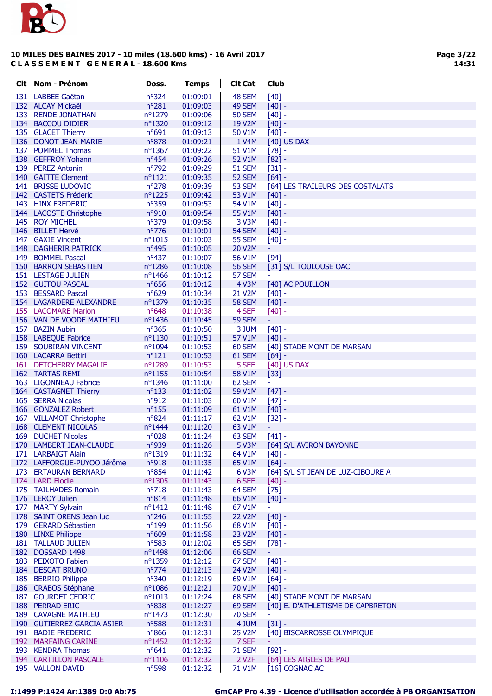

| Clt i | Nom - Prénom               | Doss.            | <b>Temps</b> | <b>Clt Cat</b>     | <b>Club</b>                       |
|-------|----------------------------|------------------|--------------|--------------------|-----------------------------------|
| 131   | <b>LABBEE Gaëtan</b>       | nº324            | 01:09:01     | 48 SEM             | $[40] -$                          |
|       | 132 ALÇAY Mickaël          | n°281            | 01:09:03     | 49 SEM             | $[40] -$                          |
| 133   | <b>RENDE JONATHAN</b>      | nº1279           | 01:09:06     | <b>50 SEM</b>      | $[40] -$                          |
|       | 134 BACCOU DIDIER          | nº1320           | 01:09:12     | 19 V2M             | $[40] -$                          |
|       | 135 GLACET Thierry         | $n^o$ 691        | 01:09:13     | 50 V1M             | $[40] -$                          |
|       | 136 DONOT JEAN-MARIE       | n°878            | 01:09:21     | 1 V4M              | [40] US DAX                       |
|       | 137 POMMEL Thomas          | nº1367           | 01:09:22     | 51 V1M             | $[78] -$                          |
|       | 138 GEFFROY Yohann         | nº454            | 01:09:26     | 52 V1M             | $[82] -$                          |
|       | 139 PEREZ Antonin          | nº792            | 01:09:29     | 51 SEM             | $[31] -$                          |
|       | 140 GAITTE Clement         | $n^o$ 1121       | 01:09:35     | 52 SEM             | $[64]$ -                          |
|       | 141 BRISSE LUDOVIC         | $n^{\circ}278$   | 01:09:39     | 53 SEM             | [64] LES TRAILEURS DES COSTALATS  |
|       | 142 CASTETS Fréderic       | nº1225           | 01:09:42     | 53 V1M             | $[40] -$                          |
|       | 143 HINX FREDERIC          | nº359            | 01:09:53     | 54 V1M             | $[40] -$                          |
|       | 144 LACOSTE Christophe     | nº910            | 01:09:54     | 55 V1M             | $[40] -$                          |
| 145   | <b>ROY MICHEL</b>          | n°379            | 01:09:58     | 3 V3M              | $[40]$ -                          |
| 146   | <b>BILLET Hervé</b>        | nº776            | 01:10:01     | 54 SEM             | $[40]$ -                          |
|       | 147 GAXIE Vincent          | $n^o$ 1015       | 01:10:03     | <b>55 SEM</b>      | $[40]$ -                          |
|       | 148 DAGHERIR PATRICK       | nº495            | 01:10:05     | 20 V2M             | Ξ                                 |
|       | 149 BOMMEL Pascal          | $n^o437$         | 01:10:07     | 56 V1M             | $[94] -$                          |
|       | 150 BARRON SEBASTIEN       | nº1286           | 01:10:08     | <b>56 SEM</b>      | [31] S/L TOULOUSE OAC             |
|       | 151 LESTAGE JULIEN         | nº1466           | 01:10:12     | 57 SEM             |                                   |
|       | 152 GUITOU PASCAL          | nº656            | 01:10:12     | <b>4 V3M</b>       | [40] AC POUILLON                  |
| 153   | <b>BESSARD Pascal</b>      | nº629            | 01:10:34     | 21 V2M             | $[40] -$                          |
|       | 154 LAGARDERE ALEXANDRE    | nº1379           | 01:10:35     | <b>58 SEM</b>      | $[40] -$                          |
|       | 155 LACOMARE Marion        | $n^o648$         | 01:10:38     | 4 SEF              | $[40]$ -                          |
|       | 156 VAN DE VOODE MATHIEU   | nº1436           | 01:10:45     | <b>59 SEM</b>      | ÷                                 |
|       | 157 BAZIN Aubin            | $n^o$ 365        | 01:10:50     | 3 JUM              | $[40] -$                          |
|       | 158 LABEQUE Fabrice        | $n^o$ 1130       | 01:10:51     | 57 V1M             | $[40] -$                          |
|       | 159 SOUBIRAN VINCENT       | nº1094           | 01:10:53     | 60 SEM             | [40] STADE MONT DE MARSAN         |
|       | 160 LACARRA Bettiri        | $n^o121$         | 01:10:53     | 61 SEM             | $[64] -$                          |
|       | 161 DETCHERRY MAGALIE      | nº1289           | 01:10:53     | 5 SEF              | [40] US DAX                       |
|       | <b>162 TARTAS REMI</b>     | $n^o$ 1155       | 01:10:54     | 58 V1M             | $[33] -$                          |
|       | 163 LIGONNEAU Fabrice      | nº1346           | 01:11:00     | 62 SEM             | ÷                                 |
|       | 164 CASTAGNET Thierry      | $n^{\circ}133$   | 01:11:02     | 59 V1M             | $[47] -$                          |
|       | 165 SERRA Nicolas          | nº912            | 01:11:03     | 60 V1M             | $[47] -$                          |
|       | 166 GONZALEZ Robert        | $n^o$ 155        | 01:11:09     | 61 V1M             | $[40]$ -                          |
|       | 167 VILLAMOT Christophe    | nº824            | 01:11:17     | 62 V1M             | $[32] -$                          |
|       | <b>168 CLEMENT NICOLAS</b> | nº1444           | 01:11:20     | 63 V1M             |                                   |
|       | 169 DUCHET Nicolas         | n°028            | 01:11:24     | 63 SEM             | $[41] -$                          |
|       | 170 LAMBERT JEAN-CLAUDE    | nº939            | 01:11:26     | 5 V3M              | [64] S/L AVIRON BAYONNE           |
|       | 171 LARBAIGT Alain         | nº1319           | 01:11:32     | 64 V1M             | $[40] -$                          |
|       | 172 LAFFORGUE-PUYOO Jérôme | nº918            | 01:11:35     | 65 V1M             | $[64] -$                          |
|       | 173 ERTAURAN BERNARD       | $n^o$ 854        | 01:11:42     | 6 V3M              | [64] S/L ST JEAN DE LUZ-CIBOURE A |
|       | 174 LARD Elodie            | nº1305           | 01:11:43     | 6 SEF              | $[40] -$                          |
|       | 175 TAILHADES Romain       | $n^o$ 718        | 01:11:43     | 64 SEM             | $[75]$ -                          |
|       | 176 LEROY Julien           | $n^o814$         | 01:11:48     | 66 V1M             | $[40]$ -                          |
|       | 177 MARTY Sylvain          | nº1412           | 01:11:48     | 67 V1M             |                                   |
|       | 178 SAINT ORENS Jean luc   | $n^{\circ}246$   | 01:11:55     | <b>22 V2M</b>      | $[40] -$                          |
|       | 179 GERARD Sébastien       | $n^o$ 199        | 01:11:56     | 68 V1M             | $[40] -$                          |
|       | 180 LINXE Philippe         | nº609            | 01:11:58     | 23 V2M             | $[40] -$                          |
|       | 181 TALLAUD JULIEN         | $n^o$ 583        | 01:12:02     | 65 SEM             | $[78] -$                          |
|       | 182 DOSSARD 1498           | nº1498           | 01:12:06     | 66 SEM             |                                   |
|       | 183 PEIXOTO Fabien         | nº1359           | 01:12:12     | 67 SEM             | $[40] -$                          |
|       | 184 DESCAT BRUNO           | $n^{\circ}$ 774  | 01:12:13     | 24 V2M             | $[40] -$                          |
|       | 185 BERRIO Philippe        | $n^{\circ}340$   | 01:12:19     | 69 V1M             | $[64] -$                          |
|       | 186 CRABOS Stéphane        | nº1086           | 01:12:21     | 70 V1M             | $[40]$ -                          |
|       | 187 GOURDET CEDRIC         | $n^o$ 1013       | 01:12:24     | 68 SEM             | [40] STADE MONT DE MARSAN         |
|       | 188 PERRAD ERIC            | n°838            | 01:12:27     | 69 SEM             | [40] E. D'ATHLETISME DE CAPBRETON |
|       | <b>189 CAVAGNE MATHIEU</b> | $n^{\circ}$ 1473 | 01:12:30     | <b>70 SEM</b>      |                                   |
|       | 190 GUTIERREZ GARCIA ASIER | $n^o$ 588        | 01:12:31     | 4 JUM              | $[31] -$                          |
|       | 191 BADIE FREDERIC         | $n^{\circ}866$   | 01:12:31     | 25 V2M             | [40] BISCARROSSE OLYMPIQUE        |
|       | 192 MARFAING CARINE        | nº1452           | 01:12:32     | 7 SEF              |                                   |
|       | 193 KENDRA Thomas          | $n^o641$         | 01:12:32     | <b>71 SEM</b>      | $[92] -$                          |
|       | 194 CARTILLON PASCALE      | $n^o$ 1106       | 01:12:32     | 2 V <sub>2</sub> F | [64] LES AIGLES DE PAU            |
|       | 195 VALLON DAVID           | $n^o$ 598        | 01:12:32     | 71 V1M             | [16] COGNAC AC                    |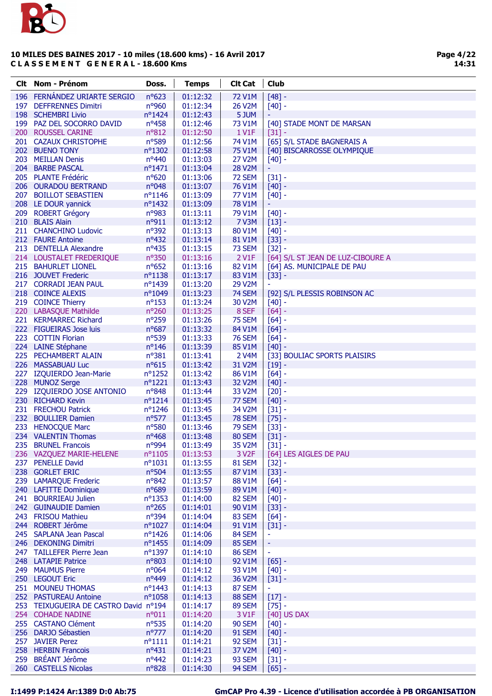

| Clt | <b>Nom - Prénom</b>                             | Doss.                     | <b>Temps</b>         | <b>Clt Cat</b>          | <b>Club</b>                       |
|-----|-------------------------------------------------|---------------------------|----------------------|-------------------------|-----------------------------------|
| 196 | FERNÁNDEZ URIARTE SERGIO                        | nº623                     | 01:12:32             | <b>72 V1M</b>           | $[48] -$                          |
| 197 | <b>DEFFRENNES Dimitri</b>                       | nº960                     | 01:12:34             | 26 V2M                  | $[40] -$                          |
|     | 198 SCHEMBRI Livio                              | $n^{\circ}$ 1424          | 01:12:43             | 5 JUM                   |                                   |
|     | 199 PAZ DEL SOCORRO DAVID                       | $n^o$ 458                 | 01:12:46             | 73 V1M                  | [40] STADE MONT DE MARSAN         |
|     | 200 ROUSSEL CARINE                              | nº812                     | 01:12:50             | 1 V1F                   | $[31] -$                          |
|     | 201 CAZAUX CHRISTOPHE                           | nº589                     | 01:12:56             | 74 V1M                  | [65] S/L STADE BAGNERAIS A        |
|     | 202 BUENO TONY                                  | nº1302                    | 01:12:58             | <b>75 V1M</b>           | [40] BISCARROSSE OLYMPIQUE        |
|     | 203 MEILLAN Denis                               | nº440                     | 01:13:03             | 27 V2M                  | $[40] -$                          |
|     | 204 BARBE PASCAL                                | nº1471                    | 01:13:04             | 28 V2M                  | ۳                                 |
|     | 205 PLANTE Frédéric                             | nº620                     | 01:13:06             | 72 SEM                  | $[31] -$                          |
|     | 206 OURADOU BERTRAND                            | nº048                     | 01:13:07             | 76 V1M                  | $[40] -$                          |
| 207 | <b>BOILLOT SEBASTIEN</b>                        | $n^{\circ}1146$           | 01:13:09             | 77 V1M                  | $[40] -$                          |
|     | 208 LE DOUR yannick                             | $n^{\circ}$ 1432          | 01:13:09             | 78 V1M                  | ۳                                 |
| 209 | <b>ROBERT Grégory</b>                           | n°983                     | 01:13:11             | 79 V1M                  | $[40] -$                          |
|     | 210 BLAIS Alain                                 | n°911                     | 01:13:12             | <b>7 V3M</b>            | $[13] -$                          |
|     | 211 CHANCHINO Ludovic                           | n°392                     | 01:13:13             | 80 V1M                  | $[40] -$                          |
|     | 212 FAURE Antoine                               | nº432                     | 01:13:14             | 81 V1M                  | $[33] -$                          |
|     | 213 DENTELLA Alexandre                          | $n^o435$                  | 01:13:15             | 73 SEM                  | $[32] -$                          |
|     | 214 LOUSTALET FREDERIQUE                        | $n^{\circ}350$            | 01:13:16             | 2 V1F                   | [64] S/L ST JEAN DE LUZ-CIBOURE A |
|     | 215 BAHURLET LIONEL                             | nº652                     | 01:13:16             | 82 V1M                  | [64] AS. MUNICIPALE DE PAU        |
|     | 216 JOUVET Frederic                             | $n^o$ 1138                | 01:13:17             | 83 V1M                  | $[33] -$                          |
|     | 217 CORRADI JEAN PAUL                           | nº1439                    | 01:13:20             | 29 V2M                  |                                   |
|     | 218 COINCE ALEXIS                               | nº1049                    | 01:13:23             | <b>74 SEM</b>           | [92] S/L PLESSIS ROBINSON AC      |
|     | 219 COINCE Thierry<br>220 LABASQUE Mathilde     | $n^o$ 153<br>nº260        | 01:13:24             | 30 V2M                  | $[40] -$                          |
|     | 221 KERMARREC Richard                           | n°259                     | 01:13:25<br>01:13:26 | 8 SEF<br>75 SEM         | $[64] -$                          |
|     | 222 FIGUEIRAS Jose luis                         | nº687                     | 01:13:32             | 84 V1M                  | $[64] -$<br>$[64] -$              |
|     | 223 COTTIN Florian                              | nº539                     | 01:13:33             | <b>76 SEM</b>           | $[64] -$                          |
|     | 224 LAINE Stéphane                              | $n^o$ 146                 | 01:13:39             | 85 V1M                  | $[40] -$                          |
|     | 225 PECHAMBERT ALAIN                            | n°381                     | 01:13:41             | 2 V4M                   | [33] BOULIAC SPORTS PLAISIRS      |
|     | 226 MASSABUAU Luc                               | $n^o615$                  | 01:13:42             | 31 V2M                  | $[19] -$                          |
|     | 227 IZQUIERDO Jean-Marie                        | $n^{\circ}$ 1252          | 01:13:42             | 86 V1M                  | $[64] -$                          |
|     | 228 MUNOZ Serge                                 | nº1221                    | 01:13:43             | 32 V2M                  | $[40] -$                          |
|     | 229 IZQUIERDO JOSE ANTONIO                      | $n^o$ 848                 | 01:13:44             | 33 V2M                  | $[20] -$                          |
|     | 230 RICHARD Kevin                               | $n^o$ 1214                | 01:13:45             | 77 SEM                  | $[40] -$                          |
|     | 231 FRECHOU Patrick                             | nº1246                    | 01:13:45             | 34 V2M                  | $[31] -$                          |
|     | 232 BOULLIER Damien                             | nº577                     | 01:13:45             | <b>78 SEM</b>           | $[75] -$                          |
| 233 | <b>HENOCQUE Marc</b>                            | nº580                     | 01:13:46             | <b>79 SEM</b>           | $[33] -$                          |
|     | 234 VALENTIN Thomas                             | $n^o$ 468                 | 01:13:48             | 80 SEM                  | $[31] -$                          |
| 235 | <b>BRUNEL Francois</b>                          | nº994                     | 01:13:49             | 35 V2M                  | $[31] -$                          |
|     | 236 VAZQUEZ MARIE-HELENE                        | $n^o$ 1105                | 01:13:53             | 3 V <sub>2F</sub>       | [64] LES AIGLES DE PAU            |
|     | 237 PENELLE David                               | $n^o$ 1031                | 01:13:55             | 81 SEM                  | $[32] -$                          |
|     | 238 GORLET ERIC                                 | nº504                     | 01:13:55             | 87 V1M                  | $[33] -$                          |
|     | 239 LAMARQUE Frederic                           | nº842                     | 01:13:57             | 88 V1M                  | $[64] -$                          |
|     | 240 LAFITTE Dominique                           | n°689                     | 01:13:59             | 89 V1M                  | $[40] -$                          |
|     | 241 BOURRIEAU Julien                            | nº1353                    | 01:14:00             | 82 SEM                  | $[40] -$                          |
|     | 242 GUINAUDIE Damien                            | $n^{\circ}265$            | 01:14:01             | 90 V1M                  | $[33] -$                          |
|     | 243 FRISOU Mathieu                              | nº394                     | 01:14:04             | 83 SEM                  | $[64] -$                          |
|     | 244 ROBERT Jérôme                               | $n^{\circ}1027$<br>nº1426 | 01:14:04<br>01:14:06 | 91 V1M                  | $[31] -$                          |
|     | 245 SAPLANA Jean Pascal<br>246 DEKONING Dimitri | $n^o$ 1455                | 01:14:09             | 84 SEM<br><b>85 SEM</b> | $\blacksquare$<br>÷,              |
|     | 247 TAILLEFER Pierre Jean                       | $n^{\circ}$ 1397          | 01:14:10             | <b>86 SEM</b>           | $\equiv$                          |
|     | 248 LATAPIE Patrice                             | n°803                     | 01:14:10             | 92 V1M                  | $[65] -$                          |
|     | 249 MAUMUS Pierre                               | n°064                     | 01:14:12             | 93 V1M                  | $[40] -$                          |
|     | 250 LEGOUT Eric                                 | nº449                     | 01:14:12             | 36 V2M                  | $[31] -$                          |
|     | 251 MOUNEU THOMAS                               | $n^o$ 1443                | 01:14:13             | 87 SEM                  |                                   |
|     | 252 PASTUREAU Antoine                           | $n^{\circ}1058$           | 01:14:13             | 88 SEM                  | $[17] -$                          |
|     | 253 TEIXUGUEIRA DE CASTRO David nº194           |                           | 01:14:17             | 89 SEM                  | $[75] -$                          |
|     | 254 COHADE NADINE                               | $n^o011$                  | 01:14:20             | 3 V1F                   | [40] US DAX                       |
|     | 255 CASTANO Clément                             | nº535                     | 01:14:20             | 90 SEM                  | $[40] -$                          |
|     | 256 DARJO Sébastien                             | $n^{\circ}777$            | 01:14:20             | <b>91 SEM</b>           | $[40] -$                          |
|     | 257 JAVIER Perez                                | $n^o$ 1111                | 01:14:21             | 92 SEM                  | $[31] -$                          |
|     | 258 HERBIN Francois                             | $n^o431$                  | 01:14:21             | 37 V2M                  | $[40] -$                          |
|     | 259 BRÉANT Jérôme                               | nº442                     | 01:14:23             | 93 SEM                  | $[31] -$                          |
|     | 260 CASTELLS Nicolas                            | n°828                     | 01:14:30             | 94 SEM                  | $[65] -$                          |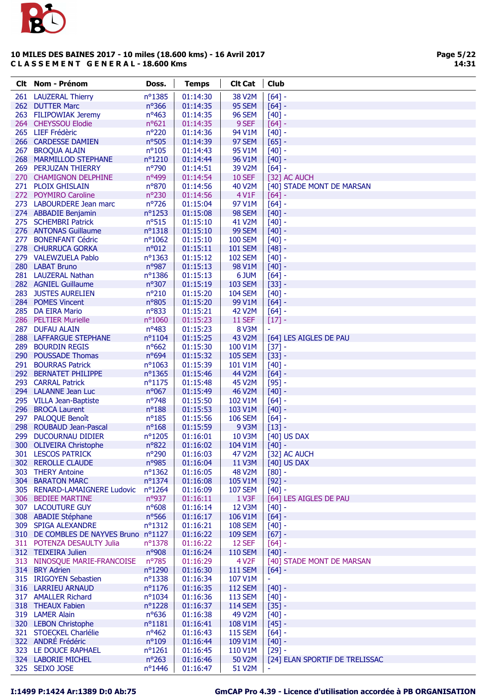

| Clt i | Nom - Prénom                          | Doss.            | <b>Temps</b> | <b>Clt Cat</b>        | <b>Club</b>                    |
|-------|---------------------------------------|------------------|--------------|-----------------------|--------------------------------|
|       | 261 LAUZERAL Thierry                  | nº1385           | 01:14:30     | 38 V2M                | $[64] -$                       |
|       | 262 DUTTER Marc                       | $n^{\circ}366$   | 01:14:35     | 95 SEM                | $[64] -$                       |
|       | 263 FILIPOWIAK Jeremy                 | $n^o$ 463        | 01:14:35     | <b>96 SEM</b>         | $[40]$ -                       |
|       | 264 CHEYSSOU Elodie                   | $n^o621$         | 01:14:35     | 9 SEF                 | $[64] -$                       |
|       | 265 LIEF Frédèric                     | n°220            | 01:14:36     | 94 V1M                | $[40] -$                       |
|       | 266 CARDESSE DAMIEN                   | nº505            | 01:14:39     | 97 SEM                | $[65]$ -                       |
| 267   | <b>BROQUA ALAIN</b>                   | $n^{\circ}105$   | 01:14:43     | 95 V1M                | $[40]$ -                       |
|       | 268 MARMILLOD STEPHANE                | nº1210           | 01:14:44     | 96 V1M                | $[40] -$                       |
|       | 269 PERJUZAN THIERRY                  | n°790            | 01:14:51     | 39 V2M                | $[64] -$                       |
|       | 270 CHAMIGNON DELPHINE                | nº499            | 01:14:54     | <b>10 SEF</b>         | [32] AC AUCH                   |
|       | 271 PLOIX GHISLAIN                    | nº870            | 01:14:56     | 40 V2M                | [40] STADE MONT DE MARSAN      |
|       | 272 POYMIRO Caroline                  | nº230            | 01:14:56     | 4 V1F                 | $[64]$ -                       |
|       | 273 LABOURDERE Jean marc              | nº726            | 01:15:04     | 97 V1M                | $[64]$ -                       |
|       | 274 ABBADIE Benjamin                  | nº1253           | 01:15:08     | <b>98 SEM</b>         | $[40]$ -                       |
|       | 275 SCHEMBRI Patrick                  | $n^o$ 515        | 01:15:10     | 41 V2M                | $[40] -$                       |
|       | 276 ANTONAS Guillaume                 | nº1318           | 01:15:10     | 99 SEM                | $[40]$ -                       |
| 277   | <b>BONENFANT Cédric</b>               | $n^o$ 1062       | 01:15:10     | <b>100 SEM</b>        | $[40]$ -                       |
|       | 278 CHURRUCA GORKA                    | n°012            | 01:15:11     | <b>101 SEM</b>        | $[48] -$                       |
|       | 279 VALEWZUELA Pablo                  | nº1363           | 01:15:12     | <b>102 SEM</b>        | $[40]$ -                       |
|       | 280 LABAT Bruno                       | nº987            | 01:15:13     | 98 V1M                | $[40] -$                       |
|       | 281 LAUZERAL Nathan                   | nº1386           | 01:15:13     | 6 JUM                 | $[64]$ -                       |
|       | 282 AGNIEL Guillaume                  | nº307            | 01:15:19     | <b>103 SEM</b>        | $[33] -$                       |
|       | 283 JUSTES AURELIEN                   | $n^{\circ}210$   | 01:15:20     | <b>104 SEM</b>        | $[40] -$                       |
|       | 284 POMES Vincent                     | n°805            | 01:15:20     | 99 V1M                | $[64] -$                       |
| 285   | <b>DA EIRA Mario</b>                  | nº833            | 01:15:21     | 42 V2M                | $[64]$ -                       |
|       | 286 PELTIER Murielle                  | nº1060           | 01:15:23     | <b>11 SEF</b>         | $[17]$ -                       |
|       | 287 DUFAU ALAIN                       | $n^o483$         | 01:15:23     | <b>8 V3M</b>          |                                |
|       | 288 LAFFARGUE STEPHANE                | $n^{\circ}1104$  | 01:15:25     | 43 V2M                | [64] LES AIGLES DE PAU         |
|       | 289 BOURDIN REGIS                     | nº662            | 01:15:30     | 100 V1M               | $[37] -$                       |
|       | 290 POUSSADE Thomas                   | nº694            | 01:15:32     | <b>105 SEM</b>        | $[33] -$                       |
|       | 291 BOURRAS Patrick                   | $n^o$ 1063       | 01:15:39     | 101 V1M               | $[40]$ -                       |
|       | 292 BERNATET PHILIPPE                 | nº1365           | 01:15:46     | 44 V2M                | $[64]$ -                       |
|       | 293 CARRAL Patrick                    | $n^{\circ}1175$  | 01:15:48     | 45 V2M                | $[95]$ -                       |
|       | 294 LALANNE Jean Luc                  | nº067            | 01:15:49     | 46 V2M                | $[40]$ -                       |
|       | 295 VILLA Jean-Baptiste               | $n^{\circ}748$   | 01:15:50     | 102 V1M               | $[64]$ -                       |
|       | 296 BROCA Laurent                     | $n^o$ 188        | 01:15:53     | 103 V1M               | $[40]$ -                       |
|       | 297 PALOQUE Benoît                    | $n^o$ 185        | 01:15:56     | <b>106 SEM</b>        | $[64]$ -                       |
|       | 298 ROUBAUD Jean-Pascal               | $n^o$ 168        | 01:15:59     | 9 V3M                 | $[13] -$                       |
|       | 299 DUCOURNAU DIDIER                  | nº1205           | 01:16:01     | 10 V3M                | [40] US DAX                    |
|       | 300 OLIVEIRA Christophe               | nº822            | 01:16:02     | $104$ V1M $\parallel$ | $[40]$ -                       |
|       | 301 LESCOS PATRICK                    | n°290            | 01:16:03     | 47 V2M                | [32] AC AUCH                   |
|       | 302 REROLLE CLAUDE                    | nº985            | 01:16:04     | 11 V3M                | [40] US DAX                    |
|       | 303 THERY Antoine                     | nº1362           | 01:16:05     | <b>48 V2M</b>         | $[80] -$                       |
|       | <b>304 BARATON MARC</b>               | $n^{\circ}$ 1374 | 01:16:08     | 105 V1M               | $[92] -$                       |
|       | 305 RENARD-LAMAIGNERE Ludovic         | $n^{\circ}$ 1264 | 01:16:09     | <b>107 SEM</b>        | $[40] -$                       |
|       | 306 BEDIEE MARTINE                    | n°937            | 01:16:11     | 1 V3F                 | [64] LES AIGLES DE PAU         |
|       | 307 LACOUTURE GUY                     | $n^o$ 608        | 01:16:14     | <b>12 V3M</b>         | $[40] -$                       |
|       | 308 ABADIE Stéphane                   | nº566            | 01:16:17     | 106 V1M               | $[64] -$                       |
|       | 309 SPIGA ALEXANDRE                   | $n^o$ 1312       | 01:16:21     | <b>108 SEM</b>        | $[40] -$                       |
|       | 310 DE COMBLES DE NAYVES Bruno nº1127 |                  | 01:16:22     | <b>109 SEM</b>        | $[67] -$                       |
|       | 311 POTENZA DESAULTY Julia            | $n^{\circ}$ 1378 | 01:16:22     | 12 SEF                | $[64] -$                       |
|       | 312 TEIXEIRA Julien                   | n°908            | 01:16:24     | <b>110 SEM</b>        | $[40] -$                       |
|       | 313 NINOSQUE MARIE-FRANCOISE          | n°785            | 01:16:29     | 4 V <sub>2</sub> F    | [40] STADE MONT DE MARSAN      |
|       | 314 BRY Adrien                        | nº1290           | 01:16:30     | <b>111 SEM</b>        | $[64]$ -                       |
|       | 315 IRIGOYEN Sebastien                | $n^{\circ}$ 1338 | 01:16:34     | 107 V1M               | ÷                              |
|       | 316 LARRIEU ARNAUD                    | $n^{\circ}1176$  | 01:16:35     | <b>112 SEM</b>        | $[40] -$                       |
|       | 317 AMALLER Richard                   | $n^{\circ}1034$  | 01:16:36     | <b>113 SEM</b>        | $[40] -$                       |
|       | 318 THEAUX Fabien                     | $n^o$ 1228       | 01:16:37     | <b>114 SEM</b>        | $[35] -$                       |
|       | 319 LAMER Alain                       | $n^o$ 636        | 01:16:38     | 49 V2M                | $[40] -$                       |
|       | 320 LEBON Christophe                  | $n^o$ 1181       | 01:16:41     | 108 V1M               | $[45] -$                       |
|       | 321 STOECKEL Charlélie                | $n^o$ 462        | 01:16:43     | <b>115 SEM</b>        | $[64] -$                       |
|       | 322 ANDRÉ Frédéric                    | $n^{\circ}109$   | 01:16:44     | 109 V1M               | $[40] -$                       |
|       | 323 LE DOUCE RAPHAEL                  | $n^o$ 1261       | 01:16:45     | 110 V1M               | $[29] -$                       |
|       | 324 LABORIE MICHEL                    | $n^{\circ}263$   | 01:16:46     | 50 V2M                | [24] ELAN SPORTIF DE TRELISSAC |
|       | 325 SEIXO JOSE                        | nº1446           | 01:16:47     | 51 V2M                | $\blacksquare$                 |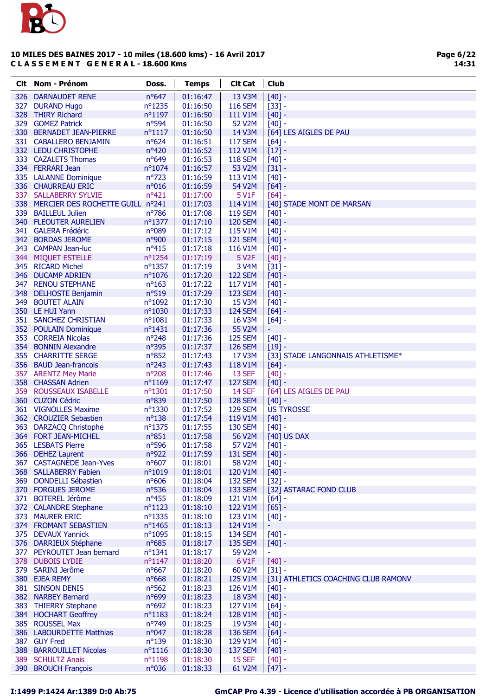

Page 6/22 14:31

| Clt Nom - Prénom                                              | Doss.                         | <b>Temps</b>         | <b>Clt Cat</b>            | <b>Club</b>                           |
|---------------------------------------------------------------|-------------------------------|----------------------|---------------------------|---------------------------------------|
| 326 DARNAUDET RENE                                            | $n^o647$                      | 01:16:47             | 13 V3M                    | $[40] -$                              |
| 327 DURAND Hugo                                               | nº1235                        | 01:16:50             | <b>116 SEM</b>            | $[33] -$                              |
| 328 THIRY Richard                                             | $n^{\circ}1197$               | 01:16:50             | 111 V1M                   | $[40] -$                              |
| 329 GOMEZ Patrick                                             | $n^o$ 594                     | 01:16:50             | 52 V2M                    | $[40] -$                              |
| 330 BERNADET JEAN-PIERRE                                      | $n^o$ 1117                    | 01:16:50             | 14 V3M                    | [64] LES AIGLES DE PAU                |
| 331 CABALLERO BENJAMIN                                        | $n^o624$                      | 01:16:51             | <b>117 SEM</b>            | $[64] -$                              |
| 332 LEDU CHRISTOPHE                                           | nº420                         | 01:16:52             | 112 V1M                   | $[17] -$                              |
| 333 CAZALETS Thomas                                           | $n^o649$                      | 01:16:53             | <b>118 SEM</b>            | $[40] -$                              |
| 334 FERRARI Jean                                              | nº1074                        | 01:16:57             | 53 V2M                    | $[31] -$                              |
| 335 LALANNE Dominique                                         | $n^{\circ}723$                | 01:16:59             | 113 V1M                   | $[40] -$                              |
| 336 CHAURREAU ERIC                                            | n°016                         | 01:16:59             | 54 V2M                    | $[64] -$                              |
| 337 SALLABERRY SYLVIE<br>338 MERCIER DES ROCHETTE GUILL nº241 | nº421                         | 01:17:00<br>01:17:03 | 5 V1F<br>114 V1M          | $[64] -$<br>[40] STADE MONT DE MARSAN |
| 339 BAILLEUL Julien                                           | nº786                         | 01:17:08             | <b>119 SEM</b>            | $[40] -$                              |
| 340 FLEOUTER AURELIEN                                         | nº1377                        | 01:17:10             | <b>120 SEM</b>            | $[40] -$                              |
| 341 GALERA Frédéric                                           | n°089                         | 01:17:12             | 115 V1M                   | $[40] -$                              |
| 342 BORDAS JEROME                                             | n°900                         | 01:17:15             | <b>121 SEM</b>            | $[40] -$                              |
| 343 CAMPAN Jean-luc                                           | $n^o415$                      | 01:17:18             | 116 V1M                   | $[40] -$                              |
| 344 MIQUET ESTELLE                                            | nº1254                        | 01:17:19             | 5 V <sub>2</sub> F        | $[40] -$                              |
| 345 RICARD Michel                                             | nº1357                        | 01:17:19             | 3 V4M                     | $[31] -$                              |
| 346 DUCAMP ADRIEN                                             | nº1076                        | 01:17:20             | <b>122 SEM</b>            | $[40] -$                              |
| 347 RENOU STEPHANE                                            | $n^o$ 163                     | 01:17:22             | 117 V1M                   | $[40] -$                              |
| 348 DELHOSTE Benjamin                                         | $n^o$ 519                     | 01:17:29             | <b>123 SEM</b>            | $[40]$ -                              |
| 349 BOUTET ALAIN                                              | nº1092                        | 01:17:30             | 15 V3M                    | $[40] -$                              |
| 350 LE HUI Yann                                               | $n^{\circ}1030$               | 01:17:33             | <b>124 SEM</b>            | $[64] -$                              |
| 351 SANCHEZ CHRISTIAN                                         | $n^o$ 1081                    | 01:17:33             | 16 V3M                    | $[64]$ -                              |
| 352 POULAIN Dominique                                         | $n^{\circ}$ 1431              | 01:17:36             | 55 V2M                    | Ξ                                     |
| 353 CORREIA Nicolas                                           | $n^{\circ}248$                | 01:17:36             | <b>125 SEM</b>            | $[40] -$                              |
| 354 BONNIN Alexandre                                          | $n^{\circ}395$                | 01:17:37             | <b>126 SEM</b>            | $[19] -$                              |
| 355 CHARRITTE SERGE                                           | nº852                         | 01:17:43             | 17 V3M                    | [33] STADE LANGONNAIS ATHLETISME*     |
| 356 BAUD Jean-francois                                        | $n^{\circ}243$                | 01:17:43             | 118 V1M                   | $[64]$ -                              |
| 357 ARENTZ Mey Marie                                          | nº208                         | 01:17:46             | 13 SEF                    | $[40] -$                              |
| 358 CHASSAN Adrien                                            | nº1169                        | 01:17:47             | <b>127 SEM</b>            | $[40] -$                              |
| 359 ROUSSEAUX ISABELLE                                        | $n^o$ 1301                    | 01:17:50             | 14 SEF                    | [64] LES AIGLES DE PAU                |
| 360 CUZON Cédric                                              | nº839                         | 01:17:50             | <b>128 SEM</b>            | $[40]$ -                              |
| 361 VIGNOLLES Maxime<br>362 CROUZIER Sebastien                | $n^{\circ}$ 1330<br>$n^o$ 138 | 01:17:52<br>01:17:54 | <b>129 SEM</b><br>119 V1M | <b>US TYROSSE</b>                     |
| 363 DARZACQ Christophe                                        | nº1375                        | 01:17:55             | <b>130 SEM</b>            | $[40] -$<br>$[40] -$                  |
| 364 FORT JEAN-MICHEL                                          | nº851                         | 01:17:58             | 56 V2M                    | [40] US DAX                           |
| 365 LESBATS Pierre                                            | nº596                         | 01:17:58             | <b>57 V2M</b>             | $[40]$ -                              |
| 366 DEHEZ Laurent                                             | $n^{\circ}922$                | 01:17:59             | <b>131 SEM</b>            | $[40] -$                              |
| 367 CASTAGNÈDE Jean-Yves                                      | $n^o$ 607                     | 01:18:01             | 58 V2M                    | $[40] -$                              |
| 368 SALLABERRY Fabien                                         | nº1019                        | 01:18:01             | 120 V1M                   | $[40] -$                              |
| 369 DONDELLI Sébastien                                        | $n^o$ 606                     | 01:18:04             | <b>132 SEM</b>            | $[32] -$                              |
| 370 FORGUES JEROME                                            | $n^o$ 536                     | 01:18:04             | <b>133 SEM</b>            | [32] ASTARAC FOND CLUB                |
| 371 BOTEREL Jérôme                                            | $n^o$ 455                     | 01:18:09             | 121 V1M                   | $[64] -$                              |
| 372 CALANDRE Stephane                                         | $n^o$ 1123                    | 01:18:10             | 122 V1M                   | $[65] -$                              |
| 373 MAURER ERIC                                               | nº1335                        | 01:18:10             | 123 V1M                   | $[40] -$                              |
| 374 FROMANT SEBASTIEN                                         | nº1465                        | 01:18:13             | 124 V1M                   |                                       |
| 375 DEVAUX Yannick                                            | nº1095                        | 01:18:15             | <b>134 SEM</b>            | $[40] -$                              |
| 376 DARRIEUX Stéphane                                         | $n^o$ 685                     | 01:18:17             | <b>135 SEM</b>            | $[40] -$                              |
| 377 PEYROUTET Jean bernard                                    | $n^o$ 1341                    | 01:18:17             | 59 V2M                    | ÷                                     |
| 378 DUBOIS LYDIE                                              | $n^o$ 1147                    | 01:18:20             | 6 V1F                     | $[40] -$                              |
| 379 SARINI Jerôme                                             | $n^o$ 667                     | 01:18:20             | 60 V2M                    | $[31] -$                              |
| 380 EJEA REMY                                                 | $n^o$ 668                     | 01:18:21             | 125 V1M                   | [31] ATHLETICS COACHING CLUB RAMONV   |
| 381 SINSON DENIS                                              | $n^o$ 562                     | 01:18:23             | 126 V1M                   | $[40] -$                              |
| 382 NARBEY Bernard                                            | n°699                         | 01:18:23             | 18 V3M                    | $[40] -$                              |
| 383 THIERRY Stephane<br>384 HOCHART Geoffrey                  | $n^o$ 692<br>nº1183           | 01:18:23<br>01:18:24 | 127 V1M<br>128 V1M        | $[64] -$                              |
| 385 ROUSSEL Max                                               | $n^{\circ}749$                | 01:18:25             | 19 V3M                    | $[40] -$<br>$[40] -$                  |
| 386 LABOURDETTE Matthias                                      | $n^{\circ}047$                | 01:18:28             | <b>136 SEM</b>            | $[64] -$                              |
| 387 GUY Fred                                                  | $n^o$ 139                     | 01:18:30             | 129 V1M                   | $[40] -$                              |
| 388 BARROUILLET Nicolas                                       | $n^o$ 1116                    | 01:18:30             | <b>137 SEM</b>            | $[40] -$                              |
| 389 SCHULTZ Anais                                             | nº1198                        | 01:18:30             | 15 SEF                    | $[40] -$                              |
| 390 BROUCH François                                           | n°036                         | 01:18:33             | 61 V2M                    | $[47] -$                              |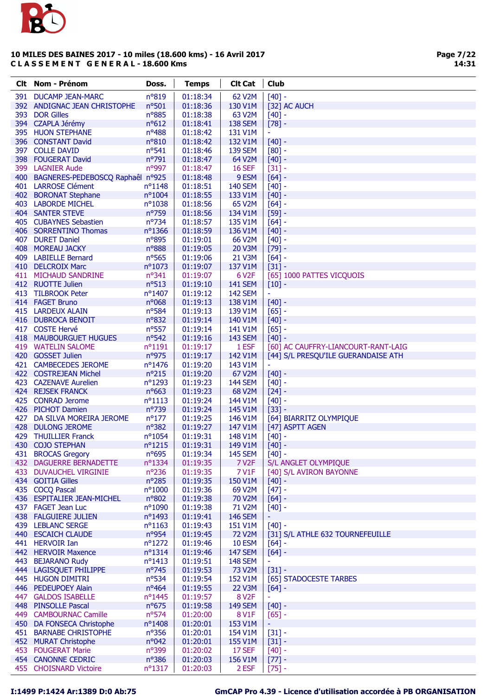

| Clt Nom - Prénom                              | Doss.               | <b>Temps</b>         | <b>Clt Cat</b>              | <b>Club</b>                                     |
|-----------------------------------------------|---------------------|----------------------|-----------------------------|-------------------------------------------------|
| 391 DUCAMP JEAN-MARC                          | n°819               | 01:18:34             | 62 V2M                      | $[40] -$                                        |
| 392 ANDIGNAC JEAN CHRISTOPHE                  | nº501               | 01:18:36             | 130 V1M                     | [32] AC AUCH                                    |
| 393 DOR Gilles                                | $n^o$ 885           | 01:18:38             | 63 V2M                      | $[40] -$                                        |
| 394 CZAPLA Jérémy                             | $n^o612$            | 01:18:41             | <b>138 SEM</b>              | $[78] -$                                        |
| 395 HUON STEPHANE                             | nº488               | 01:18:42             | 131 V1M                     | ÷                                               |
| 396 CONSTANT David                            | nº810               | 01:18:42             | 132 V1M                     | $[40] -$                                        |
| 397 COLLE DAVID                               | $n^o$ 541           | 01:18:46             | <b>139 SEM</b>              | $[80]$ -                                        |
| 398 FOUGERAT David                            | nº791               | 01:18:47             | 64 V2M                      | $[40] -$                                        |
| 399 LAGNIER Aude                              | nº997               | 01:18:47             | <b>16 SEF</b>               | $[31] -$                                        |
| 400 BAGNERES-PEDEBOSCQ Raphaêl nº925          |                     | 01:18:48             | 9 ESM                       | $[64] -$                                        |
| 401 LARROSE Clément                           | $n^{\circ}1148$     | 01:18:51             | <b>140 SEM</b>              | $[40] -$                                        |
| 402 BORONAT Stephane                          | $n^{\circ}1004$     | 01:18:55             | 133 V1M                     | $[40] -$                                        |
| 403 LABORDE MICHEL                            | $n^{\circ}1038$     | 01:18:56             | 65 V2M                      | $[64] -$                                        |
| <b>404 SANTER STEVE</b>                       | n°759               | 01:18:56             | 134 V1M                     | $[59] -$                                        |
| 405 CUBAYNES Sebastien                        | $n^{\circ}$ 734     | 01:18:57             | 135 V1M                     | $[64] -$                                        |
| 406 SORRENTINO Thomas                         | $n^{\circ}$ 1366    | 01:18:59             | 136 V1M                     | $[40] -$                                        |
| 407 DURET Daniel                              | n°895               | 01:19:01             | 66 V2M                      | $[40] -$                                        |
| 408 MOREAU JACKY                              | nº888               | 01:19:05             | 20 V3M                      | $[79] -$                                        |
| 409 LABIELLE Bernard                          | nº565               | 01:19:06             | 21 V3M                      | $[64] -$                                        |
| 410 DELCROIX Marc                             | $n^{\circ}1073$     | 01:19:07             | 137 V1M                     | $[31] -$                                        |
| 411 MICHAUD SANDRINE                          | nº341               | 01:19:07             | 6 V <sub>2</sub> F          | [65] 1000 PATTES VICQUOIS                       |
| 412 RUOTTE Julien                             | $n^o$ 513           | 01:19:10             | <b>141 SEM</b>              | $[10] -$                                        |
| 413 TILBROOK Peter                            | nº1407              | 01:19:12             | <b>142 SEM</b>              | ÷,                                              |
| 414 FAGET Bruno                               | $n^{\circ}068$      | 01:19:13             | 138 V1M                     | $[40] -$                                        |
| 415 LARDEUX ALAIN                             | nº584               | 01:19:13             | 139 V1M                     | $[65] -$                                        |
| 416 DUBROCA BENOIT                            | nº832               | 01:19:14             | 140 V1M                     | $[40] -$                                        |
| 417 COSTE Hervé                               | nº557               | 01:19:14             | 141 V1M                     | $[65] -$                                        |
| 418 MAUBOURGUET HUGUES                        | $n^o$ 542           | 01:19:16             | <b>143 SEM</b>              | $[40] -$                                        |
| 419 WATELIN SALOME                            | $n^{\circ}1191$     | 01:19:17             | 1 ESF                       | [60] AC CAUFFRY-LIANCOURT-RANT-LAIG             |
| 420 GOSSET Julien                             | nº975               | 01:19:17             | 142 V1M                     | [44] S/L PRESQU'ILE GUERANDAISE ATH             |
| 421 CAMBECEDES JEROME                         | nº1476              | 01:19:20             | 143 V1M                     | ÷                                               |
| 422 COSTREJEAN Michel                         | $n^o215$            | 01:19:20             | 67 V2M                      | $[40] -$                                        |
| 423 CAZENAVE Aurelien                         | $n^{\circ}1293$     | 01:19:23             | <b>144 SEM</b>              | $[40] -$                                        |
| 424 REJSEK FRANCK                             | $n^o$ 663           | 01:19:23             | 68 V2M                      | $[24] -$                                        |
| 425 CONRAD Jerome                             | $n^o$ 1113          | 01:19:24             | 144 V1M                     | $[40] -$                                        |
| 426 PICHOT Damien                             | n°739               | 01:19:24             | 145 V1M                     | $[33] -$                                        |
| 427 DA SILVA MOREIRA JEROME                   | $n^{\circ}177$      | 01:19:25             | 146 V1M                     | [64] BIARRITZ OLYMPIQUE                         |
| 428 DULONG JEROME                             | nº382               | 01:19:27             | 147 V1M                     | [47] ASPTT AGEN                                 |
| 429 THUILLIER Franck                          | $n^{\circ}1054$     | 01:19:31             | 148 V1M                     | $[40] -$                                        |
| 430 COJO STEPHAN                              | $n^o$ 1215          | 01:19:31             | 149 V1M                     | $\mid$ [40] -                                   |
| 431 BROCAS Gregory<br>432 DAGUERRE BERNADETTE | $n^o$ 695           | 01:19:34             | <b>145 SEM</b>              | $[40] -$                                        |
|                                               | $n^o$ 1334<br>nº236 | 01:19:35             | 7 V <sub>2</sub> F<br>7 V1F | S/L ANGLET OLYMPIQUE<br>[40] S/L AVIRON BAYONNE |
| 433 DUVAUCHEL VIRGINIE<br>434 GOITIA Gilles   | nº285               | 01:19:35<br>01:19:35 | 150 V1M                     |                                                 |
| 435 COCQ Pascal                               | $n^{\circ}1000$     | 01:19:36             | 69 V2M                      | $[40] -$<br>$[47] -$                            |
| 436 ESPITALIER JEAN-MICHEL                    | nº802               | 01:19:38             | 70 V2M                      | $[64] -$                                        |
| 437 FAGET Jean Luc                            | nº1090              | 01:19:38             | 71 V2M                      | $[40] -$                                        |
| 438 FALGUIERE JULIEN                          | nº1493              | 01:19:41             | <b>146 SEM</b>              | ٠                                               |
| 439 LEBLANC SERGE                             | $n^o$ 1163          | 01:19:43             | 151 V1M                     | $[40] -$                                        |
| 440 ESCAICH CLAUDE                            | nº954               | 01:19:45             | 72 V2M                      | [31] S/L ATHLE 632 TOURNEFEUILLE                |
| 441 HERVOIR Ian                               | $n^{\circ}1272$     | 01:19:46             | <b>10 ESM</b>               | $[64] -$                                        |
| 442 HERVOIR Maxence                           | $n^o$ 1314          | 01:19:46             | <b>147 SEM</b>              | $[64] -$                                        |
| 443 BEJARANO Rudy                             | $n^o$ 1413          | 01:19:51             | <b>148 SEM</b>              |                                                 |
| 444 LAGISQUET PHILIPPE                        | $n^{\circ}745$      | 01:19:53             | 73 V2M                      | $[31] -$                                        |
| 445 HUGON DIMITRI                             | nº534               | 01:19:54             | 152 V1M                     | [65] STADOCESTE TARBES                          |
| 446 PEDEUPOEY Alain                           | $n^o$ 464           | 01:19:55             | 22 V3M                      | $[64]$ -                                        |
| 447 GALDOS ISABELLE                           | nº1445              | 01:19:57             | 8 V <sub>2</sub> F          | ÷                                               |
| 448 PINSOLLE Pascal                           | $n^o$ 675           | 01:19:58             | <b>149 SEM</b>              | $[40] -$                                        |
| 449 CAMBOURNAC Camille                        | $n^o$ 574           | 01:20:00             | 8 V1F                       | $[65]$ -                                        |
| 450 DA FONSECA Christophe                     | nº1408              | 01:20:01             | 153 V1M                     |                                                 |
| 451 BARNABE CHRISTOPHE                        | $n^{\circ}356$      | 01:20:01             | 154 V1M                     | $[31] -$                                        |
| 452 MURAT Christophe                          | $n^{\circ}042$      | 01:20:01             | 155 V1M                     | $[31] -$                                        |
| 453 FOUGERAT Marie                            | $n^{\circ}399$      | 01:20:02             | 17 SEF                      | $[40] -$                                        |
| 454 CANONNE CEDRIC                            | nº386               | 01:20:03             | 156 V1M                     | $[77] -$                                        |
| 455 CHOISNARD Victoire                        | $n^o$ 1317          | 01:20:03             | 2 ESF                       | $[75]$ -                                        |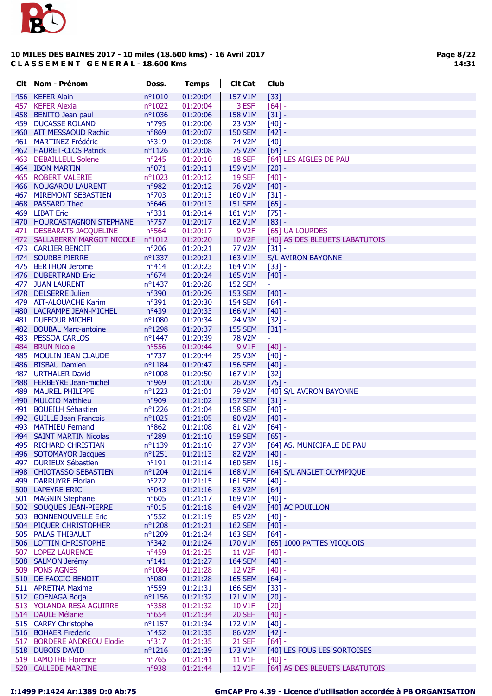

|     | <b>Clt</b> Nom - Prénom                       | Doss.                   | <b>Temps</b>         | <b>Clt Cat</b>                   | <b>Club</b>                    |
|-----|-----------------------------------------------|-------------------------|----------------------|----------------------------------|--------------------------------|
|     | 456 KEFER Alain                               | $n^{\circ}1010$         | 01:20:04             | 157 V1M                          | $[33] -$                       |
| 457 | <b>KEFER Alexia</b>                           | nº1022                  | 01:20:04             | 3 ESF                            | $[64] -$                       |
|     | 458 BENITO Jean paul                          | nº1036                  | 01:20:06             | 158 V1M                          | $[31] -$                       |
|     | 459 DUCASSE ROLAND                            | n°795                   | 01:20:06             | 23 V3M                           | $[40] -$                       |
|     | 460 AIT MESSAOUD Rachid                       | n°869                   | 01:20:07             | <b>150 SEM</b>                   | $[42] -$                       |
|     | 461 MARTINEZ Frédéric                         | n°319                   | 01:20:08             | 74 V2M                           | $[40] -$                       |
|     | 462 HAURET-CLOS Patrick                       | $n^o$ 1126              | 01:20:08             | 75 V2M                           | $[64] -$                       |
|     | 463 DEBAILLEUL Solene                         | nº245                   | 01:20:10             | 18 SEF                           | [64] LES AIGLES DE PAU         |
|     | 464 IBON MARTIN                               | n°071                   | 01:20:11             | 159 V1M                          | $[20] -$                       |
|     | 465 ROBERT VALERIE                            | nº1023                  | 01:20:12             | <b>19 SEF</b>                    | $[40] -$                       |
|     | 466 NOUGAROU LAURENT                          | nº982                   | 01:20:12             | 76 V2M                           | $[40] -$                       |
|     | 467 MIREMONT SEBASTIEN                        | nº703                   | 01:20:13             | 160 V1M                          | $[31] -$                       |
|     | 468 PASSARD Theo<br>469 LIBAT Eric            | nº646<br>$n^o$ 331      | 01:20:13             | <b>151 SEM</b>                   | $[65]$ -                       |
|     | 470 HOURCASTAGNON STEPHANE                    | nº757                   | 01:20:14<br>01:20:17 | 161 V1M<br>162 V1M               | $[75] -$<br>$[83] -$           |
|     | 471 DESBARATS JACQUELINE                      | nº564                   | 01:20:17             | 9 V <sub>2F</sub>                | [65] UA LOURDES                |
|     | 472 SALLABERRY MARGOT NICOLE                  | $n^o1012$               | 01:20:20             | 10 V2F                           | [40] AS DES BLEUETS LABATUTOIS |
|     | 473 CARLIER BENOIT                            | $n^{\circ}206$          | 01:20:21             | <b>77 V2M</b>                    | $[31] -$                       |
|     | 474 SOURBE PIERRE                             | nº1337                  | 01:20:21             | 163 V1M                          | <b>S/L AVIRON BAYONNE</b>      |
|     | 475 BERTHON Jerome                            | $n^o414$                | 01:20:23             | 164 V1M                          | $[33] -$                       |
|     | 476 DUBERTRAND Eric                           | $n^o$ 674               | 01:20:24             | 165 V1M                          | $[40]$ -                       |
|     | 477 JUAN LAURENT                              | nº1437                  | 01:20:28             | <b>152 SEM</b>                   |                                |
|     | 478 DELSERRE Julien                           | n°390                   | 01:20:29             | <b>153 SEM</b>                   | $[40] -$                       |
|     | 479 AIT-ALOUACHE Karim                        | $n^{\circ}391$          | 01:20:30             | <b>154 SEM</b>                   | $[64] -$                       |
|     | 480 LACRAMPE JEAN-MICHEL                      | nº439                   | 01:20:33             | 166 V1M                          | $[40] -$                       |
|     | 481 DUFFOUR MICHEL                            | nº1080                  | 01:20:34             | 24 V3M                           | $[32] -$                       |
|     | 482 BOUBAL Marc-antoine                       | nº1298                  | 01:20:37             | <b>155 SEM</b>                   | $[31] -$                       |
|     | 483 PESSOA CARLOS                             | nº1447                  | 01:20:39             | <b>78 V2M</b>                    | $\equiv$                       |
|     | 484 BRUN Nicole                               | nº556                   | 01:20:44             | 9 V1F                            | $[40] -$                       |
|     | 485 MOULIN JEAN CLAUDE                        | $n^{\circ}737$          | 01:20:44             | <b>25 V3M</b>                    | $[40] -$                       |
|     | 486 BISBAU Damien                             | $n^o$ 1184              | 01:20:47             | <b>156 SEM</b>                   | $[40] -$                       |
|     | 487 URTHALER David                            | $n^{\circ}1008$         | 01:20:50             | 167 V1M                          | $[32] -$                       |
|     | 488 FERBEYRE Jean-michel                      | n°969                   | 01:21:00             | <b>26 V3M</b>                    | $[75] -$                       |
|     | 489 MAUREL PHILIPPE                           | $n^o$ 1223              | 01:21:01             | 79 V2M                           | [40] S/L AVIRON BAYONNE        |
|     | 490 MULCIO Matthieu<br>491 BOUEILH Sébastien  | n°909<br>nº1226         | 01:21:02             | <b>157 SEM</b><br><b>158 SEM</b> | $[31] -$                       |
|     | 492 GUILLE Jean Francois                      | nº1025                  | 01:21:04<br>01:21:05 | 80 V2M                           | $[40] -$<br>$[40]$ -           |
|     | 493 MATHIEU Fernand                           | nº862                   | 01:21:08             | 81 V2M                           | $[64] -$                       |
|     | 494 SAINT MARTIN Nicolas                      | n°289                   | 01:21:10             | <b>159 SEM</b>                   | $[65] -$                       |
|     | 495 RICHARD CHRISTIAN                         | nº1139                  | 01:21:10             | 27 V3M                           | [64] AS. MUNICIPALE DE PAU     |
|     | 496 SOTOMAYOR Jacques                         | $n^o$ 1251              | 01:21:13             | 82 V2M                           | $[40] -$                       |
|     | 497 DURIEUX Sébastien                         | $n^o191$                | 01:21:14             | <b>160 SEM</b>                   | $[16] -$                       |
|     | 498 CHIOTASSO SEBASTIEN                       | nº1204                  | 01:21:14             | 168 V1M                          | [64] S/L ANGLET OLYMPIQUE      |
|     | 499 DARRUYRE Florian                          | nº222                   | 01:21:15             | <b>161 SEM</b>                   | $[40] -$                       |
|     | 500 LAPEYRE ERIC                              | n°043                   | 01:21:16             | 83 V2M                           | $[64] -$                       |
|     | 501 MAGNIN Stephane                           | $n^o$ 605               | 01:21:17             | 169 V1M                          | $[40] -$                       |
|     | 502 SOUQUES JEAN-PIERRE                       | n°015                   | 01:21:18             | 84 V2M                           | [40] AC POUILLON               |
|     | 503 BONNENOUVELLE Eric                        | $n^o$ 552               | 01:21:19             | 85 V2M                           | $[40] -$                       |
|     | 504 PIQUER CHRISTOPHER                        | nº1208                  | 01:21:21             | <b>162 SEM</b>                   | $[40] -$                       |
|     | 505 PALAS THIBAULT                            | nº1209                  | 01:21:24             | <b>163 SEM</b>                   | $[64] -$                       |
|     | 506 LOTTIN CHRISTOPHE                         | $n^{\circ}342$          | 01:21:24             | 170 V1M                          | [65] 1000 PATTES VICQUOIS      |
|     | 507 LOPEZ LAURENCE                            | nº459                   | 01:21:25             | 11 V <sub>2</sub> F              | $[40] -$                       |
|     | 508 SALMON Jérémy                             | $n^o$ 141               | 01:21:27             | <b>164 SEM</b>                   | $[40] -$                       |
|     | 509 PONS AGNES                                | nº1084                  | 01:21:28             | 12 V <sub>2</sub> F              | $[40] -$                       |
|     | 510 DE FACCIO BENOIT                          | n°080                   | 01:21:28             | <b>165 SEM</b>                   | $[64] -$                       |
|     | 511 APRETNA Maxime                            | $n^o$ 559               | 01:21:31             | <b>166 SEM</b>                   | $[33] -$                       |
|     | 512 GOENAGA Borja<br>513 YOLANDA RESA AGUIRRE | $n^o$ 1156<br>$n^o$ 358 | 01:21:32<br>01:21:32 | 171 V1M<br>10 V1F                | $[20] -$<br>$[20] -$           |
|     | 514 DAULE Mélanie                             | $n^o$ 654               | 01:21:34             | <b>20 SEF</b>                    | $[40] -$                       |
|     | 515 CARPY Christophe                          | $n^{\circ}1157$         | 01:21:34             | 172 V1M                          | $[40] -$                       |
|     | 516 BOHAER Frederic                           | $n^o$ 452               | 01:21:35             | 86 V2M                           | $[42] -$                       |
|     | 517 BORDERE ANDREOU Elodie                    | $n^o317$                | 01:21:35             | <b>21 SEF</b>                    | $[64] -$                       |
|     | 518 DUBOIS DAVID                              | $n^o$ 1216              | 01:21:39             | 173 V1M                          | [40] LES FOUS LES SORTOISES    |
|     | 519 LAMOTHE Florence                          | nº765                   | 01:21:41             | 11 V1F                           | $[40] -$                       |
|     | 520 CALLEDE MARTINE                           | n°938                   | 01:21:44             | 12 V1F                           | [64] AS DES BLEUETS LABATUTOIS |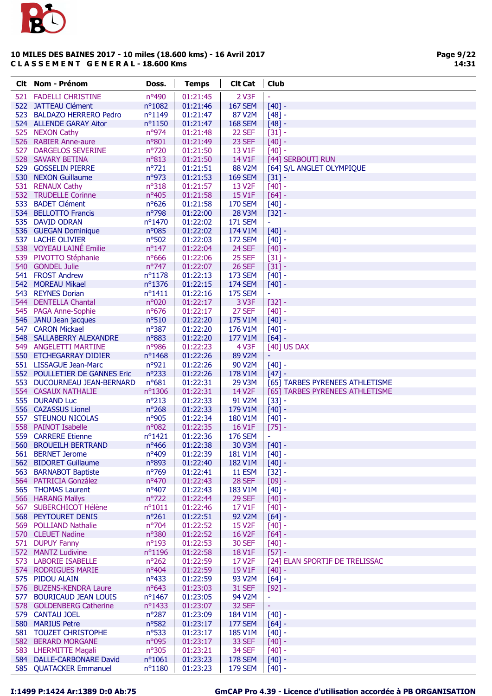

|     | Clt Nom - Prénom                                  | Doss.                   | <b>Temps</b>         | <b>Clt Cat</b>            | Club                            |
|-----|---------------------------------------------------|-------------------------|----------------------|---------------------------|---------------------------------|
|     | 521 FADELLI CHRISTINE                             | nº490                   | 01:21:45             | 2 V3F                     |                                 |
|     | 522 JATTEAU Clément                               | nº1082                  | 01:21:46             | <b>167 SEM</b>            | $[40] -$                        |
|     | 523 BALDAZO HERRERO Pedro                         | nº1149                  | 01:21:47             | 87 V2M                    | $[48]$ -                        |
|     | 524 ALLENDE GARAY Aitor                           | $n^o$ 1150              | 01:21:47             | <b>168 SEM</b>            | $[48] -$                        |
|     | 525 NEXON Cathy                                   | nº974                   | 01:21:48             | 22 SEF                    | $[31] -$                        |
|     | 526 RABIER Anne-aure                              | n°801                   | 01:21:49             | 23 SEF                    | $[40] -$                        |
| 527 | <b>DARGELOS SEVERINE</b>                          | nº720                   | 01:21:50             | 13 V1F                    | $[40] -$                        |
|     | 528 SAVARY BETINA                                 | $n^o813$                | 01:21:50             | 14 V1F                    | [44] SERBOUTI RUN               |
|     | 529 GOSSELIN PIERRE                               | $n^{\circ}721$          | 01:21:51             | 88 V2M                    | [64] S/L ANGLET OLYMPIQUE       |
|     | 530 NEXON Guillaume                               | nº973                   | 01:21:53             | <b>169 SEM</b>            | $[31] -$                        |
|     | 531 RENAUX Cathy                                  | $n^o318$                | 01:21:57             | 13 V2F                    | $[40] -$                        |
|     | 532 TRUDELLE Corinne                              | nº405                   | 01:21:58             | 15 V1F                    | $[64] -$                        |
|     | 533 BADET Clément                                 | $n^o$ 626               | 01:21:58             | <b>170 SEM</b>            | $[40] -$                        |
|     | 534 BELLOTTO Francis                              | n°798                   | 01:22:00             | <b>28 V3M</b>             | $[32] -$                        |
|     | 535 DAVID ODRAN                                   | nº1470                  | 01:22:02             | <b>171 SEM</b>            | $\overline{\phantom{a}}$        |
|     | 536 GUEGAN Dominique                              | n°085                   | 01:22:02             | 174 V1M                   | $[40] -$                        |
|     | 537 LACHE OLIVIER                                 | $n^o$ 502               | 01:22:03             | <b>172 SEM</b>            | $[40] -$                        |
|     | 538 VOYEAU LAINÉ Emilie                           | $n^{\circ}$ 147         | 01:22:04             | 24 SEF                    | $[40] -$                        |
|     | 539 PIVOTTO Stéphanie                             | $n^o$ 666               | 01:22:06             | 25 SEF                    | $[31] -$                        |
|     | 540 GONDEL Julie                                  | $n^{\circ}747$          | 01:22:07             | <b>26 SEF</b>             | $[31] -$                        |
|     | 541 FROST Andrew                                  | $n^o$ 1178              | 01:22:13             | <b>173 SEM</b>            | $[40] -$                        |
|     | 542 MOREAU Mikael                                 | nº1376                  | 01:22:15             | <b>174 SEM</b>            | $[40] -$                        |
|     | 543 REYNES Dorian                                 | $n^o$ 1411              | 01:22:16             | <b>175 SEM</b>            | $\blacksquare$                  |
|     | 544 DENTELLA Chantal                              | n°020                   | 01:22:17             | 3 V3F                     | $[32] -$                        |
|     | 545 PAGA Anne-Sophie                              | nº676                   | 01:22:17             | 27 SEF                    | $[40] -$                        |
|     | 546 JANU Jean jacques                             | $n^o$ 510               | 01:22:20             | 175 V1M                   | $[40] -$                        |
|     | 547 CARON Mickael                                 | nº387                   | 01:22:20             | 176 V1M                   | $[40] -$                        |
|     | 548 SALLABERRY ALEXANDRE<br>549 ANGELETTI MARTINE | n°883<br>nº986          | 01:22:20<br>01:22:23 | 177 V1M<br>4 V3F          | $[64] -$<br>[40] US DAX         |
|     | 550 ETCHEGARRAY DIDIER                            | nº1468                  | 01:22:26             | 89 V2M                    | ÷                               |
|     | 551 LISSAGUE Jean-Marc                            | n°921                   | 01:22:26             | 90 V2M                    | $[40] -$                        |
|     | 552 POULLETIER DE GANNES Eric                     | $n^{\circ}233$          | 01:22:26             | 178 V1M                   | $[47] -$                        |
|     | 553 DUCOURNEAU JEAN-BERNARD                       | $n^o681$                | 01:22:31             | 29 V3M                    | [65] TARBES PYRENEES ATHLETISME |
|     | 554 CASAUX NATHALIE                               | nº1306                  | 01:22:31             | 14 V <sub>2</sub> F       | [65] TARBES PYRENEES ATHLETISME |
|     | 555 DURAND Luc                                    | $n^{\circ}213$          | 01:22:33             | 91 V2M                    | $[33] -$                        |
|     | 556 CAZASSUS Lionel                               | $n^{\circ}268$          | 01:22:33             | 179 V1M                   | $[40] -$                        |
|     | 557 STEUNOU NICOLAS                               | nº905                   | 01:22:34             | 180 V1M                   | $[40] -$                        |
|     | 558 PAINOT Isabelle                               | $n^{\circ}082$          | 01:22:35             | 16 V1F                    | $[75]$ -                        |
|     | 559 CARRERE Etienne                               | $n^{\circ}$ 1421        | 01:22:36             | <b>176 SEM</b>            |                                 |
|     | 560 BROUEILH BERTRAND                             | $n^o$ 466               | 01:22:38             | 30 V3M                    | $[40]$ -                        |
|     | 561 BERNET Jerome                                 | $n^o409$                | 01:22:39             | 181 V1M                   | $[40] -$                        |
|     | 562 BIDORET Guillaume                             | n°893                   | 01:22:40             | 182 V1M                   | $[40] -$                        |
|     | 563 BARNABOT Baptiste                             | nº769                   | 01:22:41             | <b>11 ESM</b>             | $[32] -$                        |
|     | 564 PATRICIA González                             | nº470                   | 01:22:43             | <b>28 SEF</b>             | $[09] -$                        |
|     | 565 THOMAS Laurent                                | $n^o407$                | 01:22:43             | 183 V1M                   | $[40] -$                        |
|     | 566 HARANG Maïlys                                 | $n^{\circ}722$          | 01:22:44             | 29 SEF                    | $[40] -$                        |
|     | 567 SUBERCHICOT Hélène                            | $n^o$ 1011              | 01:22:46             | 17 V1F                    | $[40] -$                        |
|     | 568 PEYTOURET DENIS                               | $n^{\circ}261$          | 01:22:51             | 92 V2M                    | $[64] -$                        |
|     | 569 POLLIAND Nathalie                             | nº704                   | 01:22:52             | 15 V <sub>2</sub> F       | $[40] -$                        |
|     | 570 CLEUET Nadine                                 | $n^{\circ}380$          | 01:22:52             | 16 V <sub>2</sub> F       | $[64] -$                        |
|     | 571 DUPUY Fanny                                   | $n^{\circ}193$          | 01:22:53             | <b>30 SEF</b>             | $[40] -$                        |
|     | 572 MANTZ Ludivine                                | nº1196                  | 01:22:58             | 18 V1F                    | $[57] -$                        |
|     | 573 LABORIE ISABELLE                              | $n^{\circ}262$          | 01:22:59             | 17 V2F                    | [24] ELAN SPORTIF DE TRELISSAC  |
|     | 574 RODRIGUES MARIE                               | $n^o404$                | 01:22:59             | 19 V1F                    | $[40] -$                        |
|     | 575 PIDOU ALAIN                                   | $n^o433$                | 01:22:59             | 93 V2M                    | $[64] -$                        |
|     | 576 BUZENS-KENDRA Laure                           | $n^o643$                | 01:23:03             | <b>31 SEF</b>             | $[92] -$                        |
| 577 | <b>BOURICAUD JEAN LOUIS</b>                       | nº1467                  | 01:23:05             | 94 V2M                    | ÷                               |
|     | 578 GOLDENBERG Catherine                          | nº1433                  | 01:23:07             | 32 SEF                    | ۰                               |
|     | 579 CANTAU JOEL                                   | $n^{\circ}287$          | 01:23:09             | 184 V1M                   | $[40] -$                        |
|     | 580 MARIUS Petre<br>581 TOUZET CHRISTOPHE         | nº582<br>$n^{\circ}533$ | 01:23:17<br>01:23:17 | <b>177 SEM</b><br>185 V1M | $[64] -$                        |
|     |                                                   | n°095                   | 01:23:17             | 33 SEF                    | $[40] -$                        |
|     | 582 BERARD MORGANE<br>583 LHERMITTE Magali        | $n^{\circ}305$          | 01:23:21             | 34 SEF                    | $[40] -$<br>$[40] -$            |
|     | 584 DALLE-CARBONARE David                         | $n^o$ 1061              | 01:23:23             | <b>178 SEM</b>            | $[40] -$                        |
|     | 585 QUATACKER Emmanuel                            | $n^o$ 1180              | 01:23:23             | <b>179 SEM</b>            | $[40] -$                        |
|     |                                                   |                         |                      |                           |                                 |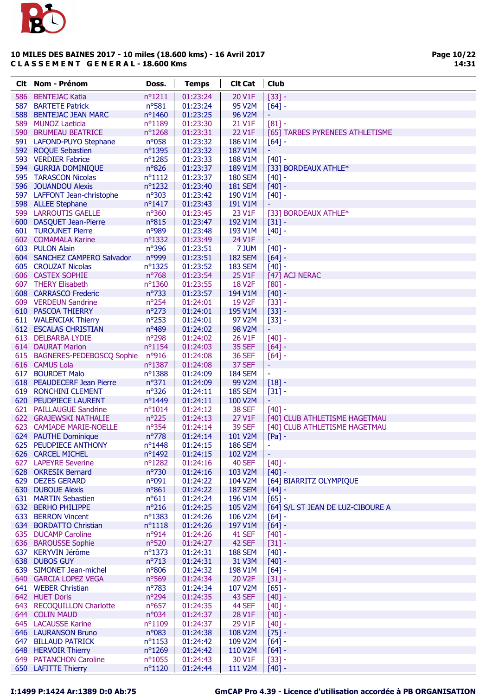

Page 10/22 14:31

| <b>Clt</b> Nom - Prénom                           | Doss.                        | <b>Temps</b>         | <b>Clt Cat</b>     | <b>Club</b>                               |
|---------------------------------------------------|------------------------------|----------------------|--------------------|-------------------------------------------|
| 586 BENTEJAC Katia                                | $n^o$ 1211                   | 01:23:24             | 20 V1F             | $[33] -$                                  |
| 587 BARTETE Patrick                               | nº581                        | 01:23:24             | 95 V2M             | $[64] -$                                  |
| 588 BENTEJAC JEAN MARC                            | nº1460                       | 01:23:25             | 96 V2M             |                                           |
| 589 MUNOZ Laeticia                                | nº1189                       | 01:23:30             | 21 V1F             | $[81] -$                                  |
| 590 BRUMEAU BEATRICE                              | $n^{\circ}1268$              | 01:23:31             | 22 V1F             | [65] TARBES PYRENEES ATHLETISME           |
| 591 LAFOND-PUYO Stephane                          | $n^o$ 058                    | 01:23:32             | 186 V1M            | $[64]$ -                                  |
| 592 ROQUE Sebastien                               | nº1395                       | 01:23:32             | 187 V1M            | ٠                                         |
| 593 VERDIER Fabrice                               | nº1285                       | 01:23:33             | 188 V1M            | $[40] -$                                  |
| 594 GURRIA DOMINIQUE                              | $n^{\circ}826$               | 01:23:37             | 189 V1M            | [33] BORDEAUX ATHLE*                      |
| 595 TARASCON Nicolas                              | $n^o$ 1112                   | 01:23:37             | <b>180 SEM</b>     | $[40] -$                                  |
| 596 JOUANDOU Alexis                               | nº1232                       | 01:23:40             | <b>181 SEM</b>     | $[40] -$                                  |
| 597 LAFFONT Jean-christophe                       | $n^{\circ}303$               | 01:23:42             | 190 V1M            | $[40]$ -                                  |
| 598 ALLEE Stephane                                | nº1417                       | 01:23:43             | 191 V1M            |                                           |
| 599 LARROUTIS GAELLE                              | nº360                        | 01:23:45             | 23 V1F             | [33] BORDEAUX ATHLE*                      |
| 600 DASQUET Jean-Pierre<br>601 TUROUNET Pierre    | $n^{\circ}815$<br>n°989      | 01:23:47<br>01:23:48 | 192 V1M<br>193 V1M | $[31] -$                                  |
| 602 COMAMALA Karine                               | $n^o$ 1332                   | 01:23:49             | 24 V1F             | $[40]$ -<br>Ξ                             |
| 603 PULON Alain                                   | nº396                        | 01:23:51             | 7 JUM              | $[40] -$                                  |
| 604 SANCHEZ CAMPERO Salvador                      | n°999                        | 01:23:51             | <b>182 SEM</b>     | $[64] -$                                  |
| 605 CROUZAT Nicolas                               | nº1325                       | 01:23:52             | <b>183 SEM</b>     | $[40] -$                                  |
| 606 CASTEX SOPHIE                                 | nº768                        | 01:23:54             | 25 V1F             | [47] ACJ NERAC                            |
| 607 THERY Elisabeth                               | nº1360                       | 01:23:55             | <b>18 V2F</b>      | $[80]$ -                                  |
| 608 CARRASCO Frederic                             | $n^{\circ}733$               | 01:23:57             | 194 V1M            | $[40] -$                                  |
| 609 VERDEUN Sandrine                              | $n^{\circ}254$               | 01:24:01             | 19 V2F             | $[33] -$                                  |
| 610 PASCOA THIERRY                                | $n^{\circ}273$               | 01:24:01             | 195 V1M            | $[33] -$                                  |
| 611 WALENCIAK Thierry                             | $n^{\circ}253$               | 01:24:01             | 97 V2M             | $[33] -$                                  |
| 612 ESCALAS CHRISTIAN                             | nº489                        | 01:24:02             | 98 V2M             | ٠                                         |
| 613 DELBARBA LYDIE                                | n°298                        | 01:24:02             | 26 V1F             | $[40] -$                                  |
| 614 DAURAT Marion                                 | $n^o$ 1154                   | 01:24:03             | 35 SEF             | $[64] -$                                  |
| 615 BAGNERES-PEDEBOSCQ Sophie                     | n°916                        | 01:24:08             | <b>36 SEF</b>      | $[64]$ -                                  |
| 616 CAMUS Lola                                    | $n^{\circ}$ 1387             | 01:24:08             | 37 SEF             | ۳                                         |
| 617 BOURDET Malo                                  | nº1388                       | 01:24:09             | <b>184 SEM</b>     | ÷                                         |
| 618 PEAUDECERF Jean Pierre                        | $n^o$ 371                    | 01:24:09             | 99 V2M             | $[18] -$                                  |
| 619 RONCHINI CLEMENT                              | $n^o$ 326                    | 01:24:11             | <b>185 SEM</b>     | $[31] -$                                  |
| 620 PEUDPIECE LAURENT                             | nº1449                       | 01:24:11             | 100 V2M            | Ξ                                         |
| 621 PAILLAUGUE Sandrine<br>622 GRAJEWSKI NATHALIE | $n^o$ 1014<br>$n^{\circ}225$ | 01:24:12             | 38 SEF<br>27 V1F   | $[40] -$<br>[40] CLUB ATHLETISME HAGETMAU |
| 623 CAMIADE MARIE-NOELLE                          | nº354                        | 01:24:13<br>01:24:14 | <b>39 SEF</b>      | [40] CLUB ATHLETISME HAGETMAU             |
| 624 PAUTHE Dominique                              | $n^{\circ}778$               | 01:24:14             | 101 V2M            | $[Pa]$ -                                  |
| 625 PEUDPIECE ANTHONY                             | nº1448                       | 01:24:15             | <b>186 SEM</b>     | ٠                                         |
| 626 CARCEL MICHEL                                 | $n^{\circ}$ 1492             | 01:24:15             | 102 V2M            | ÷                                         |
| 627 LAPEYRE Severine                              | nº1282                       | 01:24:16             | <b>40 SEF</b>      | $[40] -$                                  |
| 628 OKRESIK Bernard                               | $n^{\circ}730$               | 01:24:16             | 103 V2M            | $[40] -$                                  |
| 629 DEZES GERARD                                  | n°091                        | 01:24:22             | 104 V2M            | [64] BIARRITZ OLYMPIQUE                   |
| 630 DUBOUE Alexis                                 | $n^o$ 861                    | 01:24:22             | <b>187 SEM</b>     | $[44] -$                                  |
| 631 MARTIN Sebastien                              | $n^o611$                     | 01:24:24             | 196 V1M            | $[65] -$                                  |
| 632 BERHO PHILIPPE                                | $n^o216$                     | 01:24:25             | 105 V2M            | [64] S/L ST JEAN DE LUZ-CIBOURE A         |
| 633 BERRON Vincent                                | nº1383                       | 01:24:26             | 106 V2M            | $[64]$ -                                  |
| 634 BORDATTO Christian                            | $n^o$ 1118                   | 01:24:26             | 197 V1M            | $[64] -$                                  |
| 635 DUCAMP Caroline                               | $n^{\circ}914$               | 01:24:26             | 41 SEF             | $[40] -$                                  |
| 636 BAROUSSE Sophie                               | $n^o$ 520                    | 01:24:27             | 42 SEF             | $[31] -$                                  |
| 637 KERYVIN Jérôme                                | nº1373                       | 01:24:31             | <b>188 SEM</b>     | $[40]$ -                                  |
| 638 DUBOS GUY                                     | $n^{\circ}713$               | 01:24:31             | 31 V3M             | $[40] -$                                  |
| 639 SIMONET Jean-michel                           | nº806                        | 01:24:32             | 198 V1M            | $[64] -$                                  |
| 640 GARCIA LOPEZ VEGA                             | nº569                        | 01:24:34             | 20 V2F             | $[31] -$                                  |
| 641 WEBER Christian                               | $n^{\circ}783$               | 01:24:34             | 107 V2M            | $[65] -$                                  |
| 642 HUET Doris                                    | nº294                        | 01:24:35             | 43 SEF             | $[40] -$                                  |
| 643 RECOQUILLON Charlotte                         | $n^o$ 657<br>n°034           | 01:24:35             | 44 SEF<br>28 V1F   | $[40] -$                                  |
| 644 COLIN MAUD<br><b>645 LACAUSSE Karine</b>      | $n^o$ 1109                   | 01:24:37<br>01:24:37 | 29 V1F             | $[40] -$<br>$[40] -$                      |
| 646 LAURANSON Bruno                               | $n^{\circ}083$               | 01:24:38             | 108 V2M            | $[75] -$                                  |
| 647 BILLAUD PATRICK                               | $n^o$ 1153                   | 01:24:42             | 109 V2M            | $[64]$ -                                  |
| 648 HERVOIR Thierry                               | nº1269                       | 01:24:42             | 110 V2M            | $[64] -$                                  |
| 649 PATANCHON Caroline                            | $n^{\circ}1055$              | 01:24:43             | 30 V1F             | $[33] -$                                  |
| 650 LAFITTE Thierry                               | $n^o$ 1120                   | 01:24:44             | 111 V2M            | $[40] -$                                  |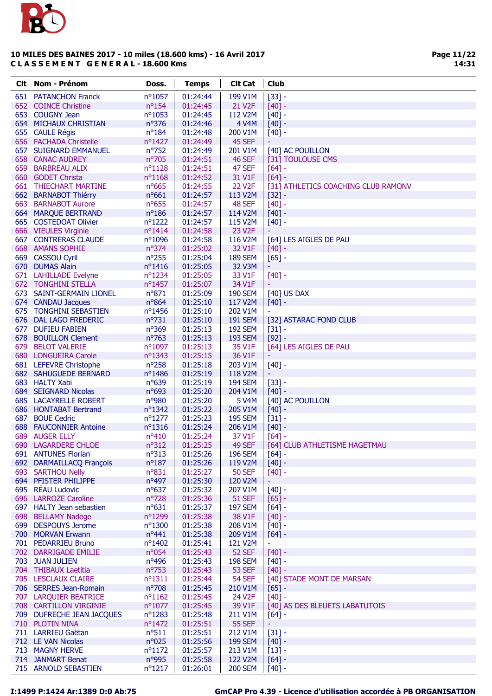

| <b>Clt</b> Nom - Prénom                         | Doss.                         | <b>Temps</b>         | <b>Clt Cat</b>           | Club                                       |
|-------------------------------------------------|-------------------------------|----------------------|--------------------------|--------------------------------------------|
| 651 PATANCHON Franck                            | nº1057                        | 01:24:44             | 199 V1M                  | $[33] -$                                   |
| 652 COINCE Christine                            | $n^o$ 154                     | 01:24:45             | 21 V2F                   | $[40] -$                                   |
| 653 COUGNY Jean                                 | nº1053                        | 01:24:45             | 112 V2M                  | $[40] -$                                   |
| <b>654 MICHAUX CHRISTIAN</b>                    | nº376                         | 01:24:46             | 4 V4M                    | $[40] -$                                   |
| 655 CAULE Régis                                 | $n^o$ 184                     | 01:24:48             | 200 V1M                  | $[40] -$                                   |
| 656 FACHADA Christelle                          | $n^{\circ}$ 1427              | 01:24:49             | 45 SEF                   |                                            |
| 657 SUIGNARD EMMANUEL                           | nº752                         | 01:24:49             | 201 V1M                  | [40] AC POUILLON                           |
| <b>658 CANAC AUDREY</b>                         | n°705                         | 01:24:51             | 46 SEF                   | [31] TOULOUSE CMS                          |
| 659 BARBREAU ALIX                               | nº1128                        | 01:24:51             | 47 SEF                   | $[64] -$                                   |
| 660 GODET Christa                               | $n^o$ 1168                    | 01:24:52             | 31 V1F                   | $[64] -$                                   |
| 661 THIECHART MARTINE                           | $n^o$ 665                     | 01:24:55             | <b>22 V2F</b>            | [31] ATHLETICS COACHING CLUB RAMONV        |
| 662 BARNABOT Thiérry                            | $n^o$ 661                     | 01:24:57             | 113 V2M                  | $[32] -$                                   |
| 663 BARNABOT Aurore                             | nº655                         | 01:24:57             | 48 SEF                   | $[40] -$                                   |
| 664 MARQUE BERTRAND                             | $n^o$ 186                     | 01:24:57             | 114 V2M                  | $[40] -$                                   |
| 665 COSTEDOAT Olivier                           | $n^o$ 1222                    | 01:24:57             | 115 V2M                  | $[40] -$                                   |
| 666 VIEULES Virginie                            | $n^{\circ}1414$               | 01:24:58             | 23 V <sub>2</sub> F      |                                            |
| <b>667 CONTRERAS CLAUDE</b>                     | $n^{\circ}1096$               | 01:24:58             | 116 V2M                  | [64] LES AIGLES DE PAU                     |
| 668 AMANS SOPHIE                                | $n^o$ 374                     | 01:25:02             | 32 V1F                   | $[40] -$                                   |
| 669 CASSOU Cyril                                | $n^o$ 255                     | 01:25:04             | <b>189 SEM</b>           | $[65]$ -                                   |
| 670 DUMAS Alain                                 | nº1416                        | 01:25:05             | 32 V3M                   | ÷                                          |
| 671 LAHILLADE Evelyne                           | nº1234                        | 01:25:05             | 33 V1F                   | $[40] -$                                   |
| <b>672 TONGHINI STELLA</b>                      | nº1457                        | 01:25:07             | 34 V1F                   |                                            |
| 673 SAINT-GERMAIN LIONEL                        | nº871                         | 01:25:09             | <b>190 SEM</b>           | [40] US DAX                                |
| 674 CANDAU Jacques                              | nº864                         | 01:25:10             | 117 V2M                  | $[40] -$                                   |
| 675 TONGHINI SEBASTIEN                          | nº1456                        | 01:25:10             | 202 V1M                  |                                            |
| 676 DAL LAGO FREDERIC                           | $n^o$ 731                     | 01:25:10             | <b>191 SEM</b>           | [32] ASTARAC FOND CLUB                     |
| 677 DUFIEU FABIEN                               | nº369<br>nº763                | 01:25:13             | <b>192 SEM</b>           | $[31] -$                                   |
| 678 BOUILLON Clement<br>679 BELOT VALERIE       | nº1097                        | 01:25:13<br>01:25:13 | <b>193 SEM</b><br>35 V1F | $[92] -$<br>[64] LES AIGLES DE PAU         |
| 680 LONGUEIRA Carole                            | nº1343                        | 01:25:15             | 36 V1F                   |                                            |
| 681 LEFEVRE Christophe                          | $n^o$ 258                     | 01:25:18             | 203 V1M                  | $[40] -$                                   |
| 682 SAHUGUEDE BERNARD                           | nº1486                        | 01:25:19             | 118 V2M                  |                                            |
| 683 HALTY Xabi                                  | nº639                         | 01:25:19             | <b>194 SEM</b>           | $[33] -$                                   |
| 684 SEIGNARD Nicolas                            | $n^o$ 693                     | 01:25:20             | 204 V1M                  | $[40] -$                                   |
| <b>685 LACAYRELLE ROBERT</b>                    | nº980                         | 01:25:20             | <b>5 V4M</b>             | [40] AC POUILLON                           |
| 686 HONTABAT Bertrand                           | $n^{\circ}$ 1342              | 01:25:22             | 205 V1M                  | $[40] -$                                   |
| 687 BOUE Cedric                                 | $n^{\circ}1277$               | 01:25:23             | <b>195 SEM</b>           | $[31] -$                                   |
| 688 FAUCONNIER Antoine                          | $n^o$ 1316                    | 01:25:24             | 206 V1M                  | $[40] -$                                   |
| 689 AUGER ELLY                                  | nº410                         | 01:25:24             | 37 V1F                   | $[64] -$                                   |
| 690 LAGARDERE CHLOE                             | $n^o312$                      | 01:25:25             | <b>49 SEF</b>            | [64] CLUB ATHLETISME HAGETMAU              |
| 691 ANTUNES Florian                             | $n^o313$                      | 01:25:26             | <b>196 SEM</b>           | $[64] -$                                   |
| 692 DARMAILLACQ François                        | $n^o$ 187                     | 01:25:26             | 119 V2M                  | $[40] -$                                   |
| 693 SARTHOU Nelly                               | $n^o$ 831                     | 01:25:27             | <b>50 SEF</b>            | $[40] -$                                   |
| 694 PFISTER PHILIPPE                            | nº497                         | 01:25:30             | 120 V2M                  | ÷                                          |
| 695 RÉAU Ludovic                                | $n^o$ 637                     | 01:25:32             | 207 V1M                  | $[40] -$                                   |
| 696 LARROZE Caroline                            | nº728                         | 01:25:36             | <b>51 SEF</b>            | $[65] -$                                   |
| 697 HALTY Jean sebastien                        | $n^o$ 631                     | 01:25:37             | <b>197 SEM</b>           | $[64] -$                                   |
| 698 BELLAMY Nadege                              | nº1299                        | 01:25:38             | 38 V1F                   | $[40] -$                                   |
| 699 DESPOUYS Jerome                             | $n^{\circ}1300$               | 01:25:38             | 208 V1M                  | $[40] -$                                   |
| 700 MORVAN Erwann                               | $n^o441$                      | 01:25:38             | 209 V1M                  | $[64] -$                                   |
| 701 PEDARRIEU Bruno                             | $n^{\circ}$ 1402              | 01:25:41             | 121 V2M                  | $\blacksquare$                             |
| 702 DARRIGADE EMILIE                            | $n^{\circ}054$                | 01:25:43             | 52 SEF                   | $[40] -$                                   |
| 703 JUAN JULIEN                                 | nº496                         | 01:25:43             | <b>198 SEM</b>           | $[40] -$                                   |
| 704 THIBAUX Laetitia                            | nº753                         | 01:25:43             | <b>53 SEF</b>            | $[40] -$                                   |
| 705 LESCLAUX CLAIRE                             | $n^o$ 1311                    | 01:25:44             | 54 SEF                   | [40] STADE MONT DE MARSAN                  |
| 706 SERRES Jean-Romain                          | n°708                         | 01:25:45             | 210 V1M                  | $[65] -$                                   |
| 707 LARQUIER BEATRICE<br>708 CARTILLON VIRGINIE | $n^o$ 1162<br>$n^{\circ}1077$ | 01:25:45<br>01:25:45 | 24 V2F<br>39 V1F         | $[40] -$<br>[40] AS DES BLEUETS LABATUTOIS |
| 709 DUFRECHE JEAN JACQUES                       | $n^{\circ}1283$               | 01:25:48             | 211 V1M                  | $[64] -$                                   |
| 710 PLOTIN NINA                                 | nº1472                        | 01:25:51             | <b>55 SEF</b>            |                                            |
| 711 LARRIEU Gaëtan                              | $n^o$ 511                     | 01:25:51             | 212 V1M                  | $[31] -$                                   |
| 712 LE VAN Nicolas                              | n°025                         | 01:25:56             | <b>199 SEM</b>           | $[40] -$                                   |
| 713 MAGNY HERVE                                 | nº1172                        | 01:25:57             | 213 V1M                  | $[13] -$                                   |
| 714 JANMART Benat                               | nº995                         | 01:25:58             | 122 V2M                  | $[64] -$                                   |
| 715 ARNOLD SEBASTIEN                            | $n^o$ 1217                    | 01:26:01             | <b>200 SEM</b>           | $[40] -$                                   |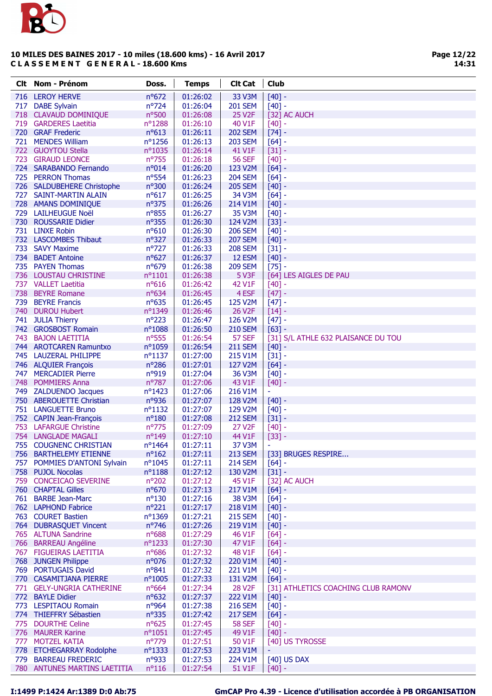

Page 12/22 14:31

|     | <b>Clt</b> Nom - Prénom                       | Doss.                  | <b>Temps</b>         | <b>Clt Cat</b>                 | <b>Club</b>                                     |
|-----|-----------------------------------------------|------------------------|----------------------|--------------------------------|-------------------------------------------------|
|     | 716 LEROY HERVE                               | nº672                  | 01:26:02             | 33 V3M                         | $[40] -$                                        |
|     | 717 DABE Sylvain                              | nº724                  | 01:26:04             | <b>201 SEM</b>                 | $[40] -$                                        |
|     | 718 CLAVAUD DOMINIQUE                         | nº500                  | 01:26:08             | <b>25 V2F</b>                  | [32] AC AUCH                                    |
|     | 719 GARDERES Laetitia                         | nº1288                 | 01:26:10             | 40 V1F                         | $[40] -$                                        |
|     | 720 GRAF Frederic                             | $n^o613$               | 01:26:11             | <b>202 SEM</b>                 | $[74]$ -                                        |
|     | 721 MENDES William                            | $n^o$ 1256             | 01:26:13             | <b>203 SEM</b>                 | $[64]$ -                                        |
|     | 722 GUOYTOU Stella                            | nº1035                 | 01:26:14             | 41 V1F                         | $[31] -$                                        |
|     | 723 GIRAUD LEONCE                             | nº755                  | 01:26:18             | <b>56 SEF</b>                  | $[40]$ -                                        |
|     | 724 SARABANDO Fernando                        | $n^o014$               | 01:26:20             | 123 V2M                        | $[64]$ -                                        |
|     | 725 PERRON Thomas                             | $n^o$ 554              | 01:26:23             | <b>204 SEM</b>                 | $[64]$ -                                        |
|     | 726 SALDUBEHERE Christophe                    | n°300                  | 01:26:24             | <b>205 SEM</b>                 | $[40] -$                                        |
|     | 727 SAINT-MARTIN ALAIN                        | $n^o617$               | 01:26:25             | 34 V3M                         | $[64] -$                                        |
|     | 728 AMANS DOMINIQUE                           | nº375                  | 01:26:26             | 214 V1M                        | $[40]$ -                                        |
|     | 729 LAILHEUGUE Noël                           | nº855                  | 01:26:27             | 35 V3M                         | $[40] -$                                        |
|     | 730 ROUSSARIE Didier                          | $n^o$ 355              | 01:26:30             | 124 V2M                        | $[33] -$                                        |
|     | 731 LINXE Robin                               | nº610                  | 01:26:30             | <b>206 SEM</b>                 | $[40]$ -                                        |
|     | 732 LASCOMBES Thibaut                         | nº327                  | 01:26:33             | <b>207 SEM</b>                 | $[40]$ -                                        |
| 733 | <b>SAVY Maxime</b>                            | nº727                  | 01:26:33             | <b>208 SEM</b>                 | $[31] -$                                        |
|     | 734 BADET Antoine                             | $n^o627$               | 01:26:37             | 12 ESM                         | $[40]$ -                                        |
|     | 735 PAYEN Thomas                              | nº679                  | 01:26:38             | <b>209 SEM</b>                 | $[75] -$                                        |
|     | 736 LOUSTAU CHRISTINE                         | $n^o$ 1101             | 01:26:38             | 5 V3F                          | [64] LES AIGLES DE PAU                          |
|     | 737 VALLET Laetitia                           | $n^o616$               | 01:26:42             | 42 V1F                         | $[40]$ -                                        |
|     | 738 BEYRE Romane                              | $n^o$ 634              | 01:26:45             | 4 ESF                          | $[47] -$                                        |
| 739 | <b>BEYRE Francis</b>                          | $n^o$ 635              | 01:26:45             | 125 V2M                        | $[47] -$                                        |
|     | 740 DUROU Hubert                              | nº1349                 | 01:26:46             | 26 V <sub>2</sub> F            | $[14]$ -                                        |
|     | 741 JULIA Thierry                             | $n^{\circ}223$         | 01:26:47             | 126 V2M                        | $[47] -$                                        |
| 742 | <b>GROSBOST Romain</b>                        | nº1088                 | 01:26:50             | <b>210 SEM</b>                 | $[63] -$                                        |
|     | 743 BAJON LAETITIA                            | nº555                  | 01:26:54             | 57 SEF                         | [31] S/L ATHLE 632 PLAISANCE DU TOU             |
|     | 744 AROTCAREN Ramuntxo                        | n°1059                 | 01:26:54             | <b>211 SEM</b>                 | $[40]$ -                                        |
|     | 745 LAUZERAL PHILIPPE                         | $n^{\circ}1137$        | 01:27:00             | 215 V1M                        | $[31] -$                                        |
|     | 746 ALQUIER François                          | n°286                  | 01:27:01             | 127 V2M                        | $[64]$ -                                        |
|     | 747 MERCADIER Pierre                          | nº919                  | 01:27:04             | 36 V3M                         | $[40]$ -                                        |
|     | 748 POMMIERS Anna                             | nº787                  | 01:27:06             | 43 V1F                         | $[40] -$                                        |
|     | 749 ZALDUENDO Jacques                         | nº1423                 | 01:27:06             | 216 V1M                        | ٠                                               |
|     | 750 ABEROUETTE Christian                      | n°936                  | 01:27:07             | 128 V2M                        | $[40]$ -                                        |
|     | 751 LANGUETTE Bruno                           | $n^o$ 1132             | 01:27:07             | 129 V2M                        | $[40]$ -                                        |
|     | 752 CAPIN Jean-François                       | $n^o$ 180              | 01:27:08             | <b>212 SEM</b>                 | $[31]$ -                                        |
|     | 753 LAFARGUE Christine                        | $n^{\circ}775$         | 01:27:09             | 27 V2F                         | $[40]$ -                                        |
|     | 754 LANGLADE MAGALI                           | nº149                  | 01:27:10             | 44 V1F                         | $[33] -$                                        |
|     | 755 COUGNENC CHRISTIAN                        | nº1464                 | 01:27:11             | 37 V3M                         | $\blacksquare$                                  |
|     | 756 BARTHELEMY ETIENNE                        | $n^{\circ}162$         | 01:27:11             | <b>213 SEM</b>                 | [33] BRUGES RESPIRE                             |
|     | 757 POMMIES D'ANTONI Sylvain                  | $n^{\circ}1045$        | 01:27:11             | <b>214 SEM</b>                 | $[64]$ -                                        |
|     | 758 PUJOL Nocolas                             | nº1188                 | 01:27:12             | 130 V2M                        | $[31] -$                                        |
|     | 759 CONCEICAO SEVERINE                        | $n^{\circ}202$         | 01:27:12             | 45 V1F                         | [32] AC AUCH                                    |
|     | 760 CHAPTAL Gilles                            | nº670                  | 01:27:13             | 217 V1M                        | $[64]$ -                                        |
|     | 761 BARBE Jean-Marc                           | $n^o$ 130              | 01:27:16             | <b>38 V3M</b>                  | $[64] -$                                        |
|     | 762 LAPHOND Fabrice                           | $n^{\circ}221$         | 01:27:17             | 218 V1M                        | $[40] -$                                        |
|     | 763 COURET Bastien                            | nº1369                 | 01:27:21             | <b>215 SEM</b>                 | $[40]$ -                                        |
|     | 764 DUBRASQUET Vincent                        | $n^{\circ}$ 746        | 01:27:26             | 219 V1M                        | $[40] -$                                        |
|     | 765 ALTUNA Sandrine                           | $n^o$ 688              | 01:27:29             | 46 V1F                         | $[64] -$                                        |
|     | 766 BARREAU Angéline                          | $n^o$ 1233             | 01:27:30             | 47 V1F                         | $[64]$ -                                        |
|     | 767 FIGUEIRAS LAETITIA                        | $n^o$ 686              | 01:27:32             | <b>48 V1F</b>                  | $[64]$ -                                        |
|     | 768 JUNGEN Philippe<br>769 PORTUGAIS David    | n°076                  | 01:27:32             | 220 V1M                        | $[40] -$                                        |
|     |                                               | nº841<br>nº1005        | 01:27:32             | 221 V1M                        | $[40] -$<br>$[64] -$                            |
|     | 770 CASAMITJANA PIERRE                        |                        | 01:27:33             | 131 V2M                        |                                                 |
|     | 771 GELY-UNGRIA CATHERINE<br>772 BAYLE Didier | $n^o$ 664<br>$n^o$ 632 | 01:27:34<br>01:27:37 | 28 V <sub>2</sub> F<br>222 V1M | [31] ATHLETICS COACHING CLUB RAMONV<br>$[40]$ - |
|     | 773 LESPITAOU Romain                          | nº964                  | 01:27:38             | <b>216 SEM</b>                 | $[40] -$                                        |
|     | 774 THIEFFRY Sébastien                        | $n^{\circ}335$         | 01:27:42             | <b>217 SEM</b>                 | $[64]$ -                                        |
|     | 775 DOURTHE Celine                            | $n^o$ 625              | 01:27:45             | <b>58 SEF</b>                  | $[40] -$                                        |
|     | 776 MAURER Karine                             | $n^o$ 1051             | 01:27:45             | 49 V1F                         | $[40] -$                                        |
|     | 777 MOTZEL KATIA                              | n°779                  | 01:27:51             | 50 V1F                         | [40] US TYROSSE                                 |
|     | 778 ETCHEGARRAY Rodolphe                      | nº1333                 | 01:27:53             | 223 V1M                        |                                                 |
|     | 779 BARREAU FREDERIC                          | nº933                  | 01:27:53             | 224 V1M                        | [40] US DAX                                     |
|     | 780 ANTUNES MARTINS LAETITIA                  | $n^o$ 116              | 01:27:54             | 51 V1F                         | $[40]$ -                                        |
|     |                                               |                        |                      |                                |                                                 |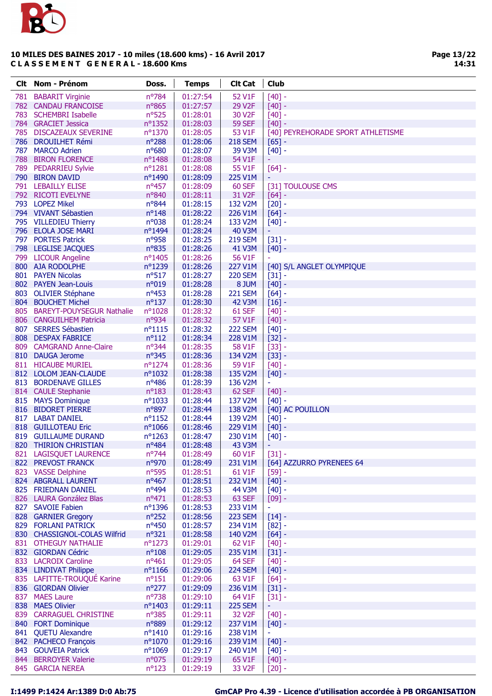

| Clt. | <b>Nom - Prénom</b>                            | Doss.                | <b>Temps</b>         | <b>Clt Cat</b>      | <b>Club</b>                       |
|------|------------------------------------------------|----------------------|----------------------|---------------------|-----------------------------------|
| 781  | <b>BABARIT Virginie</b>                        | nº784                | 01:27:54             | 52 V1F              | $[40] -$                          |
| 782  | <b>CANDAU FRANCOISE</b>                        | $n^{\circ}865$       | 01:27:57             | 29 V2F              | $[40] -$                          |
| 783  | <b>SCHEMBRI Isabelle</b>                       | nº525                | 01:28:01             | 30 V2F              | $[40]$ -                          |
|      | 784 GRACIET Jessica                            | nº1352               | 01:28:03             | <b>59 SEF</b>       | $[40] -$                          |
|      | 785 DISCAZEAUX SEVERINE                        | nº1370               | 01:28:05             | 53 V1F              | [40] PEYREHORADE SPORT ATHLETISME |
|      | 786 DROUILHET Rémi                             | $n^{\circ}288$       | 01:28:06             | <b>218 SEM</b>      | $[65]$ -                          |
| 787  | <b>MARCO Adrien</b>                            | nº680                | 01:28:07             | 39 V3M              | $[40] -$                          |
| 788  | <b>BIRON FLORENCE</b>                          | nº1488               | 01:28:08             | 54 V1F              |                                   |
|      | 789 PEDARRIEU Sylvie                           | nº1281               | 01:28:08             | 55 V1F              | $[64] -$                          |
|      | 790 BIRON DAVID                                | nº1490               | 01:28:09             | 225 V1M             |                                   |
|      | 791 LEBAILLY ELISE<br>792 RICOTI EVELYNE       | nº457                | 01:28:09             | 60 SEF<br>31 V2F    | [31] TOULOUSE CMS                 |
|      | 793 LOPEZ Mikel                                | nº840<br>nº844       | 01:28:11<br>01:28:15 | 132 V2M             | $[64]$ -<br>$[20] -$              |
|      | 794 VIVANT Sébastien                           | $n^o$ 148            | 01:28:22             | 226 V1M             | $[64]$ -                          |
|      | 795 VILLEDIEU Thierry                          | n°038                | 01:28:24             | 133 V2M             | $[40]$ -                          |
|      | 796 ELOLA JOSE MARI                            | nº1494               | 01:28:24             | <b>40 V3M</b>       | ÷                                 |
|      | 797 PORTES Patrick                             | nº958                | 01:28:25             | <b>219 SEM</b>      | $[31] -$                          |
|      | 798 LEGLISE JACQUES                            | n°835                | 01:28:26             | <b>41 V3M</b>       | $[40] -$                          |
|      | 799 LICOUR Angeline                            | nº1405               | 01:28:26             | 56 V1F              |                                   |
|      | 800 AJA RODOLPHE                               | nº1239               | 01:28:26             | 227 V1M             | [40] S/L ANGLET OLYMPIQUE         |
|      | 801 PAYEN Nicolas                              | $n^o$ 517            | 01:28:27             | <b>220 SEM</b>      | $[31] -$                          |
|      | 802 PAYEN Jean-Louis                           | n°019                | 01:28:28             | 8 JUM               | $[40] -$                          |
| 803  | <b>OLIVIER Stéphane</b>                        | $n^o$ 453            | 01:28:28             | <b>221 SEM</b>      | $[64]$ -                          |
|      | 804 BOUCHET Michel                             | $n^o$ 137            | 01:28:30             | <b>42 V3M</b>       | $[16]$ -                          |
|      | 805 BAREYT-POUYSEGUR Nathalie                  | nº1028               | 01:28:32             | 61 SEF              | $[40]$ -                          |
|      | 806 CANGUILHEM Patricia                        | nº934                | 01:28:32             | 57 V1F              | $[40] -$                          |
| 807  | <b>SERRES Sébastien</b>                        | $n^o$ 1115           | 01:28:32             | <b>222 SEM</b>      | $[40] -$                          |
|      | 808 DESPAX FABRICE                             | $n^o$ 112            | 01:28:34             | 228 V1M             | $[32] -$                          |
|      | 809 CAMGRAND Anne-Claire<br>810 DAUGA Jerome   | nº344<br>nº345       | 01:28:35<br>01:28:36 | 58 V1F<br>134 V2M   | $[33]$ -                          |
|      | 811 HICAUBE MURIEL                             | nº1274               | 01:28:36             | 59 V1F              | $[33] -$<br>$[40] -$              |
|      | 812 LOLOM JEAN-CLAUDE                          | $n^{\circ}1032$      | 01:28:38             | 135 V2M             | $[40]$ -                          |
| 813  | <b>BORDENAVE GILLES</b>                        | nº486                | 01:28:39             | 136 V2M             | Ξ                                 |
|      | 814 CAULE Stephanie                            | $n^o$ 183            | 01:28:43             | 62 SEF              | $[40]$ -                          |
|      | 815 MAYS Dominique                             | $n^{\circ}1033$      | 01:28:44             | 137 V2M             | $[40] -$                          |
|      | 816 BIDORET PIERRE                             | n°897                | 01:28:44             | 138 V2M             | [40] AC POUILLON                  |
| 817  | <b>LABAT DANIEL</b>                            | $n^o$ 1152           | 01:28:44             | 139 V2M             | $[40] -$                          |
|      | 818 GUILLOTEAU Eric                            | nº1066               | 01:28:46             | 229 V1M             | $[40] -$                          |
| 819  | <b>GUILLAUME DURAND</b>                        | nº1263               | 01:28:47             | 230 V1M             | $[40]$ -                          |
| 820  | <b>THIRION CHRISTIAN</b>                       | nº484                | 01:28:48             | 43 V3M              | ٠                                 |
|      | 821 LAGISQUET LAURENCE                         | $n^{\circ}$ 744      | 01:28:49             | 60 V1F              | $[31] -$                          |
|      | 822 PREVOST FRANCK                             | nº970                | 01:28:49             | 231 V1M             | [64] AZZURRO PYRENEES 64          |
|      | 823 VASSE Delphine                             | nº595                | 01:28:51             | 61 V1F              | $[59] -$                          |
|      | 824 ABGRALL LAURENT                            | nº467                | 01:28:51             | 232 V1M             | $[40] -$                          |
|      | 825 FRIEDNAN DANIEL<br>826 LAURA González Blas | $n^o494$<br>$n^o471$ | 01:28:53<br>01:28:53 | 44 V3M<br>63 SEF    | $[40] -$<br>$[09] -$              |
|      | 827 SAVOIE Fabien                              | nº1396               | 01:28:53             | 233 V1M             | Ξ                                 |
|      | 828 GARNIER Gregory                            | nº252                | 01:28:56             | <b>223 SEM</b>      | $[14]$ -                          |
|      | 829 FORLANI PATRICK                            | nº450                | 01:28:57             | 234 V1M             | $[82] -$                          |
|      | 830 CHASSIGNOL-COLAS Wilfrid                   | nº321                | 01:28:58             | 140 V2M             | $[64] -$                          |
|      | 831 OTHEGUY NATHALIE                           | nº1273               | 01:29:01             | 62 V1F              | $[40] -$                          |
|      | 832 GIORDAN Cédric                             | $n^o$ 108            | 01:29:05             | 235 V1M             | $[31] -$                          |
|      | 833 LACROIX Caroline                           | $n^o461$             | 01:29:05             | 64 SEF              | $[40] -$                          |
|      | 834 LINDIVAT Philippe                          | $n^o$ 1166           | 01:29:06             | <b>224 SEM</b>      | $[40]$ -                          |
|      | 835 LAFITTE-TROUQUÉ Karine                     | $n^o$ 151            | 01:29:06             | 63 V1F              | $[64] -$                          |
|      | 836 GIORDAN Olivier                            | $n^{\circ}277$       | 01:29:09             | 236 V1M             | $[31] -$                          |
|      | 837 MAES Laure                                 | $n^{\circ}738$       | 01:29:10             | 64 V1F              | $[31] -$                          |
|      | 838 MAES Olivier                               | nº1403               | 01:29:11             | <b>225 SEM</b>      |                                   |
|      | 839 CARRAGUEL CHRISTINE                        | n°385                | 01:29:11             | 32 V <sub>2</sub> F | $[40] -$                          |
|      | 840 FORT Dominique                             | n°889                | 01:29:12             | 237 V1M             | $[40]$ -                          |
|      | 841 QUETU Alexandre                            | nº1410<br>nº1070     | 01:29:16<br>01:29:16 | 238 V1M<br>239 V1M  | ÷<br>$[40] -$                     |
|      | 842 PACHECO François<br>843 GOUVEIA Patrick    | nº1069               | 01:29:17             | 240 V1M             | $[40] -$                          |
|      | 844 BERROYER Valerie                           | n°075                | 01:29:19             | 65 V1F              | $[40] -$                          |
|      | 845 GARCIA NEREA                               | $n^o$ 123            | 01:29:19             | 33 V <sub>2</sub> F | $[20] -$                          |
|      |                                                |                      |                      |                     |                                   |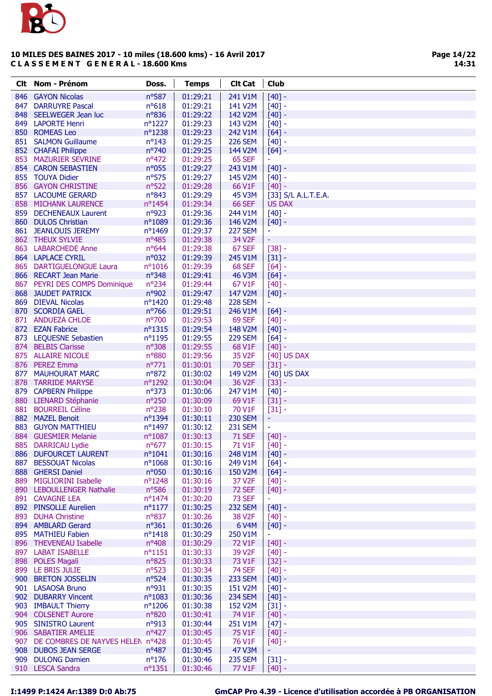

|     | Clt Nom - Prénom                                           | Doss.                             | <b>Temps</b>         | <b>Clt Cat</b>                       | Club                 |
|-----|------------------------------------------------------------|-----------------------------------|----------------------|--------------------------------------|----------------------|
|     | 846 GAYON Nicolas                                          | nº587                             | 01:29:21             | 241 V1M                              | $[40] -$             |
| 847 | <b>DARRUYRE Pascal</b>                                     | $n^o618$                          | 01:29:21             | 141 V2M                              | $[40] -$             |
|     | 848 SEELWEGER Jean luc                                     | nº836                             | 01:29:22             | 142 V2M                              | $[40]$ -             |
|     | 849 LAPORTE Henri                                          | nº1227                            | 01:29:23             | 143 V2M                              | $[40] -$             |
|     | 850 ROMEAS Leo                                             | nº1238                            | 01:29:23             | 242 V1M                              | $[64]$ -             |
|     | 851 SALMON Guillaume                                       | $n^o$ 143                         | 01:29:25             | <b>226 SEM</b>                       | $[40] -$             |
|     | 852 CHAFAI Philippe                                        | nº740                             | 01:29:25             | 144 V2M                              | $[64] -$             |
|     | 853 MAZURIER SEVRINE<br>854 CARON SEBASTIEN                | $n^o472$                          | 01:29:25             | 65 SEF                               | ÷                    |
|     | 855 TOUYA Didier                                           | n°055<br>nº575                    | 01:29:27<br>01:29:27 | 243 V1M<br>145 V2M                   | $[40] -$<br>$[40] -$ |
|     | 856 GAYON CHRISTINE                                        | nº522                             | 01:29:28             | 66 V1F                               | $[40] -$             |
|     | 857 LACOUME GERARD                                         | nº843                             | 01:29:29             | 45 V3M                               | [33] S/L A.L.T.E.A.  |
|     | 858 MICHANK LAURENCE                                       | nº1454                            | 01:29:34             | <b>66 SEF</b>                        | <b>US DAX</b>        |
|     | 859 DECHENEAUX Laurent                                     | nº923                             | 01:29:36             | 244 V1M                              | $[40] -$             |
|     | 860 DULOS Christian                                        | nº1089                            | 01:29:36             | 146 V2M                              | $[40]$ -             |
|     | 861 JEANLOUIS JEREMY                                       | nº1469                            | 01:29:37             | <b>227 SEM</b>                       | Ξ                    |
|     | 862 THEUX SYLVIE                                           | $n^o$ 485                         | 01:29:38             | 34 V2F                               | ÷,                   |
|     | 863 LABARCHEDE Anne                                        | nº644                             | 01:29:38             | 67 SEF                               | $[38] -$             |
|     | 864 LAPLACE CYRIL                                          | n°032                             | 01:29:39             | 245 V1M                              | $[31] -$             |
|     | 865 DARTIGUELONGUE Laura                                   | $n^o$ 1016                        | 01:29:39             | 68 SEF                               | $[64] -$             |
|     | 866 RECART Jean Marie                                      | $n^{\circ}348$                    | 01:29:41             | <b>46 V3M</b>                        | $[64] -$             |
|     | 867 PEYRI DES COMPS Dominique<br><b>868 JAUDET PATRICK</b> | nº234<br>nº902                    | 01:29:44<br>01:29:47 | 67 V1F<br>147 V2M                    | $[40] -$<br>$[40] -$ |
|     | 869 DIEVAL Nicolas                                         | nº1420                            | 01:29:48             | <b>228 SEM</b>                       | $\equiv$             |
|     | 870 SCORDIA GAEL                                           | $n^{\circ}$ 766                   | 01:29:51             | 246 V1M                              | $[64] -$             |
|     | 871 ANDUEZA CHLOE                                          | n°700                             | 01:29:53             | <b>69 SEF</b>                        | $[40] -$             |
|     | 872 EZAN Fabrice                                           | $n^o$ 1315                        | 01:29:54             | 148 V2M                              | $[40] -$             |
|     | 873 LEQUESNE Sebastien                                     | nº1195                            | 01:29:55             | <b>229 SEM</b>                       | $[64] -$             |
|     | 874 BELBIS Clarisse                                        | n°308                             | 01:29:55             | 68 V1F                               | $[40] -$             |
|     | 875 ALLAIRE NICOLE                                         | n°880                             | 01:29:56             | 35 V <sub>2</sub> F                  | [40] US DAX          |
|     | 876 PEREZ Emma                                             | $n^{\circ}771$                    | 01:30:01             | <b>70 SEF</b>                        | $[31] -$             |
| 877 | <b>MAUHOURAT MARC</b>                                      | nº872                             | 01:30:02             | 149 V2M                              | [40] US DAX          |
|     | 878 TARRIDE MARYSE                                         | nº1292                            | 01:30:04             | 36 V <sub>2F</sub>                   | $[33] -$             |
|     | 879 CAPBERN Philippe                                       | $n^o$ 373                         | 01:30:06             | 247 V1M                              | $[40] -$             |
|     | 880 LIENARD Stéphanie<br>881 BOURREIL Céline               | n°250<br>nº238                    | 01:30:09<br>01:30:10 | 69 V1F<br>70 V1F                     | $[31] -$<br>$[31] -$ |
|     | 882 MAZEL Benoit                                           | $n^o$ 1394                        | 01:30:11             | <b>230 SEM</b>                       | Η                    |
|     | 883 GUYON MATTHIEU                                         | nº1497                            | 01:30:12             | <b>231 SEM</b>                       | ÷,                   |
|     | 884 GUESMIER Melanie                                       | nº1087                            | 01:30:13             | <b>71 SEF</b>                        | $[40] -$             |
|     | 885 DARRICAU Lydie                                         | $n^o$ 677                         | 01:30:15             | 71 V1F                               | $[40]$ -             |
|     | 886 DUFOURCET LAURENT                                      | $n^{\circ}1041$                   | 01:30:16             | 248 V1M                              | $[40] -$             |
|     | 887 BESSOUAT Nicolas                                       | $n^{\circ}1068$                   | 01:30:16             | 249 V1M                              | $[64]$ -             |
|     | 888 GHERSI Daniel                                          | $n^{\circ}050$                    | 01:30:16             | 150 V2M                              | $[64] -$             |
|     | 889 MIGLIORINI Isabelle                                    | nº1248                            | 01:30:16             | 37 V <sub>2</sub> F                  | $[40] -$             |
|     | 890 LEBOULLENGER Nathalie                                  | $n^o$ 586                         | 01:30:19             | <b>72 SEF</b>                        | $[40] -$             |
|     | 891 CAVAGNE LEA                                            | $n^{\circ}$ 1474                  | 01:30:20             | <b>73 SEF</b>                        | ÷.                   |
|     | 892 PINSOLLE Aurelien<br>893 DUHA Christine                | $n^{\circ}1177$<br>$n^{\circ}837$ | 01:30:25<br>01:30:26 | <b>232 SEM</b><br>38 V <sub>2F</sub> | $[40] -$             |
|     | 894 AMBLARD Gerard                                         | $n^o$ 361                         | 01:30:26             | 6 V4M                                | $[40] -$<br>$[40] -$ |
|     | 895 MATHIEU Fabien                                         | $n^o$ 1418                        | 01:30:29             | 250 V1M                              | ٠                    |
|     | 896 THEVENEAU Isabelle                                     | $n^{\circ}408$                    | 01:30:29             | 72 V1F                               | $[40] -$             |
|     | 897 LABAT ISABELLE                                         | $n^o$ 1151                        | 01:30:33             | 39 V2F                               | $[40] -$             |
|     | 898 POLES Magali                                           | n°825                             | 01:30:33             | 73 V1F                               | $[32] -$             |
|     | 899 LE BRIS JULIE                                          | $n^o$ 523                         | 01:30:34             | <b>74 SEF</b>                        | $[40] -$             |
|     | 900 BRETON JOSSELIN                                        | $n^o$ 524                         | 01:30:35             | <b>233 SEM</b>                       | $[40] -$             |
|     | 901 LASAOSA Bruno                                          | nº931                             | 01:30:35             | 151 V2M                              | $[40] -$             |
|     | 902 DUBARRY Vincent                                        | $n^{\circ}1083$                   | 01:30:36             | <b>234 SEM</b>                       | $[40] -$             |
|     | 903 IMBAULT Thierry                                        | $n^{\circ}$ 1206                  | 01:30:38             | 152 V2M                              | $[31] -$             |
|     | 904 COLSENET Aurore                                        | nº820                             | 01:30:41             | 74 V1F                               | $[40] -$             |
|     | 905 SINISTRO Laurent<br>906 SABATIER AMELIE                | $n^{\circ}913$<br>$n^o427$        | 01:30:44<br>01:30:45 | 251 V1M<br>75 V1F                    | $[47] -$<br>$[40] -$ |
|     | 907 DE COMBRES DE NAYVES HELEN nº428                       |                                   | 01:30:45             | 76 V1F                               | $[40] -$             |
|     | 908 DUBOS JEAN SERGE                                       | $n^o487$                          | 01:30:45             | 47 V3M                               |                      |
|     | 909 DULONG Damien                                          | $n^o$ 176                         | 01:30:46             | <b>235 SEM</b>                       | $[31] -$             |
|     | 910 LESCA Sandra                                           | $n^o$ 1351                        | 01:30:46             | 77 V1F                               | $[40]$ -             |
|     |                                                            |                                   |                      |                                      |                      |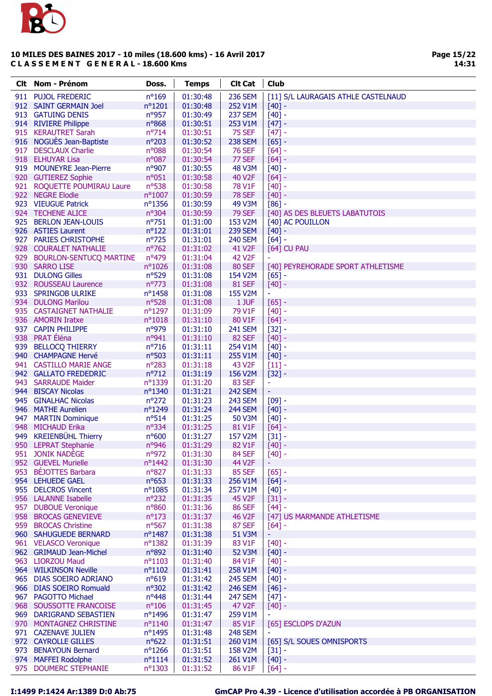

| <b>Clt</b> Nom - Prénom                 | Doss.                        | <b>Temps</b>         | <b>Clt Cat</b>          | <b>Club</b>                         |
|-----------------------------------------|------------------------------|----------------------|-------------------------|-------------------------------------|
| 911 PUJOL FREDERIC                      | $n^{\circ}169$               | 01:30:48             | <b>236 SEM</b>          | [11] S/L LAURAGAIS ATHLE CASTELNAUD |
| 912 SAINT GERMAIN Joel                  | nº1201                       | 01:30:48             | 252 V1M                 | $[40] -$                            |
| 913 GATUING DENIS                       | nº957                        | 01:30:49             | <b>237 SEM</b>          | $[40] -$                            |
| 914 RIVIERE Philippe                    | nº868                        | 01:30:51             | 253 V1M                 | $[47] -$                            |
| 915 KERAUTRET Sarah                     | $n^{\circ}714$               | 01:30:51             | <b>75 SEF</b>           | $[47] -$                            |
| 916 NOGUÈS Jean-Baptiste                | $n^{\circ}203$               | 01:30:52             | <b>238 SEM</b>          | $[65] -$                            |
| 917 DESCLAUX Charlie                    | n°088                        | 01:30:54             | <b>76 SEF</b>           | $[64] -$                            |
| 918 ELHUYAR Lisa                        | n°087                        | 01:30:54             | 77 SEF                  | $[64] -$                            |
| 919 MOUNEYRE Jean-Pierre                | nº907                        | 01:30:55             | <b>48 V3M</b>           | $[40] -$                            |
| 920 GUTIEREZ Sophie                     | $n^o$ 051                    | 01:30:58             | 40 V2F                  | $[64] -$                            |
| 921 ROQUETTE POUMIRAU Laure             | nº538                        | 01:30:58             | 78 V1F                  | $[40]$ -                            |
| 922 NEGRE Elodie                        | $n^{\circ}1007$              | 01:30:59             | <b>78 SEF</b>           | $[40] -$                            |
| 923 VIEUGUE Patrick                     | $n^o$ 1356                   | 01:30:59             | 49 V3M                  | $[86]$ -                            |
| 924 TECHENE ALICE                       | $n^{\circ}304$               | 01:30:59             | <b>79 SEF</b>           | [40] AS DES BLEUETS LABATUTOIS      |
| 925 BERLON JEAN-LOUIS                   | $n^{\circ}751$               | 01:31:00             | 153 V2M                 | [40] AC POUILLON                    |
| 926 ASTIES Laurent                      | $n^o$ 122                    | 01:31:01             | <b>239 SEM</b>          | $[40]$ -                            |
| 927 PARIES CHRISTOPHE                   | $n^{\circ}$ 725              | 01:31:01             | <b>240 SEM</b>          | $[64]$ -                            |
| 928 COURALET NATHALIE                   | $n^{\circ}762$               | 01:31:02             | 41 V2F                  | [64] CU PAU                         |
| 929 BOURLON-SENTUCQ MARTINE             | nº479                        | 01:31:04             | <b>42 V2F</b>           |                                     |
| 930 SARRO LISE                          | $n^{\circ}1026$              | 01:31:08             | <b>80 SEF</b>           | [40] PEYREHORADE SPORT ATHLETISME   |
| 931 DULONG Gilles                       | $n^o$ 529                    | 01:31:08             | 154 V2M                 | $[65]$ -                            |
| 932 ROUSSEAU Laurence                   | $n^{\circ}773$               | 01:31:08             | <b>81 SEF</b>           | $[40] -$                            |
| 933 SPRINGOB ULRIKE                     | nº1458                       | 01:31:08             | 155 V2M                 | ٠                                   |
| 934 DULONG Marilou                      | $n^o$ 528                    | 01:31:08             | 1 JUF                   | $[65] -$                            |
| 935 CASTAIGNET NATHALIE                 | $n^{\circ}1297$              | 01:31:09             | 79 V1F                  | $[40]$ -                            |
| 936 AMORIN Iratxe                       | $n^o$ 1018                   | 01:31:10             | 80 V1F                  | $[64] -$                            |
| 937 CAPIN PHILIPPE                      | nº979                        | 01:31:10             | <b>241 SEM</b>          | $[32] -$                            |
| 938 PRAT Éléna                          | nº941                        | 01:31:10             | <b>82 SEF</b>           | $[40] -$                            |
| 939 BELLOCQ THIERRY                     | $n^o$ 716                    | 01:31:11             | 254 V1M                 | $[40] -$                            |
| 940 CHAMPAGNE Hervé                     | nº503                        | 01:31:11             | 255 V1M                 | $[40] -$                            |
| 941 CASTILLO MARIE ANGE                 | $n^{\circ}283$               | 01:31:18             | 43 V <sub>2F</sub>      | $[11]$ -                            |
| 942 GALLATO FREDEDRIC                   | $n^{\circ}712$               | 01:31:19             | 156 V2M                 | $[32] -$                            |
| 943 SARRAUDE Maider                     | nº1339                       | 01:31:20             | 83 SEF                  | ٠                                   |
| 944 BISCAY Nicolas                      | nº1340                       | 01:31:21             | <b>242 SEM</b>          | $\blacksquare$                      |
| 945 GINALHAC Nicolas                    | $n^{\circ}272$               | 01:31:23             | <b>243 SEM</b>          | $[09] -$                            |
| 946 MATHE Aurelien                      | nº1249                       | 01:31:24             | <b>244 SEM</b>          | $[40] -$                            |
| 947 MARTIN Dominique                    | $n^o514$                     | 01:31:25             | 50 V3M                  | $[40] -$                            |
| 948 MICHAUD Erika                       | $n^{\circ}334$               | 01:31:25             | 81 V1F                  | $[64]$ -                            |
| 949 KREIENBÜHL Thierry                  | $n^o$ 600                    | 01:31:27             | 157 V2M                 | $[31] -$                            |
| 950 LEPRAT Stephanie                    | $n^{\circ}946$               | 01:31:29             | 82 V1F                  | $[40] -$                            |
| 951 JONIK NADÈGE                        | $n^{\circ}972$               | 01:31:30             | 84 SEF                  | $[40]$ -                            |
| 952 GUEVEL Murielle                     | nº1442                       | 01:31:30             | 44 V2F                  | ä,                                  |
| 953 BÉJOTTES Barbara                    | $n^{\circ}827$               | 01:31:33             | <b>85 SEF</b>           | $[65] -$                            |
| 954 LEHUEDE GAEL<br>955 DELCROS Vincent | $n^o$ 653<br>$n^{\circ}1085$ | 01:31:33             | 256 V1M<br>257 V1M      | $[64] -$                            |
| 956 LALANNE Isabelle                    | $n^{\circ}232$               | 01:31:34             |                         | $[40] -$                            |
| 957 DUBOUE Veronique                    | $n^{\circ}860$               | 01:31:35<br>01:31:36 | 45 V2F<br><b>86 SEF</b> | $[31] -$<br>$[44] -$                |
| 958 BROCAS GENEVIEVE                    | $n^o$ 173                    | 01:31:37             | 46 V2F                  | [47] US MARMANDE ATHLETISME         |
| 959 BROCAS Christine                    | $n^o$ 567                    | 01:31:38             | <b>87 SEF</b>           | $[64]$ -                            |
| 960 SAHUGUEDE BERNARD                   | nº1487                       | 01:31:38             | 51 V3M                  | ۳                                   |
| 961 VELASCO Veronique                   | nº1382                       | 01:31:39             | 83 V1F                  | $[40] -$                            |
| 962 GRIMAUD Jean-Michel                 | $n^{\circ}892$               | 01:31:40             | 52 V3M                  | $[40] -$                            |
| 963 LIORZOU Maud                        | $n^o$ 1103                   | 01:31:40             | 84 V1F                  | $[40] -$                            |
| 964 WILKINSON Neville                   | $n^{\circ}1102$              | 01:31:41             | 258 V1M                 | $[40] -$                            |
| 965 DIAS SOEIRO ADRIANO                 | $n^o619$                     | 01:31:42             | <b>245 SEM</b>          | $[40] -$                            |
| 966 DIAS SOEIRO Romuald                 | $n^{\circ}302$               | 01:31:42             | <b>246 SEM</b>          | $[46] -$                            |
| 967 PAGOTTO Michael                     | $n^o448$                     | 01:31:44             | <b>247 SEM</b>          | $[47] -$                            |
| 968 SOUSSOTTE FRANCOISE                 | $n^{\circ}106$               | 01:31:45             | 47 V2F                  | $[40] -$                            |
| 969 DARIGRAND SEBASTIEN                 | nº1496                       | 01:31:47             | 259 V1M                 |                                     |
| 970 MONTAGNEZ CHRISTINE                 | $n^{\circ}1140$              | 01:31:47             | 85 V1F                  | [65] ESCLOPS D'AZUN                 |
| 971 CAZENAVE JULIEN                     | nº1495                       | 01:31:48             | <b>248 SEM</b>          |                                     |
| 972 CAYROLLE GILLES                     | $n^o622$                     | 01:31:51             | 260 V1M                 | [65] S/L SOUES OMNISPORTS           |
| 973 BENAYOUN Bernard                    | $n^o$ 1266                   | 01:31:51             | 158 V2M                 | $[31] -$                            |
| 974 MAFFEI Rodolphe                     | $n^o$ 1114                   | 01:31:52             | 261 V1M                 | $[40] -$                            |
| 975 DOUMERC STEPHANIE                   | $n^o$ 1303                   | 01:31:52             | 86 V1F                  | $[64] -$                            |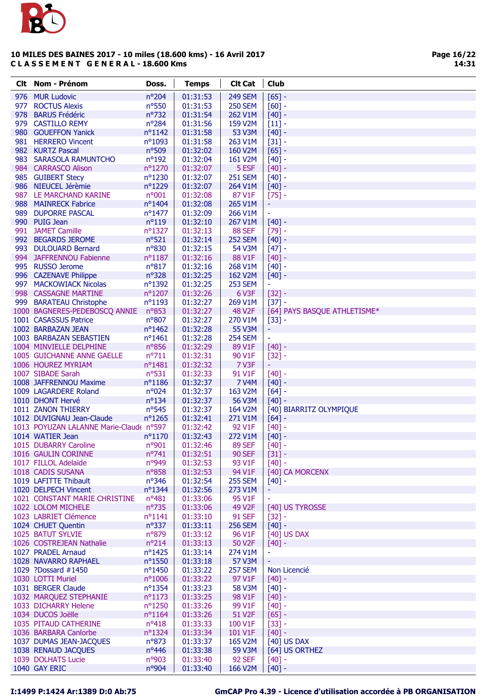

Page 16/22 14:31

|     | Clt Nom - Prénom                        | Doss.            | <b>Temps</b> | <b>Clt Cat</b>     | <b>Club</b>                  |
|-----|-----------------------------------------|------------------|--------------|--------------------|------------------------------|
|     | 976 MUR Ludovic                         | nº204            | 01:31:53     | <b>249 SEM</b>     | $[65] -$                     |
| 977 | <b>ROCTUS Alexis</b>                    | nº550            | 01:31:53     | <b>250 SEM</b>     | $[60] -$                     |
|     | 978 BARUS Frédéric                      | nº732            | 01:31:54     | 262 V1M            | $[40] -$                     |
|     | 979 CASTILLO REMY                       | $n^{\circ}284$   | 01:31:56     | 159 V2M            | $[11] -$                     |
|     | 980 GOUEFFON Yanick                     | $n^o$ 1142       | 01:31:58     | 53 V3M             | $[40] -$                     |
|     | 981 HERRERO Vincent                     | $n^{\circ}1093$  | 01:31:58     | 263 V1M            | $[31] -$                     |
|     | 982 KURTZ Pascal                        | nº509            | 01:32:02     | 160 V2M            | $[65] -$                     |
|     | 983 SARASOLA RAMUNTCHO                  | $n^o$ 192        | 01:32:04     | 161 V2M            | $[40] -$                     |
|     | 984 CARRASCO Alison                     | nº1270           | 01:32:07     | 5 ESF              | $[40] -$                     |
|     | 985 GUIBERT Stecy                       | nº1230           | 01:32:07     | <b>251 SEM</b>     | $[40] -$                     |
|     | 986 NIEUCEL Jérèmie                     | nº1229           | 01:32:07     | 264 V1M            | $[40] -$                     |
|     | 987 LE MARCHAND KARINE                  | n°001            | 01:32:08     | 87 V1F             | $[75]$ -                     |
|     | 988 MAINRECK Fabrice                    | nº1404           | 01:32:08     | 265 V1M            | ÷                            |
|     | 989 DUPORRE PASCAL                      | $n^{\circ}$ 1477 | 01:32:09     | 266 V1M            | $\blacksquare$               |
|     | 990 PUIG Jean                           | $n^o119$         | 01:32:10     | 267 V1M            | $[40] -$                     |
|     | 991 JAMET Camille                       | nº1327           | 01:32:13     | <b>88 SEF</b>      | $[79] -$                     |
|     | 992 BEGARDS JEROME                      | $n^o$ 521        | 01:32:14     | <b>252 SEM</b>     | $[40] -$                     |
|     | 993 DULOUARD Bernard                    | nº830            | 01:32:15     | 54 V3M             | $[47] -$                     |
|     | 994 JAFFRENNOU Fabienne                 | $n^o$ 1187       | 01:32:16     | 88 V1F             | $[40] -$                     |
|     | 995 RUSSO Jerome                        | $n^o817$         | 01:32:16     | 268 V1M            | $[40] -$                     |
|     | 996 CAZENAVE Philippe                   | $n^o$ 328        | 01:32:25     | 162 V2M            | $[40] -$                     |
|     | 997 MACKOWIACK Nicolas                  | nº1392           | 01:32:25     | <b>253 SEM</b>     | $\blacksquare$               |
|     | 998 CASSAGNE MARTINE                    | nº1207           | 01:32:26     | 6 V3F              | $[32] -$                     |
|     | 999 BARATEAU Christophe                 | $n^o$ 1193       | 01:32:27     | 269 V1M            | $[37] -$                     |
|     | 1000 BAGNERES-PEDEBOSCQ ANNIE           | n°853            | 01:32:27     | <b>48 V2F</b>      | [64] PAYS BASQUE ATHLETISME* |
|     | 1001 CASASSUS Patrice                   | $n^o$ 807        | 01:32:27     | 270 V1M            | $[33] -$                     |
|     | 1002 BARBAZAN JEAN                      | $n^{\circ}$ 1462 | 01:32:28     | 55 V3M             | ÷                            |
|     | 1003 BARBAZAN SEBASTIEN                 | $n^{\circ}$ 1461 | 01:32:28     | <b>254 SEM</b>     | $\blacksquare$               |
|     | 1004 MINVIELLE DELPHINE                 | n°856            | 01:32:29     | 89 V1F             | $[40] -$                     |
|     | 1005 GUICHANNE ANNE GAELLE              | $n^o$ 711        | 01:32:31     | 90 V1F             | $[32] -$                     |
|     | 1006 HOUREZ MYRIAM                      | $n^o$ 1481       | 01:32:32     | 7 V3F              | ÷                            |
|     | 1007 SIBADE Sarah                       | $n^o$ 531        | 01:32:33     | 91 V1F             | $[40] -$                     |
|     | 1008 JAFFRENNOU Maxime                  | $n^o$ 1186       | 01:32:37     | <b>7 V4M</b>       | $[40] -$                     |
|     | 1009 LAGARDERE Roland                   | $n^{\circ}024$   | 01:32:37     | 163 V2M            | $[64] -$                     |
|     | 1010 DHONT Hervé                        | $n^o$ 134        | 01:32:37     | 56 V3M             | $[40] -$                     |
|     | 1011 ZANON THIERRY                      | $n^{\circ}545$   | 01:32:37     | 164 V2M            | [40] BIARRITZ OLYMPIQUE      |
|     | 1012 DUVIGNAU Jean-Claude               | $n^o$ 1265       | 01:32:41     | 271 V1M            | $[64]$ -                     |
|     | 1013 POYUZAN LALANNE Marie-Claud( nº597 |                  | 01:32:42     | 92 V1F             | $[40] -$                     |
|     | 1014 WATIER Jean                        | $n^{\circ}1170$  | 01:32:43     | 272 V1M            | $[40] -$                     |
|     | 1015 DUBARRY Caroline                   | n°901            | 01:32:46     | <b>89 SEF</b>      | $[40]$ -                     |
|     | 1016 GAULIN CORINNE                     | $n^{\circ}741$   | 01:32:51     | <b>90 SEF</b>      | $[31] -$                     |
|     | 1017 FILLOL Adelaïde                    | n°949            | 01:32:53     | 93 V1F             | $[40] -$                     |
|     | 1018 CADIS SUSANA                       | $n^o$ 858        | 01:32:53     | 94 V1F             | [40] CA MORCENX              |
|     | 1019 LAFITTE Thibault                   | $n^{\circ}346$   | 01:32:54     | <b>255 SEM</b>     | $[40] -$                     |
|     | 1020 DELPECH Vincent                    | $n^{\circ}$ 1344 | 01:32:56     | 273 V1M            | ۳                            |
|     | 1021 CONSTANT MARIE CHRISTINE           | $n^o481$         | 01:33:06     | 95 V1F             |                              |
|     | 1022 LOLOM MICHELE                      | $n^{\circ}735$   | 01:33:06     | 49 V <sub>2F</sub> | [40] US TYROSSE              |
|     | 1023 LABRIET Clémence                   | $n^o$ 1141       | 01:33:10     | <b>91 SEF</b>      | $[32] -$                     |
|     | 1024 CHUET Quentin                      | $n^{\circ}337$   | 01:33:11     | <b>256 SEM</b>     | $[40] -$                     |
|     | 1025 BATUT SYLVIE                       | $n^{\circ}879$   | 01:33:12     | 96 V1F             | [40] US DAX                  |
|     | 1026 COSTREJEAN Nathalie                | $n^{\circ}214$   | 01:33:13     | 50 V2F             | $[40] -$                     |
|     | 1027 PRADEL Arnaud                      | $n^o$ 1425       | 01:33:14     | 274 V1M            | $\blacksquare$               |
|     | 1028 NAVARRO RAPHAEL                    | nº1550           | 01:33:18     | 57 V3M             |                              |
|     | 1029 ?Dossard #1450                     | nº1450           | 01:33:22     | <b>257 SEM</b>     | Non Licencié                 |
|     | 1030 LOTTI Muriel                       | $n^{\circ}1006$  | 01:33:22     | 97 V1F             | $[40] -$                     |
|     | 1031 BERGER Claude                      | $n^{\circ}$ 1354 | 01:33:23     | 58 V3M             | $[40] -$                     |
|     | 1032 MARQUEZ STEPHANIE                  | $n^{\circ}1173$  | 01:33:25     | 98 V1F             | $[40] -$                     |
|     | 1033 DICHARRY Helene                    | $n^{\circ}$ 1250 | 01:33:26     | 99 V1F             | $[40] -$                     |
|     | 1034 DUCOS Joëlle                       | $n^{\circ}1164$  | 01:33:26     | 51 V <sub>2F</sub> | $[65] -$                     |
|     | 1035 PITAUD CATHERINE                   | $n^o418$         | 01:33:33     | 100 V1F            | $[33] -$                     |
|     | 1036 BARBARA Canlorbe                   | $n^{\circ}$ 1324 | 01:33:34     | 101 V1F            | $[40] -$                     |
|     | 1037 DUMAS JEAN-JACQUES                 | $n^o$ 873        | 01:33:37     | 165 V2M            | [40] US DAX                  |
|     | 1038 RENAUD JACQUES                     | $n^o446$         | 01:33:38     | 59 V3M             | [64] US ORTHEZ               |
|     | 1039 DOLHATS Lucie                      | n°903            | 01:33:40     | <b>92 SEF</b>      | $[40] -$                     |
|     | 1040 GAY ERIC                           | nº904            | 01:33:40     | 166 V2M            | $[40] -$                     |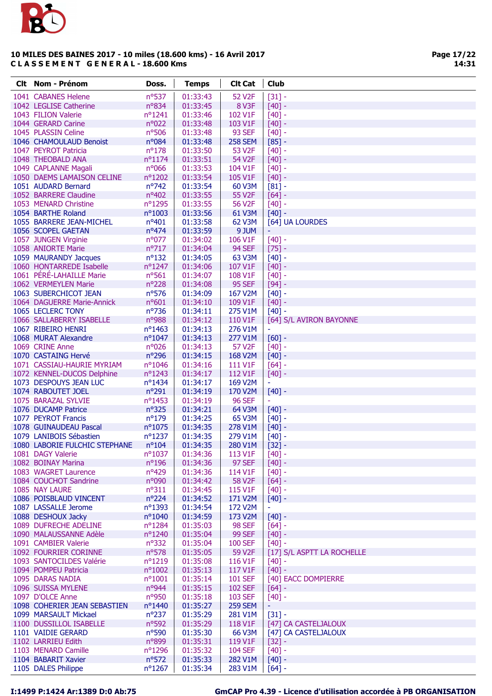

Page 17/22 14:31

| <b>Clt</b> Nom - Prénom                              | Doss.            | <b>Temps</b>         | <b>Clt Cat</b>     | Club                       |
|------------------------------------------------------|------------------|----------------------|--------------------|----------------------------|
| 1041 CABANES Helene                                  | nº537            | 01:33:43             | 52 V2F             | $[31] -$                   |
| 1042 LEGLISE Catherine                               | nº834            | 01:33:45             | 8 V3F              | $[40] -$                   |
| 1043 FILION Valerie                                  | $n^{\circ}1241$  | 01:33:46             | 102 V1F            | $[40] -$                   |
| 1044 GERARD Carine                                   | n°022            | 01:33:48             | 103 V1F            | $[40] -$                   |
| 1045 PLASSIN Celine                                  | $n^{\circ}506$   | 01:33:48             | <b>93 SEF</b>      | $[40] -$                   |
| 1046 CHAMOULAUD Benoist                              | n°084            | 01:33:48             | <b>258 SEM</b>     | $[85]$ -                   |
| 1047 PEYROT Patricia                                 | $n^o$ 178        | 01:33:50             | 53 V <sub>2F</sub> | $[40] -$                   |
| 1048 THEOBALD ANA                                    | $n^o$ 1174       | 01:33:51             | 54 V2F             | $[40] -$                   |
| 1049 CAPLANNE Magali                                 | n°066            | 01:33:53             | 104 V1F            | $[40] -$                   |
| 1050 DAEMS LAMAISON CELINE                           | nº1202           | 01:33:54             | 105 V1F            | $[40] -$                   |
| 1051 AUDARD Bernard                                  | $n^{\circ}742$   | 01:33:54             | 60 V3M             | $[81] -$                   |
| 1052 BARRERE Claudine                                | nº402            | 01:33:55             | 55 V2F             | $[64] -$                   |
| 1053 MENARD Christine                                | nº1295           | 01:33:55             | 56 V2F             | $[40] -$                   |
| 1054 BARTHE Roland                                   | nº1003           | 01:33:56             | 61 V3M             | $[40] -$                   |
| 1055 BARRERE JEAN-MICHEL                             | $n^o401$         | 01:33:58             | 62 V3M             | [64] UA LOURDES            |
| 1056 SCOPEL GAETAN                                   | $n^o474$         | 01:33:59             | 9 JUM              | ÷                          |
| 1057 JUNGEN Virginie                                 | n°077            | 01:34:02             | 106 V1F            | $[40] -$                   |
| 1058 ANIORTE Marie                                   | $n^{\circ}717$   | 01:34:04             | <b>94 SEF</b>      | $[75] -$                   |
| 1059 MAURANDY Jacques                                | $n^o$ 132        | 01:34:05             | 63 V3M             | $[40] -$                   |
| 1060 HONTARREDE Isabelle                             | nº1247           | 01:34:06             | 107 V1F            | $[40] -$                   |
| 1061 PÉRÉ-LAHAILLE Marie                             | $n^o$ 561        | 01:34:07             | 108 V1F            | $[40] -$                   |
| 1062 VERMEYLEN Marie                                 | $n^{\circ}228$   | 01:34:08             | <b>95 SEF</b>      | $[94]$ -                   |
| 1063 SUBERCHICOT JEAN                                | nº576            | 01:34:09             | 167 V2M            | $[40] -$                   |
| 1064 DAGUERRE Marie-Annick                           | $n^o601$         | 01:34:10             | 109 V1F            | $[40] -$                   |
| 1065 LECLERC TONY                                    | nº736            | 01:34:11             | 275 V1M            | $[40] -$                   |
| 1066 SALLABERRY ISABELLE                             | n°988            | 01:34:12             | 110 V1F            | [64] S/L AVIRON BAYONNE    |
| 1067 RIBEIRO HENRI                                   | $n^{\circ}$ 1463 | 01:34:13             | 276 V1M            | ÷,                         |
| 1068 MURAT Alexandre                                 | nº1047           | 01:34:13             | 277 V1M            | $[60] -$                   |
| 1069 CRINE Anne                                      | n°026            | 01:34:13             | 57 V2F             | $[40] -$                   |
| 1070 CASTAING Hervé                                  | n°296            | 01:34:15             | 168 V2M            | $[40] -$                   |
| 1071 CASSIAU-HAURIE MYRIAM                           | $n^{\circ}1046$  | 01:34:16             | 111 V1F            | $[64] -$                   |
| 1072 KENNEL-DUCOS Delphine<br>1073 DESPOUYS JEAN LUC | nº1243<br>nº1434 | 01:34:17<br>01:34:17 | 112 V1F<br>169 V2M | $[40] -$<br>÷.             |
| 1074 RABOUTET JOEL                                   | $n^{\circ}291$   | 01:34:19             | 170 V2M            | $[40] -$                   |
| 1075 BARAZAL SYLVIE                                  | $n^{\circ}$ 1453 | 01:34:19             | <b>96 SEF</b>      | ÷                          |
| 1076 DUCAMP Patrice                                  | $n^{\circ}325$   | 01:34:21             | 64 V3M             | $[40] -$                   |
| 1077 PEYROT Francis                                  | $n^o$ 179        | 01:34:25             | 65 V3M             | $[40] -$                   |
| 1078 GUINAUDEAU Pascal                               | nº1075           | 01:34:35             | 278 V1M            | $[40] -$                   |
| 1079 LANIBOIS Sébastien                              | nº1237           | 01:34:35             | 279 V1M            | $[40] -$                   |
| 1080 LABORIE FULCHIC STEPHANE                        | $n^{\circ}104$   | 01:34:35             | 280 V1M            | $[32] -$                   |
| 1081 DAGY Valerie                                    | $n^{\circ}1037$  | 01:34:36             | 113 V1F            | $[40] -$                   |
| 1082 BOINAY Marina                                   | $n^{\circ}196$   | 01:34:36             | <b>97 SEF</b>      | $[40] -$                   |
| 1083 WAGRET Laurence                                 | $n^o429$         | 01:34:36             | 114 V1F            | $[40] -$                   |
| 1084 COUCHOT Sandrine                                | n°090            | 01:34:42             | 58 V <sub>2F</sub> | $[64] -$                   |
| 1085 NAY LAURE                                       | $n^o311$         | 01:34:45             | 115 V1F            | $[40] -$                   |
| 1086 POISBLAUD VINCENT                               | $n^{\circ}224$   | 01:34:52             | 171 V2M            | $[40] -$                   |
| 1087 LASSALLE Jerome                                 | nº1393           | 01:34:54             | 172 V2M            | ٠                          |
| 1088 DESHOUX Jacky                                   | $n^{\circ}1040$  | 01:34:59             | 173 V2M            | $[40] -$                   |
| 1089 DUFRECHE ADELINE                                | $n^{\circ}$ 1284 | 01:35:03             | <b>98 SEF</b>      | $[64] -$                   |
| 1090 MALAUSSANNE Adèle                               | $n^{\circ}$ 1240 | 01:35:04             | <b>99 SEF</b>      | $[40] -$                   |
| 1091 CAMBIER Valerie                                 | $n^o$ 332        | 01:35:04             | <b>100 SEF</b>     | $[40] -$                   |
| 1092 FOURRIER CORINNE                                | nº578            | 01:35:05             | 59 V2F             | [17] S/L ASPTT LA ROCHELLE |
| 1093 SANTOCILDES Valérie                             | nº1219           | 01:35:08             | 116 V1F            | $[40] -$                   |
| 1094 POMPEU Patricia                                 | $n^{\circ}1002$  | 01:35:13             | 117 V1F            | $[40] -$                   |
| 1095 DARAS NADIA                                     | $n^o$ 1001       | 01:35:14             | <b>101 SEF</b>     | [40] EACC DOMPIERRE        |
| 1096 SUISSA MYLENE                                   | $n^{\circ}944$   | 01:35:15             | <b>102 SEF</b>     | $[64] -$                   |
| 1097 D'OLCE Anne                                     | n°950            | 01:35:18             | 103 SEF            | $[40] -$                   |
| 1098 COHERIER JEAN SEBASTIEN                         | nº1440           | 01:35:27             | <b>259 SEM</b>     |                            |
| 1099 MARSAULT Mickael                                | $n^{\circ}237$   | 01:35:29             | 281 V1M            | $[31] -$                   |
| 1100 DUSSILLOL ISABELLE                              | $n^o$ 592        | 01:35:29             | 118 V1F            | [47] CA CASTELJALOUX       |
| 1101 VAIDIE GERARD                                   | $n^o$ 590        | 01:35:30             | 66 V3M             | [47] CA CASTELJALOUX       |
| 1102 LARRIEU Edith                                   | n°899            | 01:35:31             | 119 V1F            | $[32] -$                   |
| 1103 MENARD Camille                                  | nº1296           | 01:35:32             | <b>104 SEF</b>     | $[40] -$                   |
| 1104 BABARIT Xavier                                  | $n^{\circ}572$   | 01:35:33             | 282 V1M            | $[40] -$                   |
| 1105 DALES Philippe                                  | nº1267           | 01:35:34             | 283 V1M            | $[64] -$                   |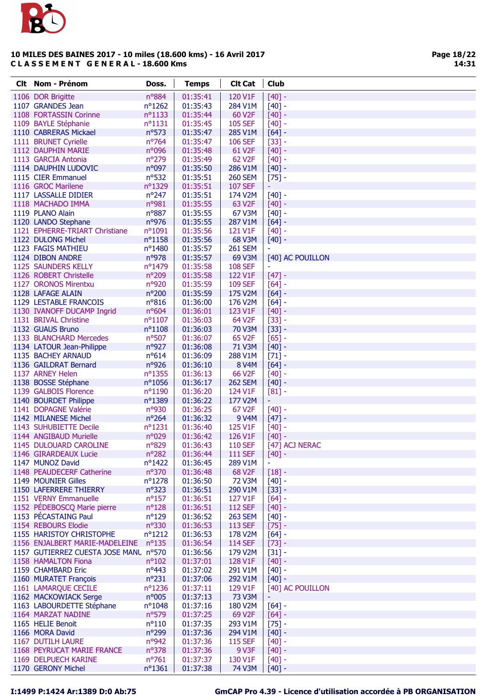

Page 18/22 14:31

| <b>Clt</b> Nom - Prénom                     | Doss.                             | <b>Temps</b>         | <b>Clt Cat</b>      | <b>Club</b>          |
|---------------------------------------------|-----------------------------------|----------------------|---------------------|----------------------|
| 1106 DOR Brigitte                           | nº884                             | 01:35:41             | 120 V1F             | $[40] -$             |
| 1107 GRANDES Jean                           | nº1262                            | 01:35:43             | 284 V1M             | $[40] -$             |
| 1108 FORTASSIN Corinne                      | $n^o$ 1133                        | 01:35:44             | 60 V <sub>2F</sub>  | $[40] -$             |
| 1109 BAYLE Stéphanie                        | $n^o$ 1131                        | 01:35:45             | <b>105 SEF</b>      | $[40] -$             |
| 1110 CABRERAS Mickael                       | $n^o$ 573                         | 01:35:47             | 285 V1M             | $[64] -$             |
| 1111 BRUNET Cyrielle                        | nº764                             | 01:35:47             | <b>106 SEF</b>      | $[33] -$             |
| 1112 DAUPHIN MARIE                          | n°096                             | 01:35:48             | 61 V2F              | $[40] -$             |
| 1113 GARCIA Antonia                         | n°279                             | 01:35:49             | 62 V <sub>2</sub> F | $[40] -$             |
| 1114 DAUPHIN LUDOVIC                        | n°097                             | 01:35:50             | 286 V1M             | $[40] -$             |
| 1115 CIER Emmanuel                          | $n^o$ 532                         | 01:35:51             | <b>260 SEM</b>      | $[75] -$             |
| 1116 GROC Marilene                          | nº1329                            | 01:35:51             | <b>107 SEF</b>      | ÷                    |
| 1117 LASSALLE DIDIER                        | $n^{\circ}247$                    | 01:35:51             | 174 V2M             | $[40] -$             |
| 1118 MACHADO IMMA                           | nº981                             | 01:35:55             | 63 V <sub>2F</sub>  | $[40] -$             |
| 1119 PLANO Alain                            | nº887                             | 01:35:55             | 67 V3M              | $[40] -$             |
| 1120 LANDO Stephane                         | nº976                             | 01:35:55             | 287 V1M             | $[64] -$             |
| 1121 EPHERRE-TRIART Christiane              | $n^{\circ}1091$                   | 01:35:56             | 121 V1F             | $[40] -$             |
| 1122 DULONG Michel                          | $n^o$ 1158                        | 01:35:56             | 68 V3M              | $[40] -$             |
| 1123 FAGIS MATHIEU                          | nº1480                            | 01:35:57             | <b>261 SEM</b>      |                      |
| 1124 DIBON ANDRE                            | nº978                             | 01:35:57             | 69 V3M              | [40] AC POUILLON     |
| 1125 SAUNDERS KELLY                         | nº1479                            | 01:35:58             | <b>108 SEF</b>      | Ξ                    |
| 1126 ROBERT Christelle                      | nº209                             | 01:35:58             | 122 V1F             | $[47] -$             |
| 1127 ORONOS Mirentxu                        | nº920                             | 01:35:59             | <b>109 SEF</b>      | $[64] -$             |
| 1128 LAFAGE ALAIN                           | nº200                             | 01:35:59             | 175 V2M             | $[64] -$             |
| 1129 LESTABLE FRANCOIS                      | $n^o816$                          | 01:36:00             | 176 V2M             | $[64] -$             |
| 1130 IVANOFF DUCAMP Ingrid                  | $n^o604$                          | 01:36:01             | 123 V1F             | $[40] -$             |
| 1131 BRIVAL Christine                       | $n^o$ 1107                        | 01:36:03             | 64 V2F              | $[33] -$             |
| 1132 GUAUS Bruno                            | $n^o$ 1108                        | 01:36:03             | <b>70 V3M</b>       | $[33] -$             |
| 1133 BLANCHARD Mercedes                     | nº507                             | 01:36:07             | 65 V2F              | $[65] -$             |
| 1134 LATOUR Jean-Philippe                   | nº927                             | 01:36:08             | 71 V3M              | $[40] -$             |
| 1135 BACHEY ARNAUD                          | $n^o614$                          | 01:36:09             | 288 V1M             | $[71] -$             |
| 1136 GAILDRAT Bernard                       | nº926                             | 01:36:10             | <b>8 V4M</b>        | $[64] -$             |
| 1137 ARNEY Helen                            | nº1355                            | 01:36:13             | 66 V2F              | $[40] -$             |
| 1138 BOSSE Stéphane                         | nº1056                            | 01:36:17             | <b>262 SEM</b>      | $[40] -$             |
| 1139 GALBOIS Florence                       | nº1190                            | 01:36:20             | 124 V1F             | $[81] -$             |
| 1140 BOURDET Philippe                       | nº1389                            | 01:36:22             | 177 V2M             | Ξ                    |
| 1141 DOPAGNE Valérie                        | n°930                             | 01:36:25             | 67 V <sub>2</sub> F | $[40] -$             |
| 1142 MILANESE Michel                        | $n^{\circ}264$                    | 01:36:32             | 9 V4M               | $[47] -$             |
| 1143 SUHUBIETTE Decile                      | nº1231                            | 01:36:40             | 125 V1F             | $[40] -$             |
| 1144 ANGIBAUD Murielle                      | n°029                             | 01:36:42             | 126 V1F             | $[40] -$             |
| 1145 DULOUARD CAROLINE                      | nº829                             | 01:36:43             | <b>110 SEF</b>      | [47] ACJ NERAC       |
| 1146 GIRARDEAUX Lucie                       | $n^{\circ}282$                    | 01:36:44             | <b>111 SEF</b>      | $[40] -$             |
| 1147 MUNOZ David                            | nº1422                            | 01:36:45             | 289 V1M             | ÷                    |
| 1148 PEAUDECERF Catherine                   | $n^o$ 370                         | 01:36:48             | 68 V2F              | $[18] -$             |
| 1149 MOUNIER Gilles                         | nº1278                            | 01:36:50             | 72 V3M              | $[40] -$             |
| 1150 LAFERRERE THIERRY                      | $n^{\circ}323$                    | 01:36:51             | 290 V1M             | $[33] -$             |
| 1151 VERNY Emmanuelle                       | $n^o$ 157                         | 01:36:51             | 127 V1F             | $[64] -$             |
| 1152 PÉDEBOSCQ Marie pierre                 | $n^o$ 128                         | 01:36:51             | <b>112 SEF</b>      | $[40] -$             |
| 1153 PÉCASTAING Paul<br>1154 REBOURS Elodie | $n^o$ 129                         | 01:36:52             | <b>263 SEM</b>      | $[40] -$             |
| 1155 HARISTOY CHRISTOPHE                    | nº330                             | 01:36:53             | 113 SEF<br>178 V2M  | $[75] -$<br>$[64] -$ |
| 1156 ENJALBERT MARIE-MADELEINE              | $n^{\circ}1212$<br>$n^{\circ}135$ | 01:36:53<br>01:36:54 | <b>114 SEF</b>      | $[73] -$             |
| 1157 GUTIERREZ CUESTA JOSE MANL nº570       |                                   | 01:36:56             | 179 V2M             | $[31] -$             |
| 1158 HAMALTON Fiona                         | $n^{\circ}102$                    | 01:37:01             | 128 V1F             | $[40] -$             |
| 1159 CHAMBARD Eric                          | $n^o443$                          | 01:37:02             | 291 V1M             | $[40] -$             |
| 1160 MURATET François                       | $n^{\circ}231$                    | 01:37:06             | 292 V1M             | $[40] -$             |
| 1161 LAMARQUE CECILE                        | $n^o$ 1236                        | 01:37:11             | 129 V1F             | [40] AC POUILLON     |
| 1162 MACKOWIACK Serge                       | n°005                             | 01:37:13             | 73 V3M              | ÷                    |
| 1163 LABOURDETTE Stéphane                   | nº1048                            | 01:37:16             | 180 V2M             | $[64] -$             |
| 1164 MARZAT NADINE                          | nº579                             | 01:37:25             | 69 V <sub>2F</sub>  | $[64] -$             |
| 1165 HELIE Benoit                           | $n^o110$                          | 01:37:35             | 293 V1M             | $[75] -$             |
| 1166 MORA David                             | $n^{\circ}299$                    | 01:37:36             | 294 V1M             | $[40] -$             |
| 1167 DUTILH LAURE                           | nº942                             | 01:37:36             | <b>115 SEF</b>      | $[40] -$             |
| 1168 PEYRUCAT MARIE FRANCE                  | $n^o$ 378                         | 01:37:36             | 9 V3F               | $[40] -$             |
| 1169 DELPUECH KARINE                        | n°761                             | 01:37:37             | 130 V1F             | $[40] -$             |
| 1170 GERONY Michel                          | nº1361                            | 01:37:38             | 74 V3M              | $[40] -$             |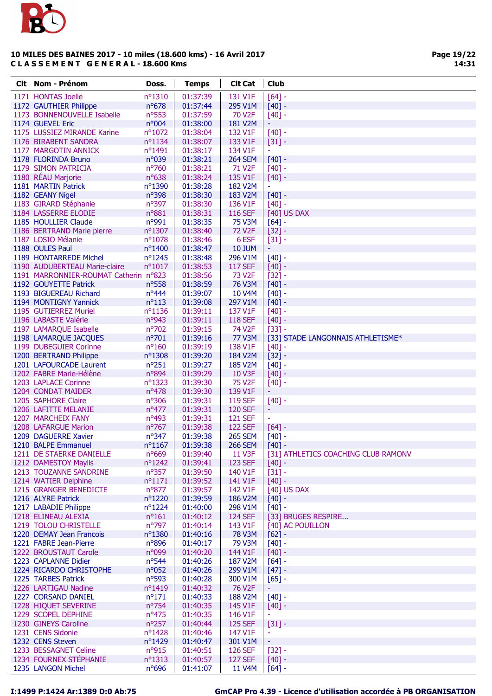

| <b>Clt</b> | <b>Nom - Prénom</b>                              | Doss.                        | <b>Temps</b>         | <b>Clt Cat</b>      | <b>Club</b>                         |
|------------|--------------------------------------------------|------------------------------|----------------------|---------------------|-------------------------------------|
|            | 1171 HONTAS Joelle                               | nº1310                       | 01:37:39             | 131 V1F             | $[64] -$                            |
|            | 1172 GAUTHIER Philippe                           | $n^o$ 678                    | 01:37:44             | 295 V1M             | $[40] -$                            |
|            | 1173 BONNENOUVELLE Isabelle                      | n <sup>o</sup> 553           | 01:37:59             | 70 V <sub>2</sub> F | $[40] -$                            |
|            | 1174 GUEVEL Eric                                 | n°004                        | 01:38:00             | 181 V2M             | Ξ                                   |
|            | 1175 LUSSIEZ MIRANDE Karine                      | nº1072                       | 01:38:04             | 132 V1F             | $[40] -$                            |
|            | 1176 BIRABENT SANDRA                             | nº1134                       | 01:38:07             | 133 V1F             | $[31] -$                            |
|            | 1177 MARGOTIN ANNICK                             | nº1491                       | 01:38:17             | 134 V1F             | ÷,                                  |
|            | 1178 FLORINDA Bruno                              | n°039                        | 01:38:21             | <b>264 SEM</b>      | $[40] -$                            |
|            | 1179 SIMON PATRICIA                              | nº760                        | 01:38:21             | 71 V <sub>2</sub> F | $[40] -$                            |
|            | 1180 RÉAU Marjorie                               | nº638                        | 01:38:24             | 135 V1F             | $[40] -$                            |
|            | 1181 MARTIN Patrick                              | nº1390                       | 01:38:28             | 182 V2M             | $\overline{\phantom{a}}$            |
|            | 1182 GEANY Nigel<br>1183 GIRARD Stéphanie        | $n^{\circ}398$<br>nº397      | 01:38:30<br>01:38:30 | 183 V2M<br>136 V1F  | $[40] -$                            |
|            | 1184 LASSERRE ELODIE                             | n°881                        | 01:38:31             | <b>116 SEF</b>      | $[40] -$<br>[40] US DAX             |
|            | 1185 HOULLIER Claude                             | n°991                        | 01:38:35             | 75 V3M              | $[64] -$                            |
|            | 1186 BERTRAND Marie pierre                       | nº1307                       | 01:38:40             | <b>72 V2F</b>       | $[32] -$                            |
|            | 1187 LOSIO Mélanie                               | nº1078                       | 01:38:46             | 6 ESF               | $[31] -$                            |
|            | 1188 OULES Paul                                  | nº1400                       | 01:38:47             | <b>10 JUM</b>       | Ξ                                   |
|            | 1189 HONTARREDE Michel                           | nº1245                       | 01:38:48             | 296 V1M             | $[40] -$                            |
|            | 1190 AUDUBERTEAU Marie-claire                    | nº1017                       | 01:38:53             | <b>117 SEF</b>      | $[40] -$                            |
|            | 1191 MARRONNIER-ROUMAT Catherin n°823            |                              | 01:38:56             | <b>73 V2F</b>       | $[32] -$                            |
|            | 1192 GOUYETTE Patrick                            | nº558                        | 01:38:59             | <b>76 V3M</b>       | $[40] -$                            |
|            | 1193 BIGUEREAU Richard                           | $n^o444$                     | 01:39:07             | 10 V4M              | $[40] -$                            |
|            | 1194 MONTIGNY Yannick                            | $n^o$ 113                    | 01:39:08             | 297 V1M             | $[40] -$                            |
|            | 1195 GUTIERREZ Muriel                            | $n^o$ 1136                   | 01:39:11             | 137 V1F             | $[40] -$                            |
|            | 1196 LABASTE Valérie                             | nº943                        | 01:39:11             | <b>118 SEF</b>      | $[40] -$                            |
|            | 1197 LAMARQUE Isabelle                           | nº702                        | 01:39:15             | 74 V <sub>2</sub> F | $[33] -$                            |
|            | 1198 LAMARQUE JACQUES                            | n°701                        | 01:39:16             | 77 V3M              | [33] STADE LANGONNAIS ATHLETISME*   |
|            | 1199 DUBEGUIER Corinne<br>1200 BERTRAND Philippe | $n^{\circ}160$<br>nº1308     | 01:39:19<br>01:39:20 | 138 V1F<br>184 V2M  | $[40] -$<br>$[32] -$                |
|            | 1201 LAFOURCADE Laurent                          | $n^{\circ}251$               | 01:39:27             | <b>185 V2M</b>      | $[40] -$                            |
|            | 1202 FABRE Marie-Hélène                          | nº894                        | 01:39:29             | 10 V3F              | $[40] -$                            |
|            | 1203 LAPLACE Corinne                             | nº1323                       | 01:39:30             | 75 V <sub>2</sub> F | $[40] -$                            |
|            | 1204 CONDAT MAIDER                               | nº478                        | 01:39:30             | 139 V1F             |                                     |
|            | 1205 SAPHORE Claire                              | nº306                        | 01:39:31             | <b>119 SEF</b>      | $[40] -$                            |
|            | 1206 LAFITTE MELANIE                             | $n^o477$                     | 01:39:31             | <b>120 SEF</b>      | ۳                                   |
|            | 1207 MARCHEIX FANY                               | nº493                        | 01:39:31             | <b>121 SEF</b>      | ÷,                                  |
|            | 1208 LAFARGUE Marion                             | nº767                        | 01:39:38             | <b>122 SEF</b>      | $[64] -$                            |
|            | 1209 DAGUERRE Xavier                             | $n^{\circ}347$               | 01:39:38             | <b>265 SEM</b>      | $[40] -$                            |
|            | 1210 BALPE Emmanuel                              | nº1167                       | 01:39:38             | <b>266 SEM</b>      | $[40] -$                            |
|            | 1211 DE STAERKE DANIELLE                         | $n^o$ 669                    | 01:39:40             | <b>11 V3F</b>       | [31] ATHLETICS COACHING CLUB RAMONV |
|            | 1212 DAMESTOY Maylis                             | nº1242                       | 01:39:41             | 123 SEF             | $[40] -$                            |
|            | 1213 TOUZANNE SANDRINE<br>1214 WATIER Delphine   | $n^{\circ}357$<br>$n^o$ 1171 | 01:39:50             | 140 V1F             | $[31] -$<br>$[40] -$                |
|            | 1215 GRANGER BENEDICTE                           | $n^{\circ}877$               | 01:39:52<br>01:39:57 | 141 V1F<br>142 V1F  | [40] US DAX                         |
|            | 1216 ALYRE Patrick                               | $n^{\circ}$ 1220             | 01:39:59             | 186 V2M             | $[40] -$                            |
|            | 1217 LABADIE Philippe                            | $n^o$ 1224                   | 01:40:00             | 298 V1M             | $[40] -$                            |
|            | 1218 ELINEAU ALEXIA                              | $n^{\circ}161$               | 01:40:12             | <b>124 SEF</b>      | [33] BRUGES RESPIRE                 |
|            | 1219 TOLOU CHRISTELLE                            | n°797                        | 01:40:14             | 143 V1F             | [40] AC POUILLON                    |
|            | 1220 DEMAY Jean Francois                         | nº1380                       | 01:40:16             | <b>78 V3M</b>       | $[62] -$                            |
|            | 1221 FABRE Jean-Pierre                           | nº896                        | 01:40:17             | 79 V3M              | $[40] -$                            |
|            | 1222 BROUSTAUT Carole                            | n°099                        | 01:40:20             | 144 V1F             | $[40] -$                            |
|            | 1223 CAPLANNE Didier                             | $n^o$ 544                    | 01:40:26             | 187 V2M             | $[64] -$                            |
|            | 1224 RICARDO CHRISTOPHE                          | n°052                        | 01:40:26             | 299 V1M             | $[47] -$                            |
|            | 1225 TARBES Patrick                              | $n^o$ 593                    | 01:40:28             | 300 V1M             | $[65] -$                            |
|            | 1226 LARTIGAU Nadine                             | nº1419                       | 01:40:32             | 76 V <sub>2</sub> F |                                     |
|            | 1227 CORSAND DANIEL                              | $n^{\circ}171$               | 01:40:33             | 188 V2M             | $[40] -$                            |
|            | 1228 HIQUET SEVERINE<br>1229 SCOPEL DEPHINE      | $n^{\circ}754$<br>$n^o$ 475  | 01:40:35<br>01:40:35 | 145 V1F<br>146 V1F  | $[40] -$<br>÷,                      |
|            | 1230 GINEYS Caroline                             | $n^{\circ}257$               | 01:40:44             | <b>125 SEF</b>      | $[31] -$                            |
|            | 1231 CENS Sidonie                                | nº1428                       | 01:40:46             | 147 V1F             | $\omega$                            |
|            | 1232 CENS Steven                                 | nº1429                       | 01:40:47             | 301 V1M             | ÷,                                  |
|            | 1233 BESSAGNET Celine                            | $n^{\circ}915$               | 01:40:51             | <b>126 SEF</b>      | $[32] -$                            |
|            | 1234 FOURNEX STÉPHANIE                           | $n^o$ 1313                   | 01:40:57             | <b>127 SEF</b>      | $[40] -$                            |
|            | 1235 LANGON Michel                               | $n^o$ 696                    | 01:41:07             | 11 V4M              | $[64] -$                            |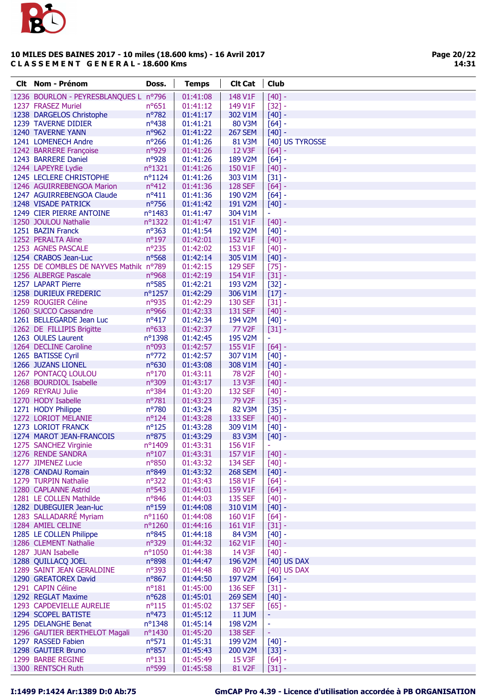

Page 20/22 14:31

| <b>Clt</b> Nom - Prénom                    | Doss.            | <b>Temps</b>         | <b>Clt Cat</b>     | <b>Club</b>              |
|--------------------------------------------|------------------|----------------------|--------------------|--------------------------|
| 1236 BOURLON - PEYRESBLANQUES L nº796      |                  | 01:41:08             | 148 V1F            | $[40] -$                 |
| 1237 FRASEZ Muriel                         | $n^o$ 651        | 01:41:12             | 149 V1F            | $[32] -$                 |
| 1238 DARGELOS Christophe                   | nº782            | 01:41:17             | 302 V1M            | $[40] -$                 |
| 1239 TAVERNE DIDIER                        | nº438            | 01:41:21             | 80 V3M             | $[64] -$                 |
| 1240 TAVERNE YANN                          | nº962            | 01:41:22             | <b>267 SEM</b>     | $[40] -$                 |
| 1241 LOMENECH Andre                        | $n^{\circ}266$   | 01:41:26             | 81 V3M             | [40] US TYROSSE          |
| 1242 BARRERE Françoise                     | nº929            | 01:41:26             | <b>12 V3F</b>      | $[64] -$                 |
| 1243 BARRERE Daniel                        | n°928            | 01:41:26             | 189 V2M            | $[64] -$                 |
| 1244 LAPEYRE Lydie                         | nº1321           | 01:41:26             | 150 V1F            | $[40] -$                 |
| 1245 LECLERE CHRISTOPHE                    | $n^o$ 1124       | 01:41:26             | 303 V1M            | $[31] -$                 |
| 1246 AGUIRREBENGOA Marion                  | $n^o412$         | 01:41:36             | <b>128 SEF</b>     | $[64] -$                 |
| 1247 AGUIRREBENGOA Claude                  | $n^o411$         | 01:41:36             | 190 V2M            | $[64] -$                 |
| 1248 VISADE PATRICK                        | nº756            | 01:41:42             | 191 V2M            | $[40] -$                 |
| 1249 CIER PIERRE ANTOINE                   | nº1483           | 01:41:47             | 304 V1M            | ÷,                       |
| 1250 JOULOU Nathalie                       | nº1322           | 01:41:47             | 151 V1F            | $[40] -$                 |
| 1251 BAZIN Franck                          | $n^o$ 363        | 01:41:54             | 192 V2M            | $[40] -$                 |
| 1252 PERALTA Aline                         | nº197            | 01:42:01             | 152 V1F            | $[40] -$                 |
| 1253 AGNES PASCALE                         | $n^{\circ}$ 235  | 01:42:02             | 153 V1F            | $[40] -$                 |
| 1254 CRABOS Jean-Luc                       | $n^o$ 568        | 01:42:14             | 305 V1M            | $[40]$ -                 |
| 1255 DE COMBLES DE NAYVES Mathik nº789     |                  | 01:42:15             | <b>129 SEF</b>     | $[75] -$                 |
| 1256 ALBERGE Pascale                       | n°968            | 01:42:19             | 154 V1F            | $[31] -$                 |
| 1257 LAPART Pierre                         | $n^o$ 585        | 01:42:21             | 193 V2M            | $[32] -$                 |
| 1258 DURIEUX FREDERIC                      | $n^{\circ}$ 1257 | 01:42:29             | 306 V1M            | $[17] -$                 |
| 1259 ROUGIER Céline                        | n°935            | 01:42:29             | <b>130 SEF</b>     | $[31] -$                 |
| 1260 SUCCO Cassandre                       | nº966            | 01:42:33             | 131 SEF            | $[40] -$                 |
| 1261 BELLEGARDE Jean Luc                   | $n^o417$         | 01:42:34             | 194 V2M            | $[40] -$                 |
| 1262 DE FILLIPIS Brigitte                  | nº633            | 01:42:37             | 77 V2F             | $[31] -$                 |
| 1263 OULES Laurent                         | nº1398           | 01:42:45             | 195 V2M            | ÷,                       |
| 1264 DECLINE Caroline                      | n°093            | 01:42:57             | 155 V1F            | $[64]$ -                 |
| 1265 BATISSE Cyril                         | $n^{\circ}772$   | 01:42:57             | 307 V1M            | $[40] -$                 |
| 1266 JUZANS LIONEL                         | nº630            | 01:43:08             | 308 V1M            | $[40]$ -                 |
| 1267 PONTACQ LOULOU                        | $n^{\circ}170$   | 01:43:11             | <b>78 V2F</b>      | $[40] -$                 |
| 1268 BOURDIOL Isabelle                     | n°309            | 01:43:17             | 13 V3F             | $[40] -$                 |
| 1269 REYRAU Julie                          | nº384            | 01:43:20             | <b>132 SEF</b>     | $[40] -$                 |
| 1270 HODY Isabelle                         | nº781            | 01:43:23             | 79 V2F             | $[35] -$                 |
| 1271 HODY Philippe                         | nº780            | 01:43:24             | 82 V3M             | $[35] -$                 |
| 1272 LORIOT MELANIE                        | $n^o$ 124        | 01:43:28             | 133 SEF            | $[40] -$                 |
| 1273 LORIOT FRANCK                         | $n^o$ 125        | 01:43:28             | 309 V1M            | $[40] -$                 |
| 1274 MAROT JEAN-FRANCOIS                   | n°875            | 01:43:29             | 83 V3M             | $[40]$ -                 |
| 1275 SANCHEZ Virginie                      | nº1409           | 01:43:31             | 156 V1F            | $\overline{\phantom{a}}$ |
| 1276 RENDE SANDRA                          | $n^{\circ}107$   | 01:43:31             | 157 V1F            | $[40] -$                 |
| 1277 JIMENEZ Lucie                         | nº850            | 01:43:32             | <b>134 SEF</b>     | $[40] -$                 |
| 1278 CANDAU Romain<br>1279 TURPIN Nathalie | nº849            | 01:43:32             | <b>268 SEM</b>     | $[40] -$                 |
| 1280 CAPLANNE Astrid                       | nº322<br>nº543   | 01:43:43<br>01:44:01 | 158 V1F<br>159 V1F | $[64] -$<br>$[64] -$     |
| 1281 LE COLLEN Mathilde                    | nº846            | 01:44:03             | 135 SEF            | $[40] -$                 |
| 1282 DUBEGUIER Jean-luc                    | $n^o$ 159        | 01:44:08             | 310 V1M            | $[40] -$                 |
| 1283 SALLADARRÉ Myriam                     | $n^o$ 1160       | 01:44:08             | 160 V1F            | $[64] -$                 |
| 1284 AMIEL CELINE                          | nº1260           | 01:44:16             | 161 V1F            | $[31] -$                 |
| 1285 LE COLLEN Philippe                    | $n^o$ 845        | 01:44:18             | 84 V3M             | $[40] -$                 |
| 1286 CLEMENT Nathalie                      | nº329            | 01:44:32             | 162 V1F            | $[40] -$                 |
| 1287 JUAN Isabelle                         | nº1050           | 01:44:38             | 14 V3F             | $[40] -$                 |
| 1288 QUILLACQ JOEL                         | n°898            | 01:44:47             | 196 V2M            | [40] US DAX              |
| 1289 SAINT JEAN GERALDINE                  | nº393            | 01:44:48             | 80 V2F             | [40] US DAX              |
| 1290 GREATOREX David                       | $n^o$ 867        | 01:44:50             | 197 V2M            | $[64] -$                 |
| 1291 CAPIN Céline                          | $n^o181$         | 01:45:00             | 136 SEF            | $[31] -$                 |
| 1292 REGLAT Maxime                         | $n^o628$         | 01:45:01             | <b>269 SEM</b>     | $[40] -$                 |
| 1293 CAPDEVIELLE AURELIE                   | $n^o$ 115        | 01:45:02             | 137 SEF            | $[65] -$                 |
| 1294 SCOPEL BATISTE                        | $n^o473$         | 01:45:12             | <b>11 JUM</b>      | ٠                        |
| 1295 DELANGHE Benat                        | nº1348           | 01:45:14             | 198 V2M            | ÷                        |
| 1296 GAUTIER BERTHELOT Magali              | nº1430           | 01:45:20             | <b>138 SEF</b>     | Ξ                        |
| 1297 RASSED Fabien                         | $n^o$ 571        | 01:45:31             | 199 V2M            | $[40] -$                 |
| 1298 GAUTIER Bruno                         | nº857            | 01:45:43             | 200 V2M            | $[33] -$                 |
| 1299 BARBE REGINE                          | $n^o$ 131        | 01:45:49             | 15 V3F             | $[64] -$                 |
| 1300 RENTSCH Ruth                          | nº599            | 01:45:58             | 81 V2F             | $[31] -$                 |
|                                            |                  |                      |                    |                          |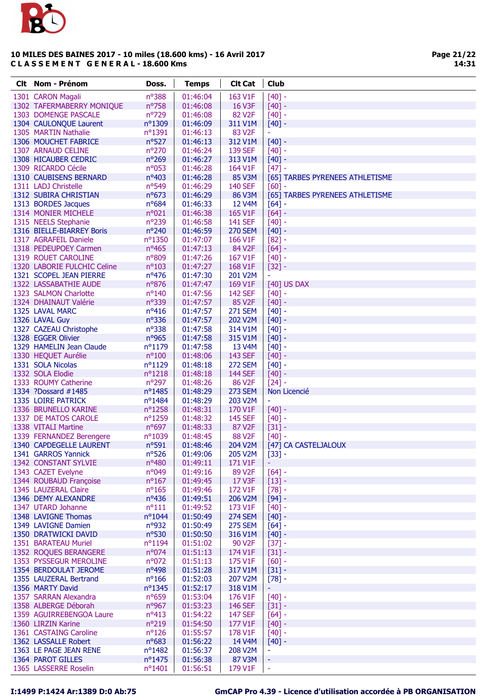

| Clt Nom - Prénom                                   | Doss.                | <b>Temps</b>         | <b>Clt Cat</b>      | <b>Club</b>                     |
|----------------------------------------------------|----------------------|----------------------|---------------------|---------------------------------|
| 1301 CARON Magali                                  | n°388                | 01:46:04             | 163 V1F             | $[40] -$                        |
| 1302 TAFERMABERRY MONIQUE                          | nº758                | 01:46:08             | 16 V3F              | $[40] -$                        |
| 1303 DOMENGE PASCALE                               | nº729                | 01:46:08             | 82 V <sub>2</sub> F | $[40] -$                        |
| 1304 CAULONQUE Laurent                             | nº1309               | 01:46:09             | 311 V1M             | $[40] -$                        |
| 1305 MARTIN Nathalie                               | $n^{\circ}1391$      | 01:46:13             | 83 V <sub>2F</sub>  | $\overline{\phantom{a}}$        |
| 1306 MOUCHET FABRICE                               | $n^o$ 527            | 01:46:13             | 312 V1M             | $[40] -$                        |
| 1307 ARNAUD CELINE                                 | nº270                | 01:46:24             | <b>139 SEF</b>      | $[40] -$                        |
| 1308 HICAUBER CEDRIC                               | $n^{\circ}269$       | 01:46:27             | 313 V1M             | $[40] -$                        |
| 1309 RICARDO Cécile                                | n°053                | 01:46:28             | 164 V1F             | $[47] -$                        |
| 1310 CAUBISENS BERNARD                             | nº403                | 01:46:28             | 85 V3M              | [65] TARBES PYRENEES ATHLETISME |
| 1311 LADJ Christelle                               | nº549                | 01:46:29             | <b>140 SEF</b>      | $[60] -$                        |
| 1312 SUBIRA CHRISTIAN                              | $n^o$ 673            | 01:46:29             | 86 V3M              | [65] TARBES PYRENEES ATHLETISME |
| 1313 BORDES Jacques                                | $n^o$ 684            | 01:46:33             | 12 V4M              | $[64] -$                        |
| 1314 MONIER MICHELE                                | n°021                | 01:46:38             | 165 V1F             | $[64] -$                        |
| 1315 NEELS Stephanie                               | n°239                | 01:46:58             | <b>141 SEF</b>      | $[40] -$                        |
| 1316 BIELLE-BIARREY Boris<br>1317 AGRAFEIL Daniele | $n^{\circ}240$       | 01:46:59             | <b>270 SEM</b>      | $[40] -$                        |
|                                                    | nº1350               | 01:47:07             | 166 V1F<br>84 V2F   | $[82] -$                        |
| 1318 PEDEUPOEY Carmen<br>1319 ROUET CAROLINE       | $n^o$ 465<br>n°809   | 01:47:13<br>01:47:26 | 167 V1F             | $[64] -$<br>$[40] -$            |
| 1320 LABORIE FULCHIC Celine                        | $n^{\circ}103$       | 01:47:27             | 168 V1F             | $[32] -$                        |
| 1321 SCOPEL JEAN PIERRE                            | $n^o$ 476            | 01:47:30             | 201 V2M             | $\blacksquare$                  |
| 1322 LASSABATHIE AUDE                              | n°876                | 01:47:47             | 169 V1F             | [40] US DAX                     |
| 1323 SALMON Charlotte                              | $n^{\circ}140$       | 01:47:56             | <b>142 SEF</b>      | $[40] -$                        |
| 1324 DHAINAUT Valérie                              | nº339                | 01:47:57             | 85 V2F              | $[40] -$                        |
| 1325 LAVAL MARC                                    | $n^o416$             | 01:47:57             | <b>271 SEM</b>      | $[40] -$                        |
| 1326 LAVAL Guy                                     | $n^o$ 336            | 01:47:57             | 202 V2M             | $[40] -$                        |
| 1327 CAZEAU Christophe                             | $n^o$ 338            | 01:47:58             | 314 V1M             | $[40] -$                        |
| 1328 EGGER Olivier                                 | n°965                | 01:47:58             | 315 V1M             | $[40] -$                        |
| 1329 HAMELIN Jean Claude                           | nº1179               | 01:47:58             | 13 V4M              | $[40] -$                        |
| 1330 HEQUET Aurélie                                | $n^{\circ}100$       | 01:48:06             | 143 SEF             | $[40] -$                        |
| 1331 SOLA Nicolas                                  | $n^{\circ}1129$      | 01:48:18             | <b>272 SEM</b>      | $[40] -$                        |
| 1332 SOLA Elodie                                   | $n^o$ 1218           | 01:48:18             | <b>144 SEF</b>      | $[40] -$                        |
| 1333 ROUMY Catherine                               | $n^{\circ}297$       | 01:48:26             | 86 V2F              | $[24] -$                        |
| 1334 ?Dossard #1485                                | nº1485               | 01:48:29             | <b>273 SEM</b>      | Non Licencié                    |
| 1335 LOIRE PATRICK                                 | $n^{\circ}$ 1484     | 01:48:29             | 203 V2M             | $\overline{\phantom{a}}$        |
| 1336 BRUNELLO KARINE                               | $n^{\circ}1258$      | 01:48:31             | 170 V1F             | $[40] -$                        |
| 1337 DE MATOS CAROLE                               | nº1259               | 01:48:32             | <b>145 SEF</b>      | $[40] -$                        |
| 1338 VITALI Martine                                | $n^o$ 697            | 01:48:33             | 87 V2F              | $[31] -$                        |
| 1339 FERNANDEZ Berengere                           | nº1039               | 01:48:45             | 88 V <sub>2F</sub>  | $[40] -$                        |
| 1340 CAPDEGELLE LAURENT                            | $n^o$ 591            | 01:48:46             |                     | 204 V2M   [47] CA CASTELJALOUX  |
| 1341 GARROS Yannick                                | $n^o$ 526            | 01:49:06             | 205 V2M             | $[33] -$                        |
| 1342 CONSTANT SYLVIE                               | nº480                | 01:49:11             | 171 V1F             |                                 |
| 1343 CAZET Evelyne                                 | n°049                | 01:49:16             | 89 V <sub>2F</sub>  | $[64] -$                        |
| 1344 ROUBAUD Françoise                             | $n^o$ 167            | 01:49:45             | 17 V3F              | $[13] -$                        |
| 1345 LAUZERAL Claire                               | $n^{\circ}165$       | 01:49:46             | 172 V1F             | $[78] -$                        |
| 1346 DEMY ALEXANDRE<br>1347 UTARD Johanne          | $n^o436$<br>$n^o111$ | 01:49:51<br>01:49:52 | 206 V2M<br>173 V1F  | $[94] -$                        |
| 1348 LAVIGNE Thomas                                | nº1044               | 01:50:49             | <b>274 SEM</b>      | $[40] -$<br>$[40] -$            |
| 1349 LAVIGNE Damien                                | $n^{\circ}932$       | 01:50:49             | <b>275 SEM</b>      | $[64] -$                        |
| 1350 DRATWICKI DAVID                               | $n^o$ 530            | 01:50:50             | 316 V1M             | $[40] -$                        |
| 1351 BARATEAU Muriel                               | $n^o$ 1194           | 01:51:02             | 90 V2F              | $[37] -$                        |
| 1352 ROQUES BERANGERE                              | $n^{\circ}074$       | 01:51:13             | 174 V1F             | $[31] -$                        |
| 1353 PYSSEGUR MEROLINE                             | $n^{\circ}072$       | 01:51:13             | 175 V1F             | $[60] -$                        |
| 1354 BERDOULAT JEROME                              | $n^o$ 498            | 01:51:28             | 317 V1M             | $[31] -$                        |
| 1355 LAUZERAL Bertrand                             | $n^o$ 166            | 01:52:03             | 207 V2M             | $[78] -$                        |
| 1356 MARTY David                                   | nº1345               | 01:52:17             | 318 V1M             | ÷                               |
| 1357 SARRAN Alexandra                              | $n^o$ 659            | 01:53:04             | 176 V1F             | $[40] -$                        |
| 1358 ALBERGE Déborah                               | n°967                | 01:53:23             | <b>146 SEF</b>      | $[31] -$                        |
| 1359 AGUIRREBENGOA Laure                           | $n^o413$             | 01:54:22             | <b>147 SEF</b>      | $[64] -$                        |
| 1360 LIRZIN Karine                                 | $n^{\circ}219$       | 01:54:50             | 177 V1F             | $[40] -$                        |
| 1361 CASTAING Caroline                             | $n^{\circ}126$       | 01:55:57             | 178 V1F             | $[40] -$                        |
| 1362 LASSALLE Robert                               | $n^o$ 683            | 01:56:22             | 14 V4M              | $[40] -$                        |
| 1363 LE PAGE JEAN RENE                             | nº1482               | 01:56:37             | 208 V2M             | ٠                               |
| 1364 PAROT GILLES                                  | $n^{\circ}$ 1475     | 01:56:38             | 87 V3M              | ÷                               |
| 1365 LASSERRE Roselin                              | $n^{\circ}1401$      | 01:56:51             | 179 V1F             | ÷                               |